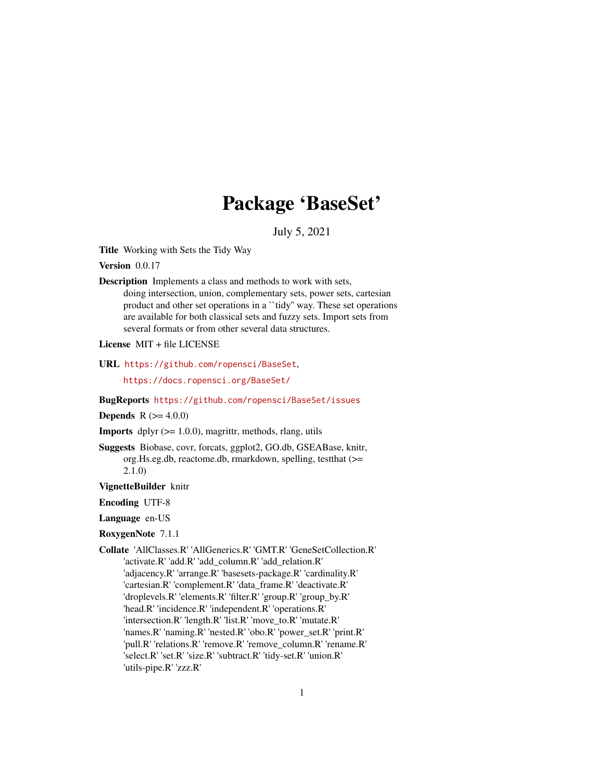# Package 'BaseSet'

July 5, 2021

<span id="page-0-0"></span>Title Working with Sets the Tidy Way

Version 0.0.17

Description Implements a class and methods to work with sets, doing intersection, union, complementary sets, power sets, cartesian product and other set operations in a ``tidy'' way. These set operations are available for both classical sets and fuzzy sets. Import sets from several formats or from other several data structures.

License MIT + file LICENSE

URL <https://github.com/ropensci/BaseSet>,

<https://docs.ropensci.org/BaseSet/>

BugReports <https://github.com/ropensci/BaseSet/issues>

### **Depends** R  $(>= 4.0.0)$

**Imports** dplyr  $(>= 1.0.0)$ , magrittr, methods, rlang, utils

Suggests Biobase, covr, forcats, ggplot2, GO.db, GSEABase, knitr, org.Hs.eg.db, reactome.db, rmarkdown, spelling, testthat (>= 2.1.0)

VignetteBuilder knitr

Encoding UTF-8

Language en-US

- RoxygenNote 7.1.1
- Collate 'AllClasses.R' 'AllGenerics.R' 'GMT.R' 'GeneSetCollection.R' 'activate.R' 'add.R' 'add\_column.R' 'add\_relation.R' 'adjacency.R' 'arrange.R' 'basesets-package.R' 'cardinality.R' 'cartesian.R' 'complement.R' 'data\_frame.R' 'deactivate.R' 'droplevels.R' 'elements.R' 'filter.R' 'group.R' 'group\_by.R' 'head.R' 'incidence.R' 'independent.R' 'operations.R' 'intersection.R' 'length.R' 'list.R' 'move\_to.R' 'mutate.R' 'names.R' 'naming.R' 'nested.R' 'obo.R' 'power\_set.R' 'print.R' 'pull.R' 'relations.R' 'remove.R' 'remove\_column.R' 'rename.R' 'select.R' 'set.R' 'size.R' 'subtract.R' 'tidy-set.R' 'union.R' 'utils-pipe.R' 'zzz.R'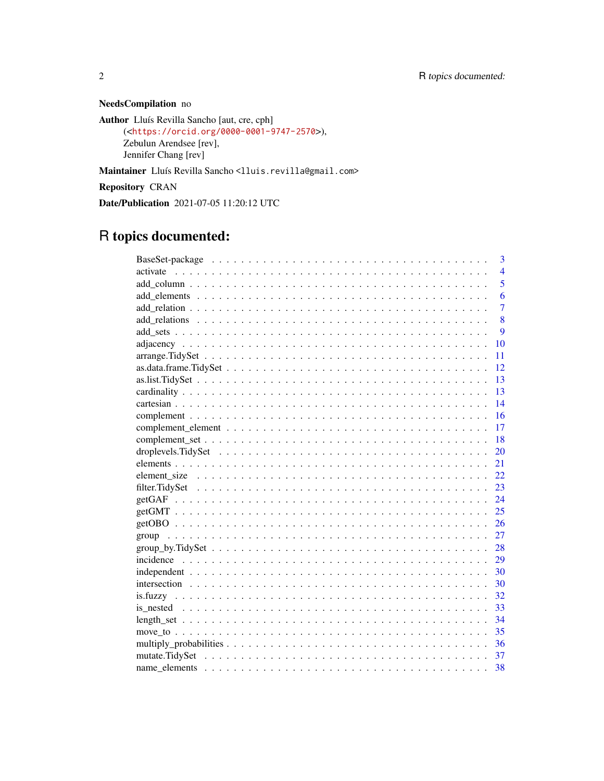## NeedsCompilation no

```
Author Lluís Revilla Sancho [aut, cre, cph]
     (<https://orcid.org/0000-0001-9747-2570>),
     Zebulun Arendsee [rev],
     Jennifer Chang [rev]
```
Maintainer Lluís Revilla Sancho <lluis.revilla@gmail.com>

Repository CRAN

Date/Publication 2021-07-05 11:20:12 UTC

## R topics documented:

| 3              |
|----------------|
| $\overline{4}$ |
| 5              |
| 6              |
| $\overline{7}$ |
| 8              |
| 9              |
| 10             |
| 11             |
| 12             |
| 13             |
| 13             |
| 14             |
| 16             |
| 17             |
| 18             |
| 20             |
| 21             |
| 22.            |
| 23             |
| 24             |
| 25             |
| 26             |
| 27             |
|                |
| 29             |
| 30             |
| 30             |
| 32             |
| 33             |
| 34             |
| 35             |
|                |
|                |
| 38             |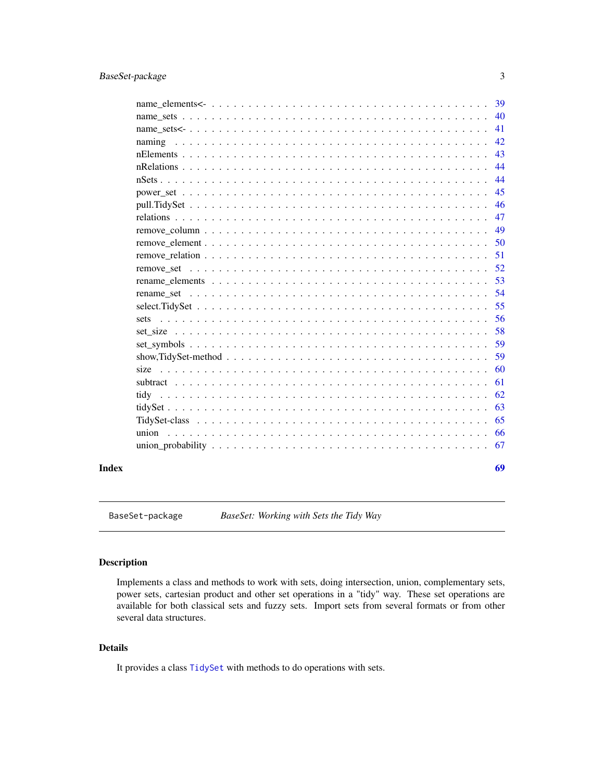<span id="page-2-0"></span>

|       |                                                                                                                    | 39 |
|-------|--------------------------------------------------------------------------------------------------------------------|----|
|       |                                                                                                                    | 40 |
|       |                                                                                                                    | 41 |
|       |                                                                                                                    | 42 |
|       |                                                                                                                    | 43 |
|       |                                                                                                                    | 44 |
|       |                                                                                                                    | 44 |
|       |                                                                                                                    | 45 |
|       |                                                                                                                    | 46 |
|       |                                                                                                                    | 47 |
|       |                                                                                                                    | 49 |
|       |                                                                                                                    | 50 |
|       |                                                                                                                    | 51 |
|       |                                                                                                                    | 52 |
|       |                                                                                                                    | 53 |
|       |                                                                                                                    | 54 |
|       |                                                                                                                    | 55 |
|       | sets                                                                                                               | 56 |
|       |                                                                                                                    | 58 |
|       |                                                                                                                    | 59 |
|       | show, Tidy Set-method $\ldots \ldots \ldots \ldots \ldots \ldots \ldots \ldots \ldots \ldots \ldots \ldots \ldots$ | 59 |
|       |                                                                                                                    | 60 |
|       |                                                                                                                    | 61 |
|       |                                                                                                                    | 62 |
|       |                                                                                                                    | 63 |
|       |                                                                                                                    | 65 |
|       |                                                                                                                    | 66 |
|       |                                                                                                                    | 67 |
| Index |                                                                                                                    | 69 |

BaseSet-package *BaseSet: Working with Sets the Tidy Way*

### Description

Implements a class and methods to work with sets, doing intersection, union, complementary sets, power sets, cartesian product and other set operations in a "tidy" way. These set operations are available for both classical sets and fuzzy sets. Import sets from several formats or from other several data structures.

### Details

It provides a class [TidySet](#page-64-1) with methods to do operations with sets.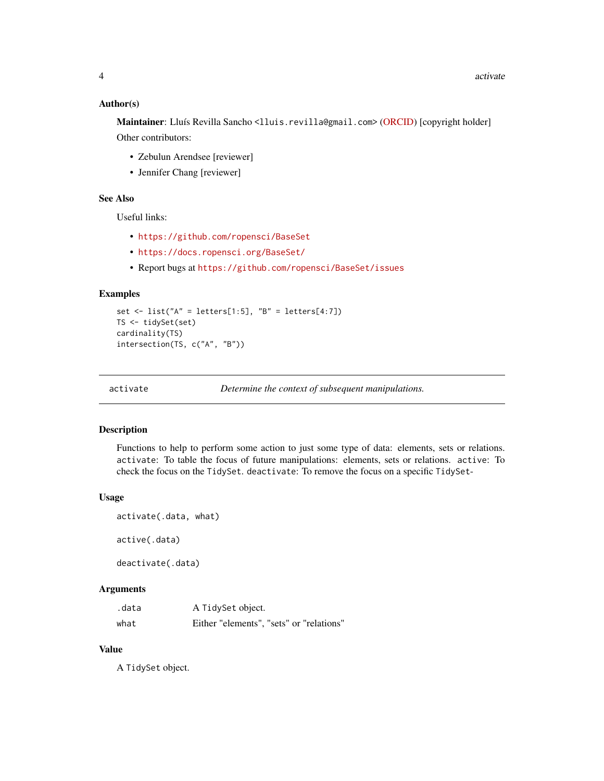#### <span id="page-3-0"></span>Author(s)

Maintainer: Lluís Revilla Sancho <lluis.revilla@gmail.com> [\(ORCID\)](https://orcid.org/0000-0001-9747-2570) [copyright holder] Other contributors:

- Zebulun Arendsee [reviewer]
- Jennifer Chang [reviewer]

### See Also

Useful links:

- <https://github.com/ropensci/BaseSet>
- <https://docs.ropensci.org/BaseSet/>
- Report bugs at <https://github.com/ropensci/BaseSet/issues>

#### Examples

```
set \le list("A" = letters[1:5], "B" = letters[4:7])
TS <- tidySet(set)
cardinality(TS)
intersection(TS, c("A", "B"))
```
<span id="page-3-1"></span>

```
activate Determine the context of subsequent manipulations.
```
#### Description

Functions to help to perform some action to just some type of data: elements, sets or relations. activate: To table the focus of future manipulations: elements, sets or relations. active: To check the focus on the TidySet. deactivate: To remove the focus on a specific TidySet-

#### Usage

```
activate(.data, what)
active(.data)
deactivate(.data)
```
### Arguments

| .data | A TidySet object.                        |
|-------|------------------------------------------|
| what  | Either "elements", "sets" or "relations" |

### Value

A TidySet object.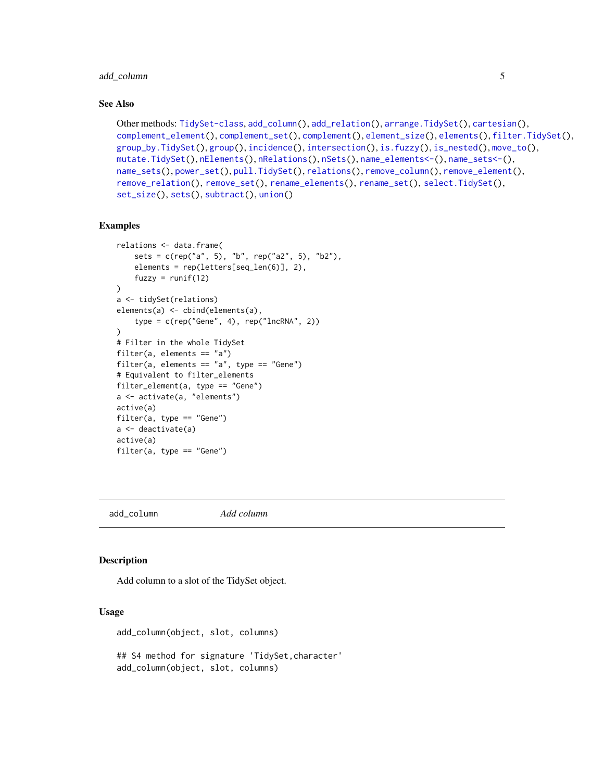### <span id="page-4-0"></span>add\_column 5

#### See Also

```
Other methods: TidySet-class, add_column(), add_relation(), arrange.TidySet(), cartesian(),
complement_element(), complement_set(), complement(), element_size(), elements(), filter.TidySet(),
group_by.TidySet(), group(), incidence(), intersection(), is.fuzzy(), is_nested(), move_to(),
mutate.TidySet(), nElements(), nRelations(), nSets(), name_elements<-(), name_sets<-(),
name_sets(), power_set(), pull.TidySet(), relations(), remove_column(), remove_element(),
remove_relation(), remove_set(), rename_elements(), rename_set(), select.TidySet(),
set_size(), sets(), subtract(), union()
```
### Examples

```
relations <- data.frame(
    sets = c(rep("a", 5), "b", rep("a2", 5), "b2"),elements = rep(letters[seq_len(6)], 2),
    fuzzy = runif(12))
a <- tidySet(relations)
elements(a) <- cbind(elements(a),
    type = c(rep("Gene", 4), rep("IncRNA", 2)))
# Filter in the whole TidySet
filter(a, elements == "a")
filter(a, elements == "a", type == "Gene")# Equivalent to filter_elements
filter_element(a, type == "Gene")
a <- activate(a, "elements")
active(a)
filter(a, type == "Gene")
a <- deactivate(a)
active(a)
filter(a, type == "Gene")
```
<span id="page-4-1"></span>add\_column *Add column*

### Description

Add column to a slot of the TidySet object.

#### Usage

add\_column(object, slot, columns)

## S4 method for signature 'TidySet,character' add\_column(object, slot, columns)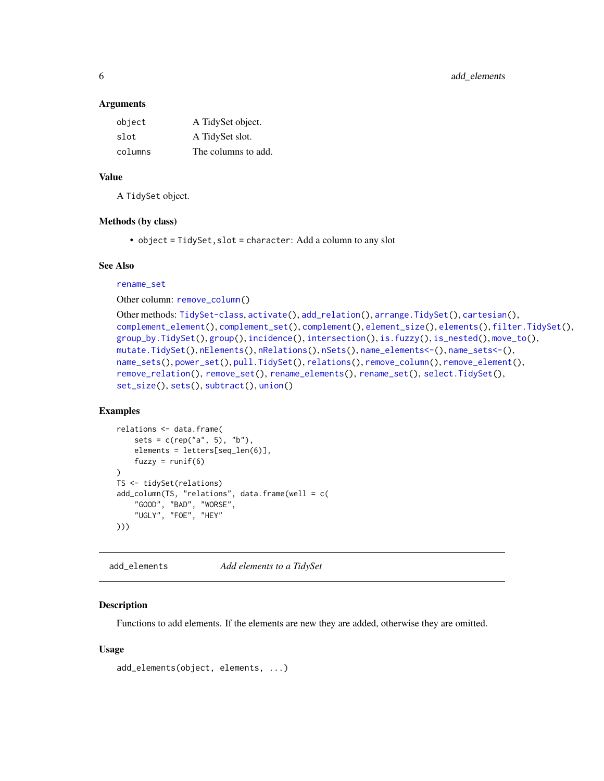<span id="page-5-0"></span>6 add\_elements

#### Arguments

| object  | A TidySet object.   |
|---------|---------------------|
| slot    | A TidySet slot.     |
| columns | The columns to add. |

### Value

A TidySet object.

### Methods (by class)

• object = TidySet,slot = character: Add a column to any slot

#### See Also

#### [rename\\_set](#page-53-1)

Other column: [remove\\_column\(](#page-48-1))

```
Other methods: TidySet-class, activate(), add_relation(), arrange.TidySet(), cartesian(),
complement_element(), complement_set(), complement(), element_size(), elements(), filter.TidySet(),
group_by.TidySet(), group(), incidence(), intersection(), is.fuzzy(), is_nested(), move_to(),
mutate.TidySet(), nElements(), nRelations(), nSets(), name_elements<-(), name_sets<-(),
name_sets(), power_set(), pull.TidySet(), relations(), remove_column(), remove_element(),
remove_relation(), remove_set(), rename_elements(), rename_set(), select.TidySet(),
set_size(), sets(), subtract(), union()
```
### Examples

```
relations <- data.frame(
    sets = c(rep("a", 5), "b"),
    elements = letters[seq_len(6)],
    fuzzy = runif(6)\lambdaTS <- tidySet(relations)
add_column(TS, "relations", data.frame(well = c(
    "GOOD", "BAD", "WORSE",
    "UGLY", "FOE", "HEY"
)))
```
<span id="page-5-1"></span>add\_elements *Add elements to a TidySet*

#### Description

Functions to add elements. If the elements are new they are added, otherwise they are omitted.

#### Usage

```
add_elements(object, elements, ...)
```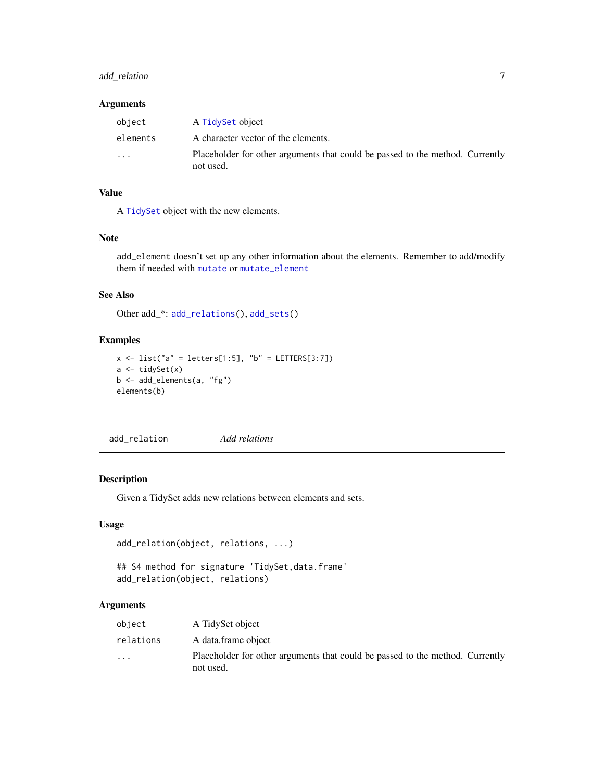### <span id="page-6-0"></span>add\_relation 7

### Arguments

| object   | A TidySet object                                                                           |
|----------|--------------------------------------------------------------------------------------------|
| elements | A character vector of the elements.                                                        |
| $\cdot$  | Placeholder for other arguments that could be passed to the method. Currently<br>not used. |

### Value

A [TidySet](#page-64-1) object with the new elements.

### Note

add\_element doesn't set up any other information about the elements. Remember to add/modify them if needed with [mutate](#page-0-0) or [mutate\\_element](#page-36-2)

### See Also

Other add\_\*: [add\\_relations\(](#page-7-1)), [add\\_sets\(](#page-8-1))

### Examples

```
x \le - list("a" = letters[1:5], "b" = LETTERS[3:7])
a \leftarrow tidySet(x)b <- add_elements(a, "fg")
elements(b)
```
<span id="page-6-1"></span>add\_relation *Add relations*

### Description

Given a TidySet adds new relations between elements and sets.

#### Usage

```
add_relation(object, relations, ...)
```

```
## S4 method for signature 'TidySet, data.frame'
add_relation(object, relations)
```
### Arguments

| object                  | A TidySet object                                                                           |
|-------------------------|--------------------------------------------------------------------------------------------|
| relations               | A data.frame object                                                                        |
| $\cdot$ $\cdot$ $\cdot$ | Placeholder for other arguments that could be passed to the method. Currently<br>not used. |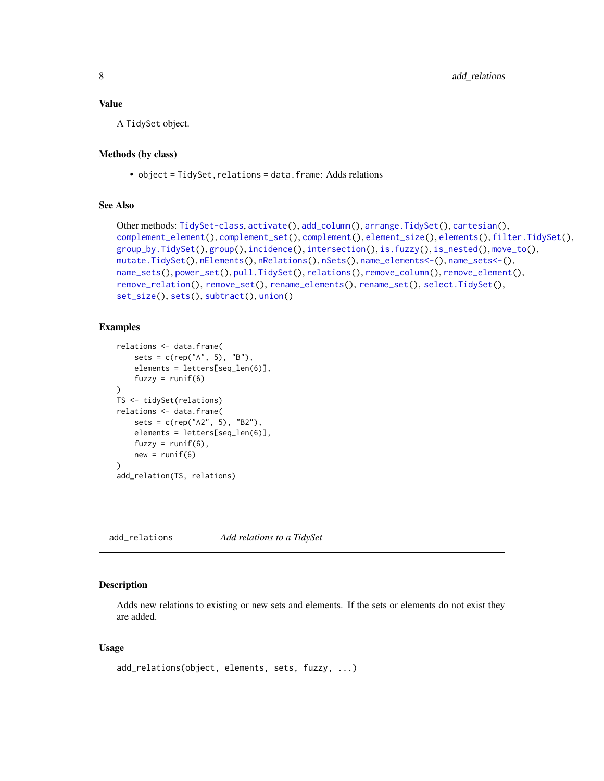### <span id="page-7-0"></span>Value

A TidySet object.

#### Methods (by class)

• object = TidySet, relations = data.frame: Adds relations

### See Also

```
Other methods: TidySet-class, activate(), add_column(), arrange.TidySet(), cartesian(),
complement_element(), complement_set(), complement(), element_size(), elements(), filter.TidySet(),
group_by.TidySet(), group(), incidence(), intersection(), is.fuzzy(), is_nested(), move_to(),
mutate.TidySet(), nElements(), nRelations(), nSets(), name_elements<-(), name_sets<-(),
name_sets(), power_set(), pull.TidySet(), relations(), remove_column(), remove_element(),
remove_relation(), remove_set(), rename_elements(), rename_set(), select.TidySet(),
set_size(), sets(), subtract(), union()
```
### Examples

```
relations <- data.frame(
    sets = c(rep("A", 5), "B"),elements = letters[seq_len(6)],
    fuzzy = runif(6))
TS <- tidySet(relations)
relations <- data.frame(
    sets = c(rep("A2", 5), "B2"),
    elements = letters[seq_len(6)],
    fuzzy = runif(6),
    new = runif(6))
add_relation(TS, relations)
```
<span id="page-7-1"></span>add\_relations *Add relations to a TidySet*

### Description

Adds new relations to existing or new sets and elements. If the sets or elements do not exist they are added.

#### Usage

```
add_relations(object, elements, sets, fuzzy, ...)
```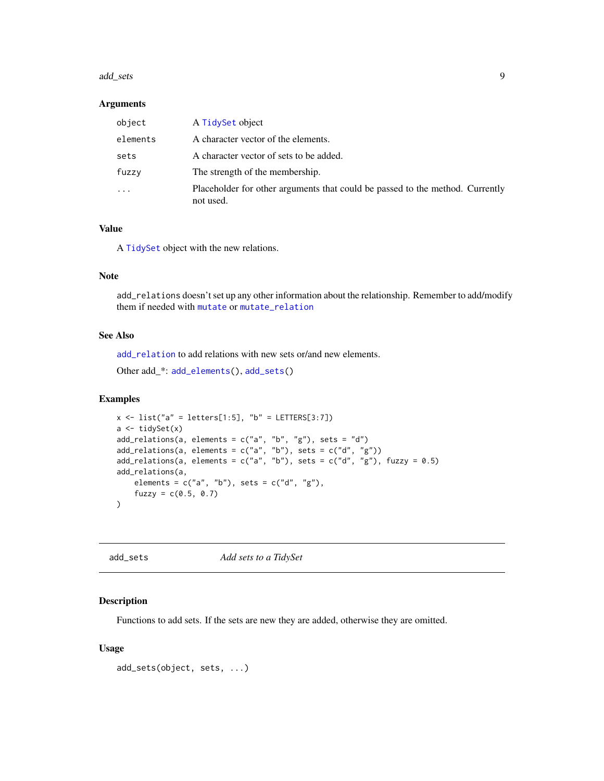#### <span id="page-8-0"></span>add\_sets 9

#### Arguments

| object                  | A TidySet object                                                                           |
|-------------------------|--------------------------------------------------------------------------------------------|
| elements                | A character vector of the elements.                                                        |
| sets                    | A character vector of sets to be added.                                                    |
| fuzzy                   | The strength of the membership.                                                            |
| $\cdot$ $\cdot$ $\cdot$ | Placeholder for other arguments that could be passed to the method. Currently<br>not used. |

#### Value

A [TidySet](#page-64-1) object with the new relations.

### Note

add\_relations doesn't set up any other information about the relationship. Remember to add/modify them if needed with [mutate](#page-0-0) or [mutate\\_relation](#page-36-2)

### See Also

[add\\_relation](#page-6-1) to add relations with new sets or/and new elements.

```
Other add_*: add_elements(), add_sets()
```
#### Examples

```
x \le - list("a" = letters[1:5], "b" = LETTERS[3:7])
a <- tidySet(x)
add_relations(a, elements = c("a", "b", "g"), sets = "d")
add_relations(a, elements = c("a", "b"), sets = c("d", "g"))
add_relations(a, elements = c("a", "b"), sets = c("d", "g"), fuzzy = 0.5)
add_relations(a,
    elements = c("a", "b"), sets = c("d", "g"),
    fuzzy = c(0.5, 0.7))
```
<span id="page-8-1"></span>

| Add sets to a TidySet<br>add_sets |
|-----------------------------------|
|-----------------------------------|

### Description

Functions to add sets. If the sets are new they are added, otherwise they are omitted.

#### Usage

add\_sets(object, sets, ...)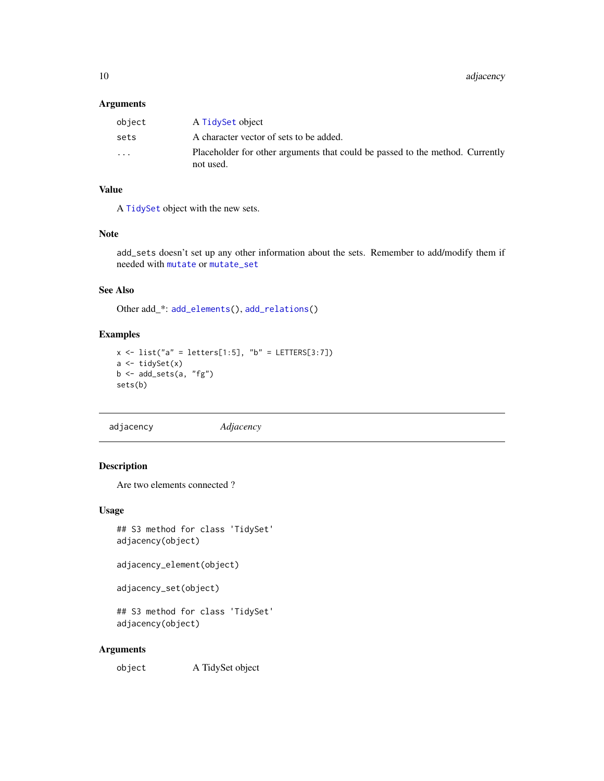### <span id="page-9-0"></span>Arguments

| object                  | A TidySet object                                                                           |
|-------------------------|--------------------------------------------------------------------------------------------|
| sets                    | A character vector of sets to be added.                                                    |
| $\cdot$ $\cdot$ $\cdot$ | Placeholder for other arguments that could be passed to the method. Currently<br>not used. |

### Value

A [TidySet](#page-64-1) object with the new sets.

### Note

add\_sets doesn't set up any other information about the sets. Remember to add/modify them if needed with [mutate](#page-0-0) or [mutate\\_set](#page-36-2)

### See Also

Other add\_\*: [add\\_elements\(](#page-5-1)), [add\\_relations\(](#page-7-1))

#### Examples

```
x \le - list("a" = letters[1:5], "b" = LETTERS[3:7])
a <- tidySet(x)
b \leftarrow add\_sets(a, "fg")sets(b)
```
<span id="page-9-1"></span>adjacency *Adjacency*

### Description

Are two elements connected ?

### Usage

## S3 method for class 'TidySet' adjacency(object)

adjacency\_element(object)

```
adjacency_set(object)
```
## S3 method for class 'TidySet' adjacency(object)

### Arguments

object A TidySet object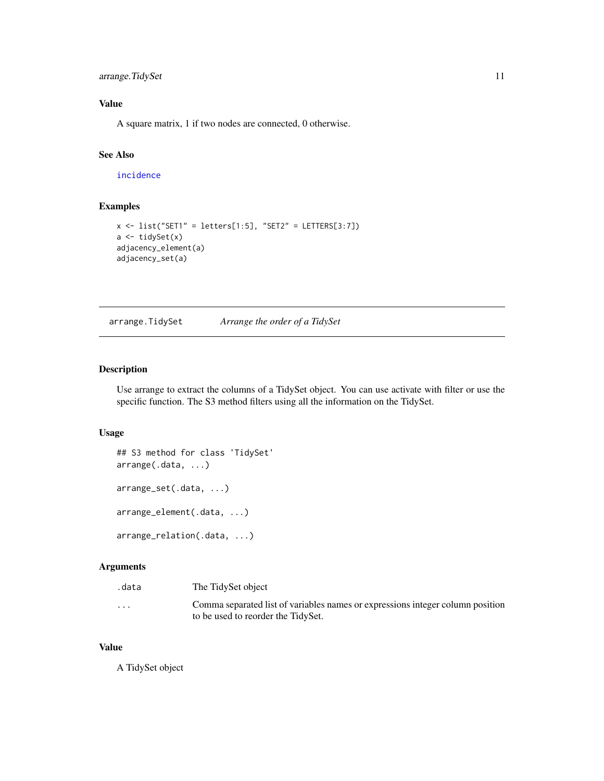<span id="page-10-0"></span>arrange. TidySet 11

### Value

A square matrix, 1 if two nodes are connected, 0 otherwise.

### See Also

[incidence](#page-28-1)

### Examples

```
x \leftarrow list("SET1" = letters[1:5], "SET2" = LETTERS[3:7])
a \leftarrow tidySet(x)adjacency_element(a)
adjacency_set(a)
```
<span id="page-10-1"></span>arrange.TidySet *Arrange the order of a TidySet*

### Description

Use arrange to extract the columns of a TidySet object. You can use activate with filter or use the specific function. The S3 method filters using all the information on the TidySet.

#### Usage

```
## S3 method for class 'TidySet'
arrange(.data, ...)
arrange_set(.data, ...)
arrange_element(.data, ...)
arrange_relation(.data, ...)
```
#### Arguments

| .data                   | The TidySet object                                                                                                   |
|-------------------------|----------------------------------------------------------------------------------------------------------------------|
| $\cdot$ $\cdot$ $\cdot$ | Comma separated list of variables names or expressions integer column position<br>to be used to reorder the TidySet. |

#### Value

A TidySet object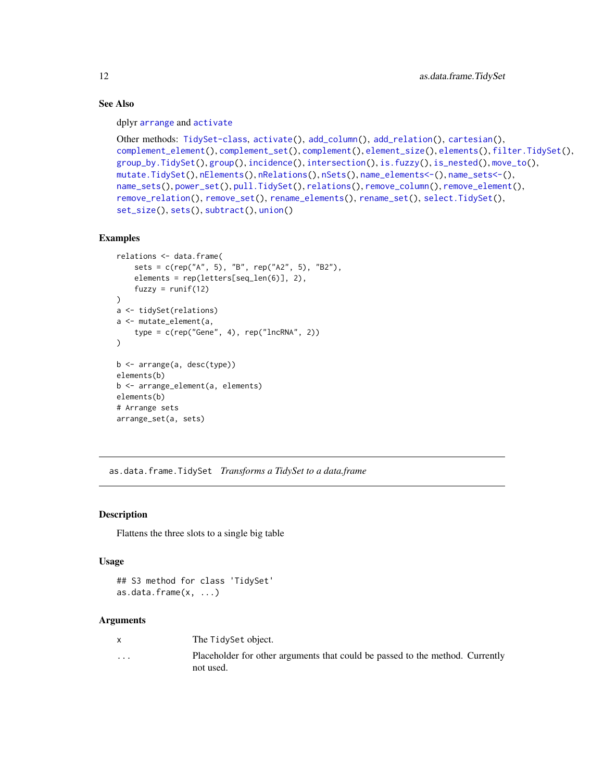### See Also

dplyr [arrange](#page-0-0) and [activate](#page-3-1)

```
Other methods: TidySet-class, activate(), add_column(), add_relation(), cartesian(),
complement_element(), complement_set(), complement(), element_size(), elements(), filter.TidySet(),
group_by.TidySet(), group(), incidence(), intersection(), is.fuzzy(), is_nested(), move_to(),
mutate.TidySet(), nElements(), nRelations(), nSets(), name_elements<-(), name_sets<-(),
name_sets(), power_set(), pull.TidySet(), relations(), remove_column(), remove_element(),
remove_relation(), remove_set(), rename_elements(), rename_set(), select.TidySet(),
set_size(), sets(), subtract(), union()
```
### Examples

```
relations <- data.frame(
    sets = c(rep("A", 5), "B", rep("A2", 5), "B2"),
    elements = rep(letters[seq_len(6)], 2),
    fuzzy = runif(12)\lambdaa <- tidySet(relations)
a <- mutate_element(a,
    type = c(rep("Gene", 4), rep("lncRNA", 2))
\lambdab <- arrange(a, desc(type))
elements(b)
b <- arrange_element(a, elements)
elements(b)
# Arrange sets
arrange_set(a, sets)
```
as.data.frame.TidySet *Transforms a TidySet to a data.frame*

### **Description**

Flattens the three slots to a single big table

#### Usage

## S3 method for class 'TidySet' as.data.frame(x, ...)

#### Arguments

|          | The TidySet object.                                                                        |
|----------|--------------------------------------------------------------------------------------------|
| $\cdots$ | Placeholder for other arguments that could be passed to the method. Currently<br>not used. |

<span id="page-11-0"></span>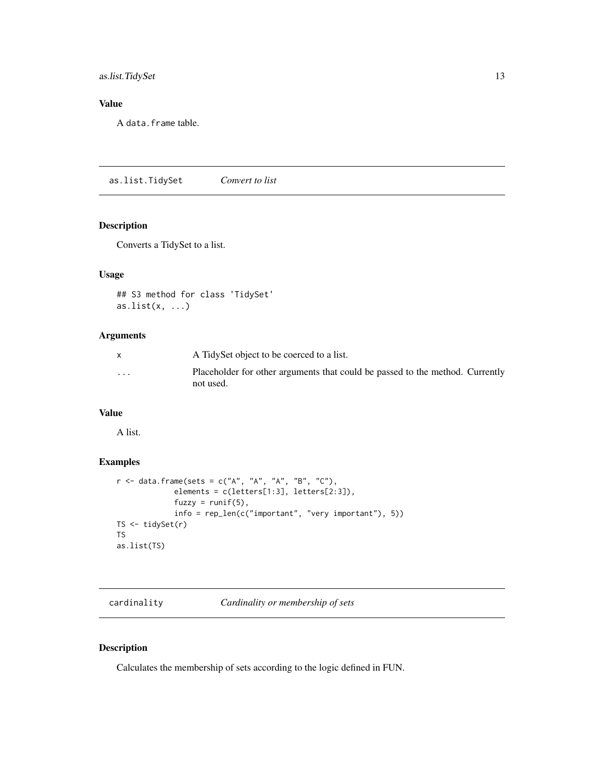### <span id="page-12-0"></span>as.list.TidySet 13

### Value

A data.frame table.

as.list.TidySet *Convert to list*

### Description

Converts a TidySet to a list.

### Usage

```
## S3 method for class 'TidySet'
as.list(x, ...)
```
### Arguments

|          | A TidySet object to be coerced to a list.                                                  |
|----------|--------------------------------------------------------------------------------------------|
| $\cdots$ | Placeholder for other arguments that could be passed to the method. Currently<br>not used. |

### Value

A list.

### Examples

```
r <- data.frame(sets = c("A", "A", "A", "B", "C"),
             elements = c(letters[1:3], letters[2:3]),
             fuzzy = runif(5),
             info = rep_len(c("important", "very important"), 5))
TS <- tidySet(r)
TS
as.list(TS)
```
cardinality *Cardinality or membership of sets*

### Description

Calculates the membership of sets according to the logic defined in FUN.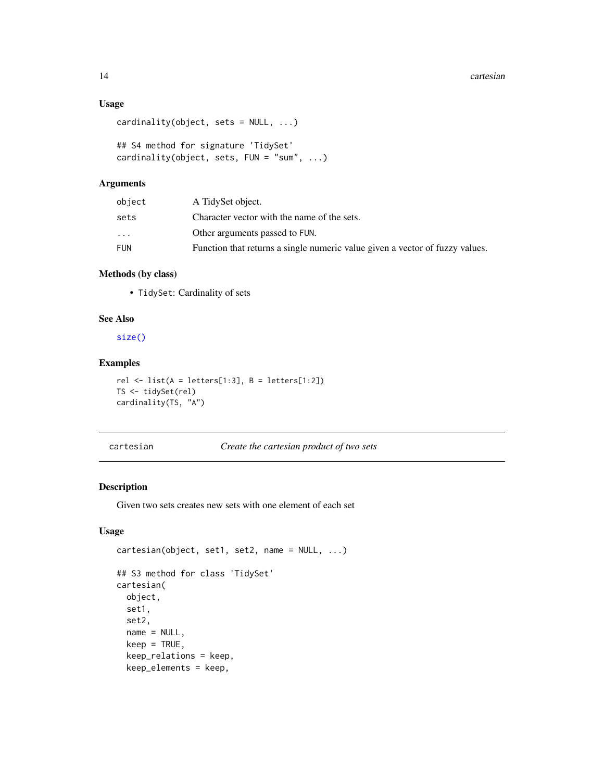#### <span id="page-13-0"></span>14 cartesian

### Usage

```
cardinality(object, sets = NULL, ...)
```

```
## S4 method for signature 'TidySet'
cardinality(object, sets, FUN = "sum", ...)
```
#### Arguments

| object                  | A TidySet object.                                                            |
|-------------------------|------------------------------------------------------------------------------|
| sets                    | Character vector with the name of the sets.                                  |
| $\cdot$ $\cdot$ $\cdot$ | Other arguments passed to FUN.                                               |
| FUN                     | Function that returns a single numeric value given a vector of fuzzy values. |

### Methods (by class)

• TidySet: Cardinality of sets

### See Also

[size\(\)](#page-59-1)

### Examples

```
rel \le list(A = letters[1:3], B = letters[1:2])
TS <- tidySet(rel)
cardinality(TS, "A")
```

```
cartesian Create the cartesian product of two sets
```
### Description

Given two sets creates new sets with one element of each set

### Usage

```
cartesian(object, set1, set2, name = NULL, ...)
## S3 method for class 'TidySet'
cartesian(
  object,
  set1,
  set2,
```

```
name = NULL,
keep = TRUE,keep_relations = keep,
keep_elements = keep,
```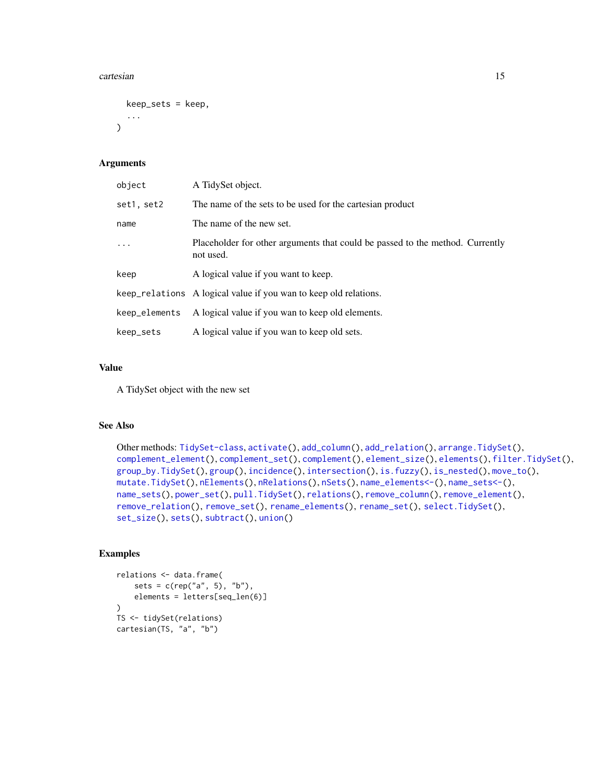#### cartesian and the control of the control of the control of the control of the control of the control of the control of the control of the control of the control of the control of the control of the control of the control o

```
keep_sets = keep,
  ...
\lambda
```
### Arguments

| object        | A TidySet object.                                                                          |
|---------------|--------------------------------------------------------------------------------------------|
| set1, set2    | The name of the sets to be used for the cartesian product                                  |
| name          | The name of the new set.                                                                   |
| $\ddots$      | Placeholder for other arguments that could be passed to the method. Currently<br>not used. |
| keep          | A logical value if you want to keep.                                                       |
|               | keep_relations A logical value if you wan to keep old relations.                           |
| keep_elements | A logical value if you wan to keep old elements.                                           |
| keep_sets     | A logical value if you wan to keep old sets.                                               |

#### Value

A TidySet object with the new set

### See Also

```
Other methods: TidySet-class, activate(), add_column(), add_relation(), arrange.TidySet(),
complement_element(), complement_set(), complement(), element_size(), elements(), filter.TidySet(),
group_by.TidySet(), group(), incidence(), intersection(), is.fuzzy(), is_nested(), move_to(),
mutate.TidySet(), nElements(), nRelations(), nSets(), name_elements<-(), name_sets<-(),
name_sets(), power_set(), pull.TidySet(), relations(), remove_column(), remove_element(),
remove_relation(), remove_set(), rename_elements(), rename_set(), select.TidySet(),
set_size(), sets(), subtract(), union()
```

```
relations <- data.frame(
    sets = c(rep("a", 5), "b"),elements = letters[seq_len(6)]
\mathcal{L}TS <- tidySet(relations)
cartesian(TS, "a", "b")
```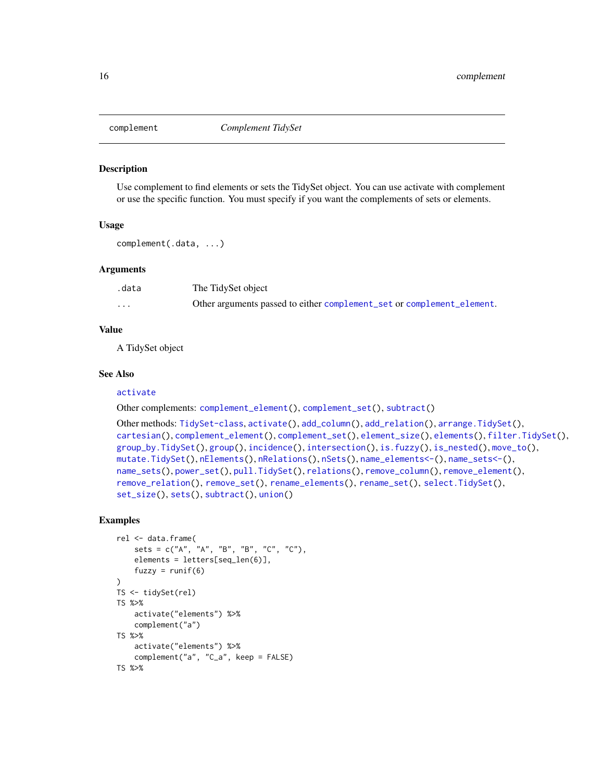<span id="page-15-1"></span><span id="page-15-0"></span>

#### Description

Use complement to find elements or sets the TidySet object. You can use activate with complement or use the specific function. You must specify if you want the complements of sets or elements.

#### Usage

complement(.data, ...)

#### Arguments

| .data    | The TidySet object                                                     |
|----------|------------------------------------------------------------------------|
| $\cdots$ | Other arguments passed to either complement_set or complement_element. |

#### Value

A TidySet object

#### See Also

#### [activate](#page-3-1)

Other complements: [complement\\_element\(](#page-16-1)), [complement\\_set\(](#page-17-1)), [subtract\(](#page-60-1))

```
Other methods: TidySet-class, activate(), add_column(), add_relation(), arrange.TidySet(),
cartesian(), complement_element(), complement_set(), element_size(), elements(), filter.TidySet(),
group_by.TidySet(), group(), incidence(), intersection(), is.fuzzy(), is_nested(), move_to(),
mutate.TidySet(), nElements(), nRelations(), nSets(), name_elements<-(), name_sets<-(),
name_sets(), power_set(), pull.TidySet(), relations(), remove_column(), remove_element(),
remove_relation(), remove_set(), rename_elements(), rename_set(), select.TidySet(),
set_size(), sets(), subtract(), union()
```

```
rel <- data.frame(
    sets = c("A", "A", "B", "B", "C", "C"),
    elements = letters[seq_len(6)],
    fuzzy = runif(6)\mathcal{L}TS <- tidySet(rel)
TS %>%
    activate("elements") %>%
    complement("a")
TS %>%
    activate("elements") %>%
    complement("a", "C_a", keep = FALSE)
TS %>%
```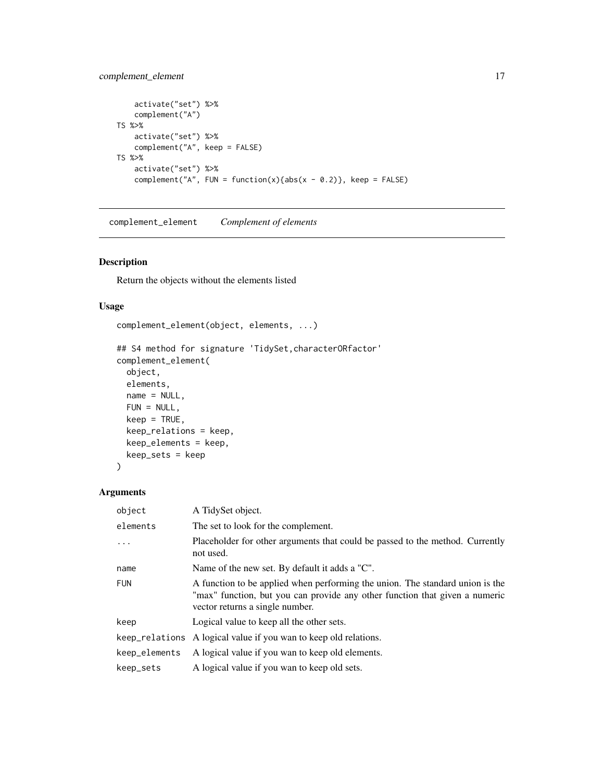### <span id="page-16-0"></span>complement\_element 17

```
activate("set") %>%
    complement("A")
TS %>%
   activate("set") %>%
   complement("A", keep = FALSE)
TS %>%
   activate("set") %>%
   complement("A", FUN = function(x){abs(x - 0.2)}, keep = FALSE)
```
<span id="page-16-1"></span>complement\_element *Complement of elements*

### Description

Return the objects without the elements listed

#### Usage

```
complement_element(object, elements, ...)
```

```
## S4 method for signature 'TidySet, characterORfactor'
complement_element(
  object,
 elements,
  name = NULL,FUN = NULL,
 keep = TRUE,keep_relations = keep,
 keep_elements = keep,
 keep_sets = keep
\mathcal{L}
```
#### Arguments

| object         | A TidySet object.                                                                                                                                                                               |
|----------------|-------------------------------------------------------------------------------------------------------------------------------------------------------------------------------------------------|
| elements       | The set to look for the complement.                                                                                                                                                             |
| .              | Placeholder for other arguments that could be passed to the method. Currently<br>not used.                                                                                                      |
| name           | Name of the new set. By default it adds a "C".                                                                                                                                                  |
| <b>FUN</b>     | A function to be applied when performing the union. The standard union is the<br>"max" function, but you can provide any other function that given a numeric<br>vector returns a single number. |
| keep           | Logical value to keep all the other sets.                                                                                                                                                       |
| keep_relations | A logical value if you wan to keep old relations.                                                                                                                                               |
| keep_elements  | A logical value if you wan to keep old elements.                                                                                                                                                |
| keep_sets      | A logical value if you wan to keep old sets.                                                                                                                                                    |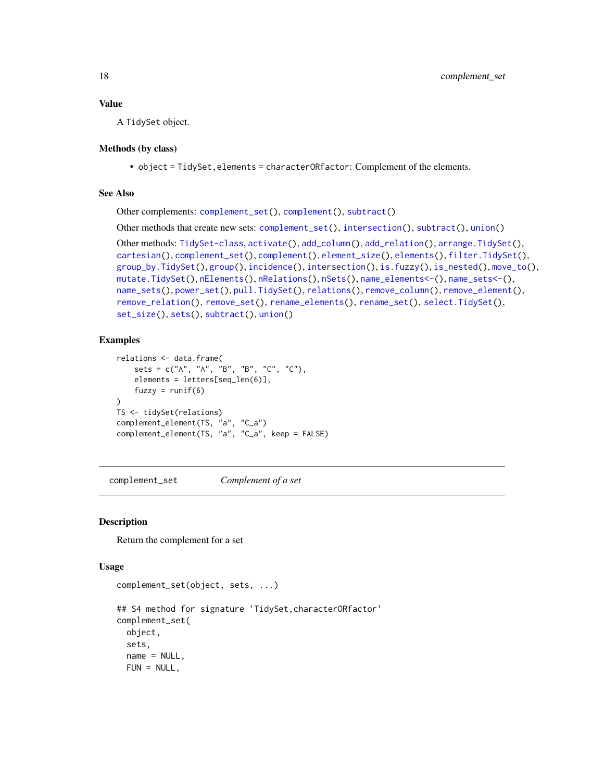### <span id="page-17-0"></span>Value

A TidySet object.

#### Methods (by class)

• object = TidySet,elements = characterORfactor: Complement of the elements.

#### See Also

Other complements: [complement\\_set\(](#page-17-1)), [complement\(](#page-15-1)), [subtract\(](#page-60-1))

Other methods that create new sets: [complement\\_set\(](#page-17-1)), [intersection\(](#page-29-1)), [subtract\(](#page-60-1)), [union\(](#page-65-1))

Other methods: [TidySet-class](#page-64-2), [activate\(](#page-3-1)), [add\\_column\(](#page-4-1)), [add\\_relation\(](#page-6-1)), [arrange.TidySet\(](#page-10-1)), [cartesian\(](#page-13-1)), [complement\\_set\(](#page-17-1)), [complement\(](#page-15-1)), [element\\_size\(](#page-21-1)), [elements\(](#page-20-1)), [filter.TidySet\(](#page-22-1)), [group\\_by.TidySet\(](#page-27-1)), [group\(](#page-26-1)), [incidence\(](#page-28-1)), [intersection\(](#page-29-1)), [is.fuzzy\(](#page-31-1)), [is\\_nested\(](#page-32-1)), [move\\_to\(](#page-34-1)), [mutate.TidySet\(](#page-36-1)), [nElements\(](#page-42-1)), [nRelations\(](#page-43-1)), [nSets\(](#page-43-2)), [name\\_elements<-\(](#page-38-1)), [name\\_sets<-\(](#page-40-1)), [name\\_sets\(](#page-39-1)), [power\\_set\(](#page-44-1)), [pull.TidySet\(](#page-45-1)), [relations\(](#page-46-1)), [remove\\_column\(](#page-48-1)), [remove\\_element\(](#page-49-1)), [remove\\_relation\(](#page-50-1)), [remove\\_set\(](#page-51-1)), [rename\\_elements\(](#page-52-1)), [rename\\_set\(](#page-53-1)), [select.TidySet\(](#page-54-1)), [set\\_size\(](#page-57-1)), [sets\(](#page-55-1)), [subtract\(](#page-60-1)), [union\(](#page-65-1))

### Examples

```
relations <- data.frame(
    sets = c("A", "A", "B", "B", "C", "C"),elements = letters[seq_len(6)],
    fuzzy = runif(6))
TS <- tidySet(relations)
complement_element(TS, "a", "C_a")
complement_element(TS, "a", "C_a", keep = FALSE)
```
<span id="page-17-1"></span>complement\_set *Complement of a set*

### Description

Return the complement for a set

 $FUN = NULL,$ 

#### Usage

```
complement_set(object, sets, ...)
## S4 method for signature 'TidySet,characterORfactor'
complement_set(
  object,
  sets,
  name = NULL,
```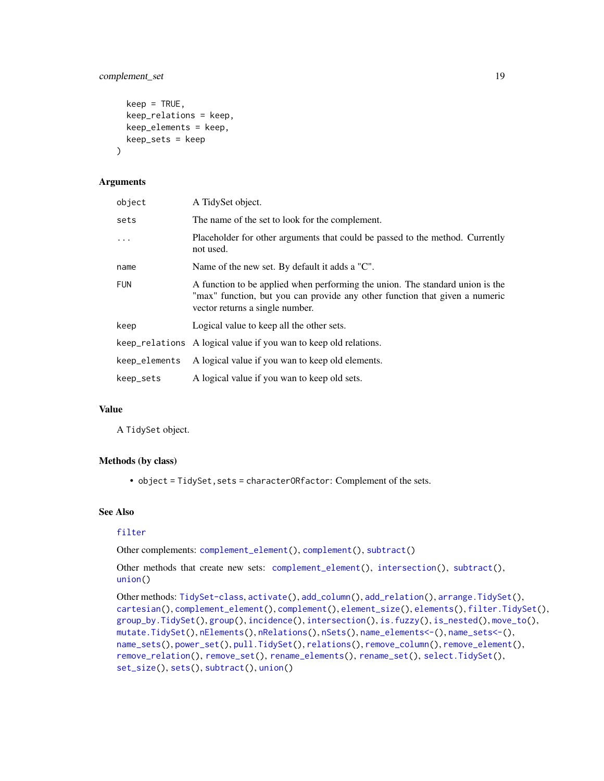### complement\_set 19

```
keep = TRUE,
  keep_relations = keep,
  keep_elements = keep,
  keep_sets = keep
\lambda
```
### Arguments

| object        | A TidySet object.                                                                                                                                                                               |
|---------------|-------------------------------------------------------------------------------------------------------------------------------------------------------------------------------------------------|
| sets          | The name of the set to look for the complement.                                                                                                                                                 |
| $\cdots$      | Placeholder for other arguments that could be passed to the method. Currently<br>not used.                                                                                                      |
| name          | Name of the new set. By default it adds a "C".                                                                                                                                                  |
| <b>FUN</b>    | A function to be applied when performing the union. The standard union is the<br>"max" function, but you can provide any other function that given a numeric<br>vector returns a single number. |
| keep          | Logical value to keep all the other sets.                                                                                                                                                       |
|               | keep_relations A logical value if you wan to keep old relations.                                                                                                                                |
| keep_elements | A logical value if you wan to keep old elements.                                                                                                                                                |
| keep_sets     | A logical value if you wan to keep old sets.                                                                                                                                                    |

### Value

A TidySet object.

### Methods (by class)

• object = TidySet, sets = characterORfactor: Complement of the sets.

#### See Also

### [filter](#page-0-0)

Other complements: [complement\\_element\(](#page-16-1)), [complement\(](#page-15-1)), [subtract\(](#page-60-1))

Other methods that create new sets: [complement\\_element\(](#page-16-1)), [intersection\(](#page-29-1)), [subtract\(](#page-60-1)), [union\(](#page-65-1))

```
Other methods: TidySet-class, activate(), add_column(), add_relation(), arrange.TidySet(),
cartesian(), complement_element(), complement(), element_size(), elements(), filter.TidySet(),
group_by.TidySet(), group(), incidence(), intersection(), is.fuzzy(), is_nested(), move_to(),
mutate.TidySet(), nElements(), nRelations(), nSets(), name_elements<-(), name_sets<-(),
name_sets(), power_set(), pull.TidySet(), relations(), remove_column(), remove_element(),
remove_relation(), remove_set(), rename_elements(), rename_set(), select.TidySet(),
set_size(), sets(), subtract(), union()
```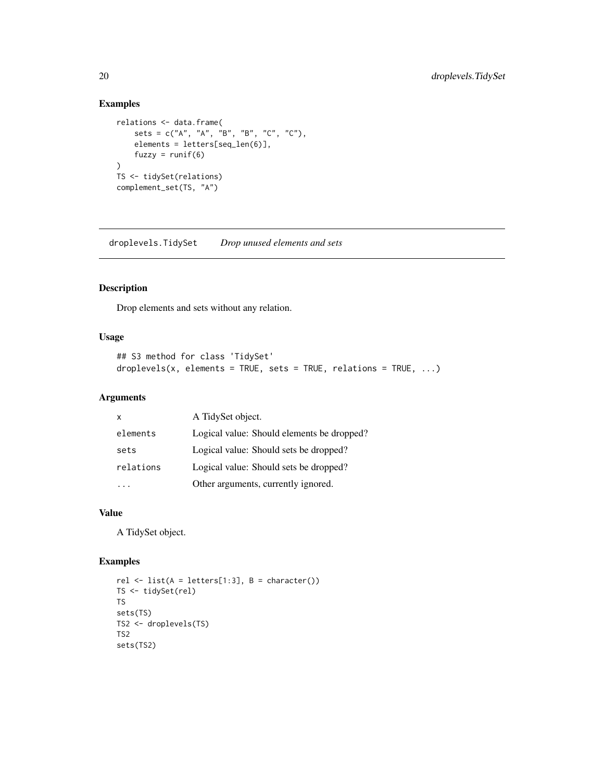### Examples

```
relations <- data.frame(
   sets = c("A", "A", "B", "B", "C", "C"),
   elements = letters[seq_len(6)],
   fuzzy = runif(6))
TS <- tidySet(relations)
complement_set(TS, "A")
```
droplevels.TidySet *Drop unused elements and sets*

### Description

Drop elements and sets without any relation.

### Usage

```
## S3 method for class 'TidySet'
droplevels(x, elements = TRUE, sets = TRUE, relations = TRUE, \dots)
```
### Arguments

| X         | A TidySet object.                          |
|-----------|--------------------------------------------|
| elements  | Logical value: Should elements be dropped? |
| sets      | Logical value: Should sets be dropped?     |
| relations | Logical value: Should sets be dropped?     |
|           | Other arguments, currently ignored.        |

#### Value

A TidySet object.

```
rel \leftarrow list(A = letters[1:3], B = character())
TS <- tidySet(rel)
TS
sets(TS)
TS2 <- droplevels(TS)
TS2
sets(TS2)
```
<span id="page-19-0"></span>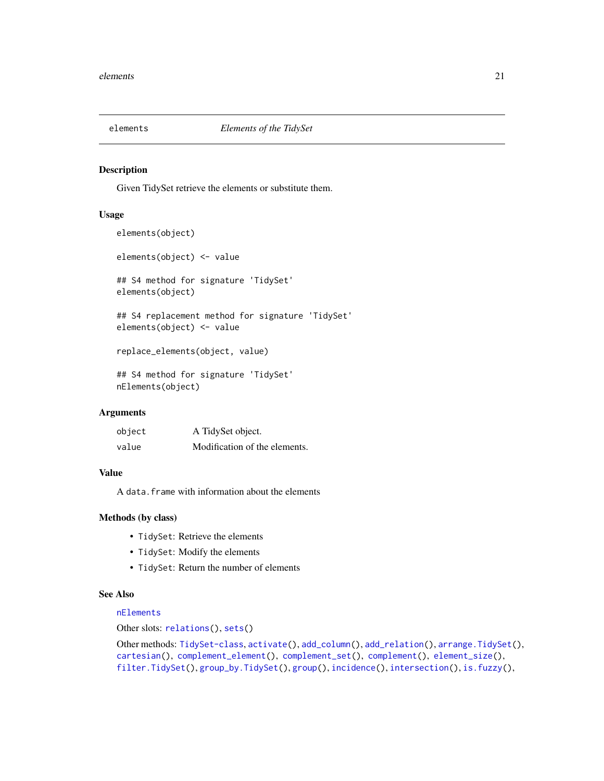<span id="page-20-1"></span><span id="page-20-0"></span>

#### Description

Given TidySet retrieve the elements or substitute them.

#### Usage

```
elements(object)
elements(object) <- value
## S4 method for signature 'TidySet'
elements(object)
## S4 replacement method for signature 'TidySet'
elements(object) <- value
replace_elements(object, value)
## S4 method for signature 'TidySet'
nElements(object)
```
### Arguments

| object | A TidySet object.             |
|--------|-------------------------------|
| value  | Modification of the elements. |

### Value

A data.frame with information about the elements

#### Methods (by class)

- TidySet: Retrieve the elements
- TidySet: Modify the elements
- TidySet: Return the number of elements

### See Also

### [nElements](#page-42-1)

Other slots: [relations\(](#page-46-1)), [sets\(](#page-55-1))

Other methods: [TidySet-class](#page-64-2), [activate\(](#page-3-1)), [add\\_column\(](#page-4-1)), [add\\_relation\(](#page-6-1)), [arrange.TidySet\(](#page-10-1)), [cartesian\(](#page-13-1)), [complement\\_element\(](#page-16-1)), [complement\\_set\(](#page-17-1)), [complement\(](#page-15-1)), [element\\_size\(](#page-21-1)), [filter.TidySet\(](#page-22-1)), [group\\_by.TidySet\(](#page-27-1)), [group\(](#page-26-1)), [incidence\(](#page-28-1)), [intersection\(](#page-29-1)), [is.fuzzy\(](#page-31-1)),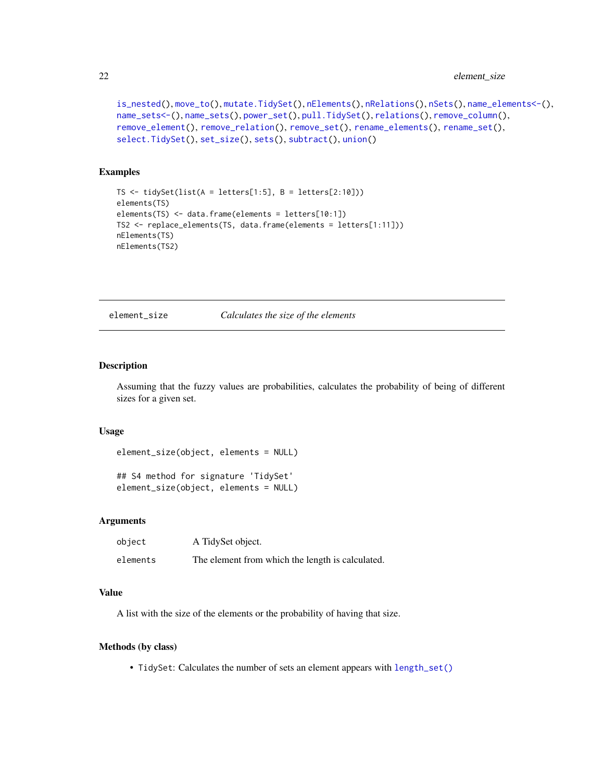```
is_nested(), move_to(), mutate.TidySet(), nElements(), nRelations(), nSets(), name_elements<-(),
name_sets<-(), name_sets(), power_set(), pull.TidySet(), relations(), remove_column(),
remove_element(), remove_relation(), remove_set(), rename_elements(), rename_set(),
select.TidySet(), set_size(), sets(), subtract(), union()
```
### Examples

```
TS \le tidySet(list(A = letters[1:5], B = letters[2:10]))
elements(TS)
elements(TS) <- data.frame(elements = letters[10:1])
TS2 <- replace_elements(TS, data.frame(elements = letters[1:11]))
nElements(TS)
nElements(TS2)
```
element\_size *Calculates the size of the elements*

#### Description

Assuming that the fuzzy values are probabilities, calculates the probability of being of different sizes for a given set.

#### Usage

```
element_size(object, elements = NULL)
```

```
## S4 method for signature 'TidySet'
element_size(object, elements = NULL)
```
### Arguments

| object   | A TidySet object.                                |
|----------|--------------------------------------------------|
| elements | The element from which the length is calculated. |

#### Value

A list with the size of the elements or the probability of having that size.

#### Methods (by class)

• TidySet: Calculates the number of sets an element appears with [length\\_set\(\)](#page-33-1)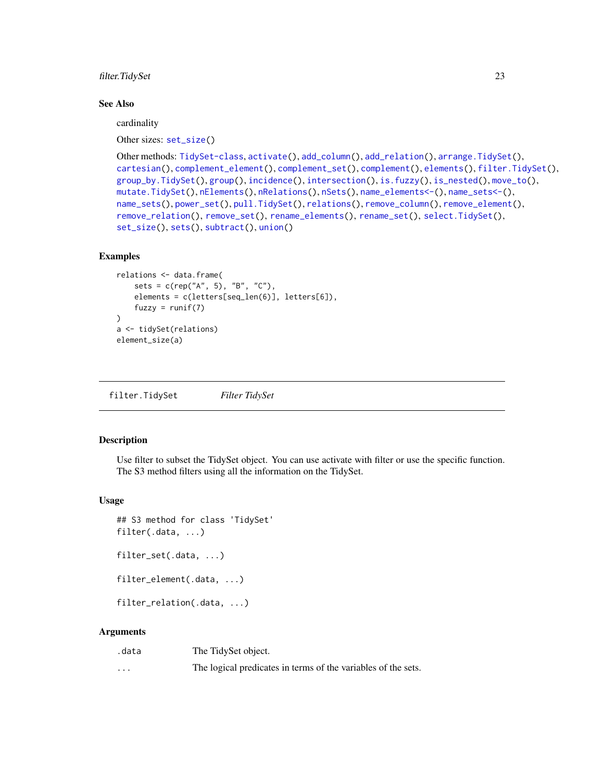<span id="page-22-0"></span>filter.TidySet 23

#### See Also

cardinality

Other sizes: [set\\_size\(](#page-57-1))

```
Other methods: TidySet-class, activate(), add_column(), add_relation(), arrange.TidySet(),
cartesian(), complement_element(), complement_set(), complement(), elements(), filter.TidySet(),
group_by.TidySet(), group(), incidence(), intersection(), is.fuzzy(), is_nested(), move_to(),
mutate.TidySet(), nElements(), nRelations(), nSets(), name_elements<-(), name_sets<-(),
name_sets(), power_set(), pull.TidySet(), relations(), remove_column(), remove_element(),
remove_relation(), remove_set(), rename_elements(), rename_set(), select.TidySet(),
set_size(), sets(), subtract(), union()
```
### Examples

```
relations <- data.frame(
    sets = c(rep("A", 5), "B", "C"),elements = c(letters[seq_len(6)], letters[6]),
    fuzzy = runif(7))
a <- tidySet(relations)
element_size(a)
```
<span id="page-22-1"></span>filter.TidySet *Filter TidySet*

### Description

Use filter to subset the TidySet object. You can use activate with filter or use the specific function. The S3 method filters using all the information on the TidySet.

#### Usage

```
## S3 method for class 'TidySet'
filter(.data, ...)
filter_set(.data, ...)
filter_element(.data, ...)
filter_relation(.data, ...)
```
#### Arguments

| .data | The TidySet object.                                           |
|-------|---------------------------------------------------------------|
| .     | The logical predicates in terms of the variables of the sets. |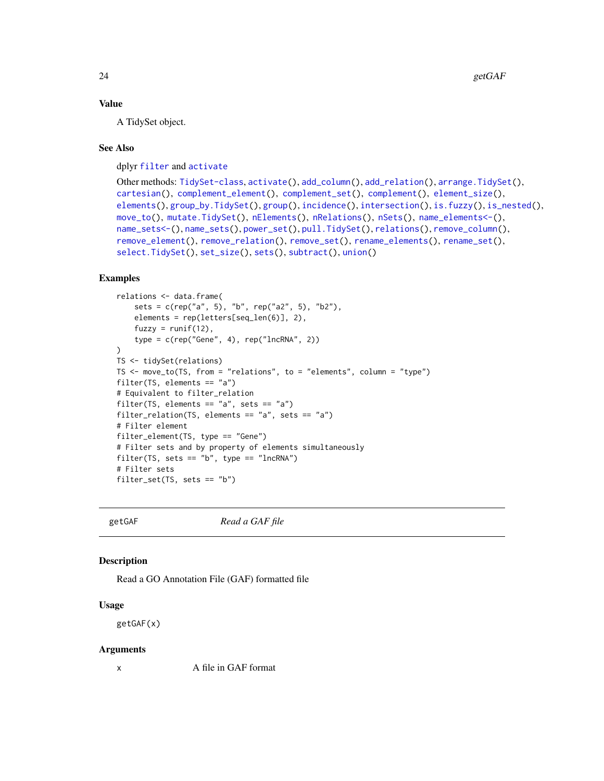#### Value

A TidySet object.

#### See Also

dplyr [filter](#page-0-0) and [activate](#page-3-1)

```
Other methods: TidySet-class, activate(), add_column(), add_relation(), arrange.TidySet(),
cartesian(), complement_element(), complement_set(), complement(), element_size(),
elements(group_by.TidySet(group(incidence(intersection(is.fuzzy(is_nested(),
move_to(), mutate.TidySet(), nElements(), nRelations(), nSets(), name_elements<-(),
name_sets<-(), name_sets(), power_set(), pull.TidySet(), relations(), remove_column(),
remove_element(), remove_relation(), remove_set(), rename_elements(), rename_set(),
select.TidySet(), set_size(), sets(), subtract(), union()
```
### Examples

```
relations <- data.frame(
    sets = c(rep("a", 5), "b", rep("a2", 5), "b2"),elements = rep(letters[seq_len(6)], 2),
   fuzzy = runif(12),
    type = c(rep("Gene", 4), rep("lncRNA", 2))
\lambdaTS <- tidySet(relations)
TS \le move_to(TS, from = "relations", to = "elements", column = "type")
filter(TS, elements == "a")
# Equivalent to filter_relation
filter(TS, elements == "a", sets == "a")
filter_relation(TS, elements == "a", sets == "a")
# Filter element
filter_element(TS, type == "Gene")
# Filter sets and by property of elements simultaneously
filter(TS, sets == nb'', type == "lncRNA")
# Filter sets
filter_set(TS, sets == "b")
```
<span id="page-23-1"></span>

getGAF *Read a GAF file*

#### Description

Read a GO Annotation File (GAF) formatted file

#### Usage

getGAF(x)

#### Arguments

x A file in GAF format

<span id="page-23-0"></span>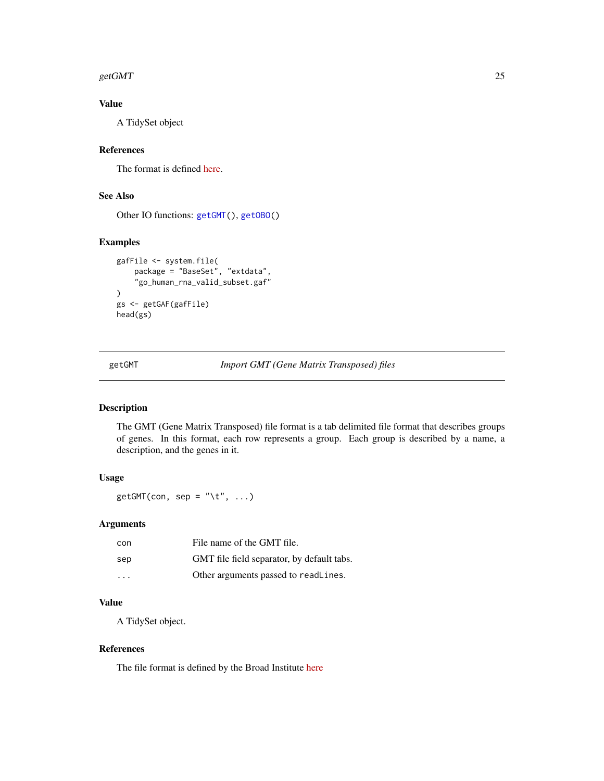#### <span id="page-24-0"></span>getGMT  $25$

### Value

A TidySet object

### References

The format is defined [here.](http://geneontology.org/docs/go-annotation-file-gaf-format-2.1/)

## See Also

Other IO functions: [getGMT\(](#page-24-1)), [getOBO\(](#page-25-1))

### Examples

```
gafFile <- system.file(
   package = "BaseSet", "extdata",
    "go_human_rna_valid_subset.gaf"
)
gs <- getGAF(gafFile)
head(gs)
```
<span id="page-24-1"></span>getGMT *Import GMT (Gene Matrix Transposed) files*

### Description

The GMT (Gene Matrix Transposed) file format is a tab delimited file format that describes groups of genes. In this format, each row represents a group. Each group is described by a name, a description, and the genes in it.

### Usage

getGMT(con, sep = "\t", ...)

## Arguments

| con | File name of the GMT file.                 |
|-----|--------------------------------------------|
| sep | GMT file field separator, by default tabs. |
| .   | Other arguments passed to readLines.       |

## Value

A TidySet object.

### References

The file format is defined by the Broad Institute [here](https://software.broadinstitute.org/cancer/software/gsea/wiki/index.php/Data_formats#GMT:_Gene_Matrix_Transposed_file_format_.28.2A.gmt.29)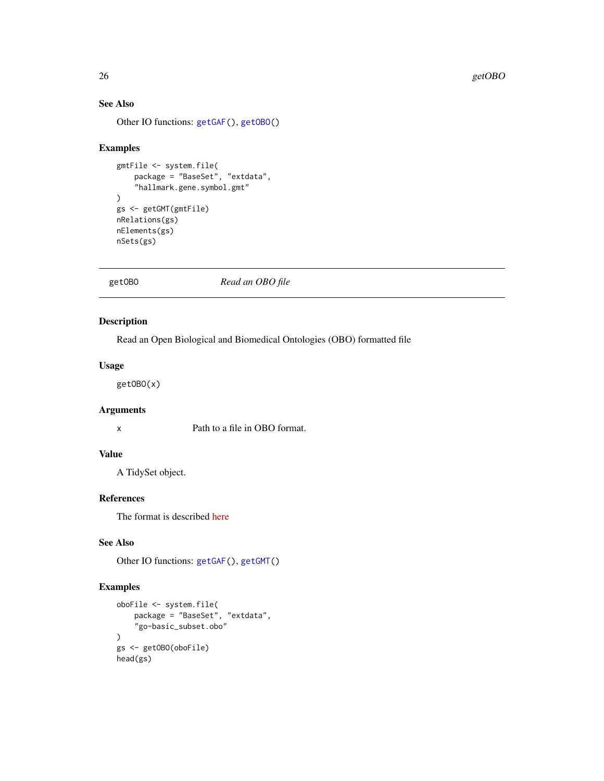### See Also

Other IO functions: [getGAF\(](#page-23-1)), [getOBO\(](#page-25-1))

#### Examples

```
gmtFile <- system.file(
    package = "BaseSet", "extdata",
    "hallmark.gene.symbol.gmt"
)
gs <- getGMT(gmtFile)
nRelations(gs)
nElements(gs)
nSets(gs)
```
<span id="page-25-1"></span>

getOBO *Read an OBO file*

### Description

Read an Open Biological and Biomedical Ontologies (OBO) formatted file

### Usage

getOBO(x)

### Arguments

x Path to a file in OBO format.

### Value

A TidySet object.

### References

The format is described [here](https://owlcollab.github.io/oboformat/doc/GO.format.obo-1_4.html)

### See Also

Other IO functions: [getGAF\(](#page-23-1)), [getGMT\(](#page-24-1))

```
oboFile <- system.file(
    package = "BaseSet", "extdata",
    "go-basic_subset.obo"
\mathcal{L}gs <- getOBO(oboFile)
head(gs)
```
<span id="page-25-0"></span>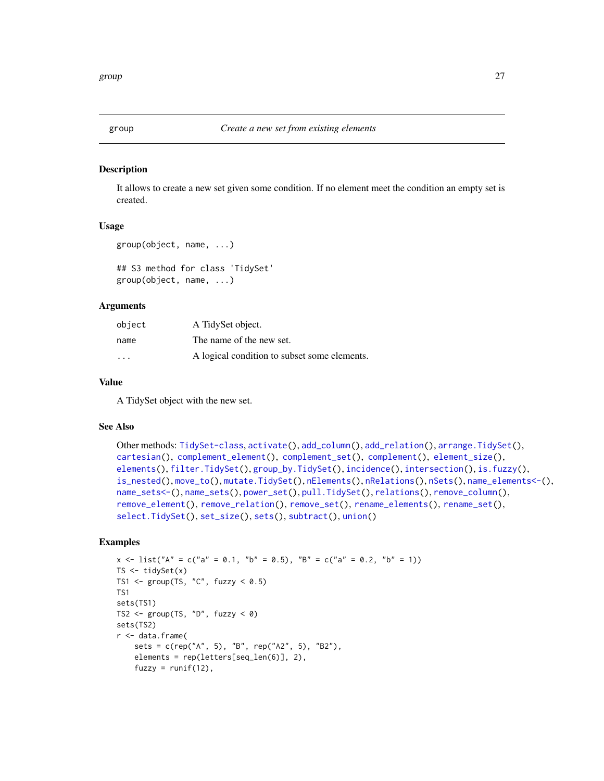<span id="page-26-1"></span><span id="page-26-0"></span>

#### Description

It allows to create a new set given some condition. If no element meet the condition an empty set is created.

### Usage

```
group(object, name, ...)
```
## S3 method for class 'TidySet' group(object, name, ...)

### Arguments

| object                  | A TidySet object.                            |
|-------------------------|----------------------------------------------|
| name                    | The name of the new set.                     |
| $\cdot$ $\cdot$ $\cdot$ | A logical condition to subset some elements. |

#### Value

A TidySet object with the new set.

#### See Also

```
Other methods: TidySet-class, activate(), add_column(), add_relation(), arrange.TidySet(),
cartesian(), complement_element(), complement_set(), complement(), element_size(),
elements(), filter.TidySet(), group_by.TidySet(), incidence(), intersection(), is.fuzzy(),
is_nested(), move_to(), mutate.TidySet(), nElements(), nRelations(), nSets(), name_elements<-(),
name_sets<-(), name_sets(), power_set(), pull.TidySet(), relations(), remove_column(),
remove_element(), remove_relation(), remove_set(), rename_elements(), rename_set(),
select.TidySet(), set_size(), sets(), subtract(), union()
```

```
x \le - list("A" = c("a" = 0.1, "b" = 0.5), "B" = c("a" = 0.2, "b" = 1))
TS \le tidySet(x)
TS1 <- group(TS, "C", fuzzy < 0.5)TS1
sets(TS1)
TS2 <- group(TS, "D", fuzzy < 0)sets(TS2)
r <- data.frame(
    sets = c(rep("A", 5), "B", rep("A2", 5), "B2"),
    elements = rep(letters[seq_len(6)], 2),
    fuzzy = runif(12),
```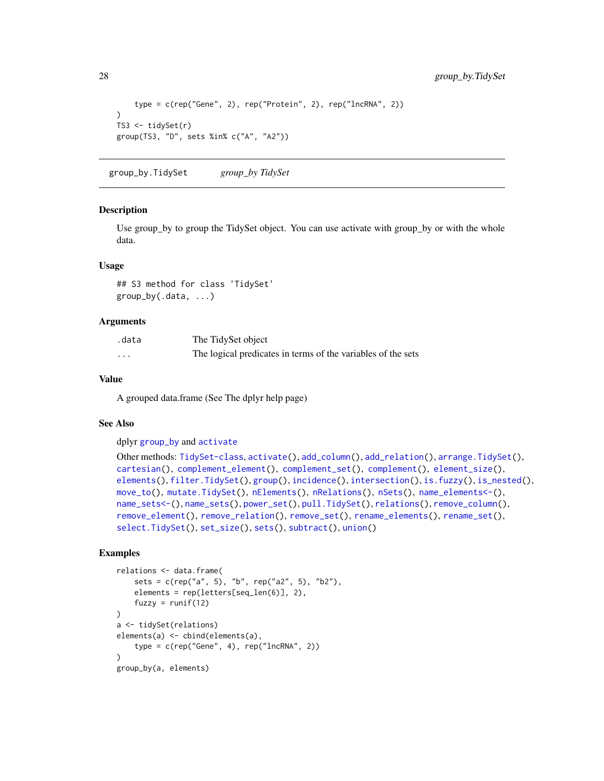```
type = c(rep("Gene", 2), rep("Protein", 2), rep("lncRNA", 2))
\lambdaTS3 <- tidySet(r)
group(TS3, "D", sets %in% c("A", "A2"))
```
<span id="page-27-1"></span>group\_by.TidySet *group\_by TidySet*

#### Description

Use group\_by to group the TidySet object. You can use activate with group\_by or with the whole data.

### Usage

## S3 method for class 'TidySet' group\_by(.data, ...)

### Arguments

| .data | The TidySet object                                           |
|-------|--------------------------------------------------------------|
| .     | The logical predicates in terms of the variables of the sets |

### Value

A grouped data.frame (See The dplyr help page)

### See Also

dplyr [group\\_by](#page-0-0) and [activate](#page-3-1)

```
Other methods: TidySet-class, activate(), add_column(), add_relation(), arrange.TidySet(),
cartesian(), complement_element(), complement_set(), complement(), element_size(),
elements(), filter.TidySet(), group(), incidence(), intersection(), is.fuzzy(), is_nested(),
move_to(), mutate.TidySet(), nElements(), nRelations(), nSets(), name_elements<-(),
name_sets<-(), name_sets(), power_set(), pull.TidySet(), relations(), remove_column(),
remove_element(), remove_relation(), remove_set(), rename_elements(), rename_set(),
select.TidySet(), set_size(), sets(), subtract(), union()
```

```
relations <- data.frame(
    sets = c(rep("a", 5), "b", rep("a2", 5), "b2"),elements = rep(letters[seq_len(6)], 2),
    fuzzy = runif(12))
a <- tidySet(relations)
elements(a) <- cbind(elements(a),
    type = c(rep("Gene", 4), rep("IncRNA", 2))\lambdagroup_by(a, elements)
```
<span id="page-27-0"></span>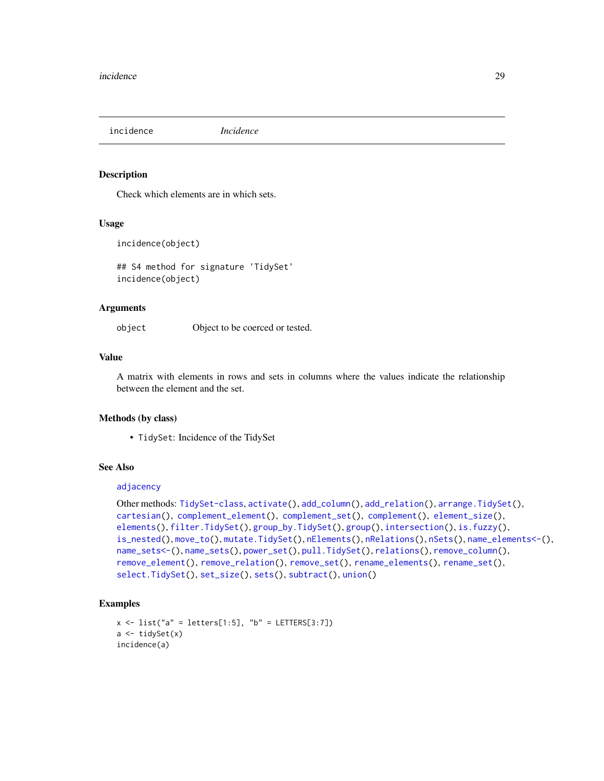<span id="page-28-1"></span><span id="page-28-0"></span>incidence *Incidence*

#### Description

Check which elements are in which sets.

#### Usage

incidence(object)

## S4 method for signature 'TidySet' incidence(object)

### Arguments

object Object to be coerced or tested.

### Value

A matrix with elements in rows and sets in columns where the values indicate the relationship between the element and the set.

#### Methods (by class)

• TidySet: Incidence of the TidySet

### See Also

### [adjacency](#page-9-1)

```
Other methods: TidySet-class, activate(), add_column(), add_relation(), arrange.TidySet(),
cartesian(), complement_element(), complement_set(), complement(), element_size(),
elements(), filter.TidySet(), group_by.TidySet(), group(), intersection(), is.fuzzy(),
is_nested(), move_to(), mutate.TidySet(), nElements(), nRelations(), nSets(), name_elements<-(),
name_sets<-(), name_sets(), power_set(), pull.TidySet(), relations(), remove_column(),
remove_element(), remove_relation(), remove_set(), rename_elements(), rename_set(),
select.TidySet(), set_size(), sets(), subtract(), union()
```

```
x \le - list("a" = letters[1:5], "b" = LETTERS[3:7])
a <- tidySet(x)
incidence(a)
```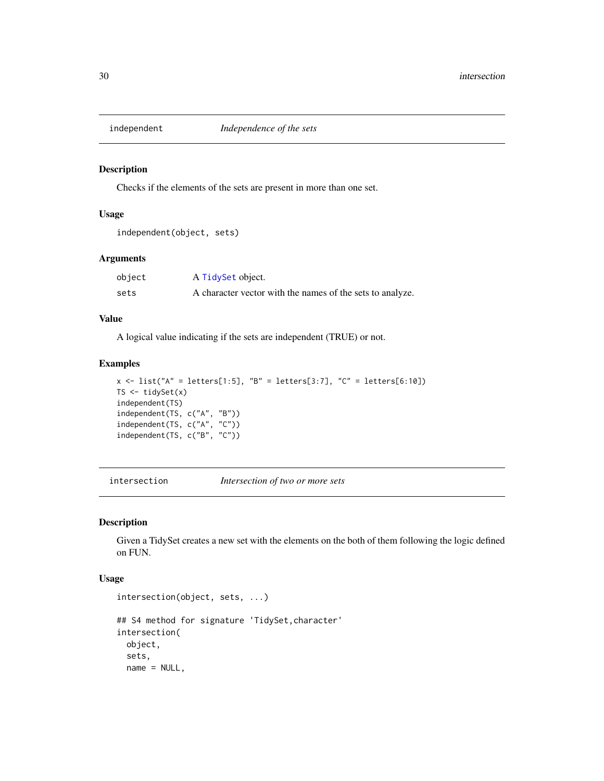<span id="page-29-0"></span>

### Description

Checks if the elements of the sets are present in more than one set.

#### Usage

```
independent(object, sets)
```
### Arguments

| object | A TidySet object.                                         |
|--------|-----------------------------------------------------------|
| sets   | A character vector with the names of the sets to analyze. |

### Value

A logical value indicating if the sets are independent (TRUE) or not.

### Examples

```
x \le - list("A" = letters[1:5], "B" = letters[3:7], "C" = letters[6:10])
TS \leftarrow tidySet(x)independent(TS)
independent(TS, c("A", "B"))
independent(TS, c("A", "C"))
independent(TS, c("B", "C"))
```
<span id="page-29-1"></span>intersection *Intersection of two or more sets*

### Description

Given a TidySet creates a new set with the elements on the both of them following the logic defined on FUN.

#### Usage

```
intersection(object, sets, ...)
## S4 method for signature 'TidySet, character'
intersection(
 object,
  sets,
 name = NULL,
```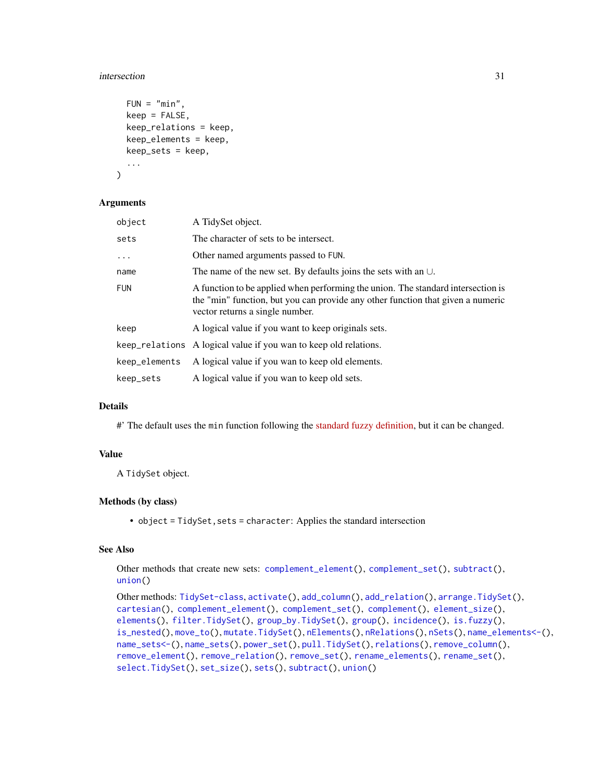#### intersection 31

```
FUN = "min",keep = FALSE,
  keep_relations = keep,
  keep_elements = keep,
 keep_sets = keep,
  ...
)
```
#### Arguments

| object        | A TidySet object.                                                                                                                                                                                      |
|---------------|--------------------------------------------------------------------------------------------------------------------------------------------------------------------------------------------------------|
| sets          | The character of sets to be intersect.                                                                                                                                                                 |
| $\ddots$      | Other named arguments passed to FUN.                                                                                                                                                                   |
| name          | The name of the new set. By defaults joins the sets with an $\cup$ .                                                                                                                                   |
| <b>FUN</b>    | A function to be applied when performing the union. The standard intersection is<br>the "min" function, but you can provide any other function that given a numeric<br>vector returns a single number. |
| keep          | A logical value if you want to keep originals sets.                                                                                                                                                    |
|               | keep_relations A logical value if you wan to keep old relations.                                                                                                                                       |
| keep_elements | A logical value if you wan to keep old elements.                                                                                                                                                       |
| keep_sets     | A logical value if you wan to keep old sets.                                                                                                                                                           |

### Details

#' The default uses the min function following the [standard fuzzy definition,](https://en.wikipedia.org/wiki/Fuzzy_set_operations) but it can be changed.

#### Value

A TidySet object.

### Methods (by class)

• object = TidySet, sets = character: Applies the standard intersection

### See Also

Other methods that create new sets: [complement\\_element\(](#page-16-1)), [complement\\_set\(](#page-17-1)), [subtract\(](#page-60-1)), [union\(](#page-65-1))

```
Other methods: TidySet-class, activate(), add_column(), add_relation(), arrange.TidySet(),
cartesian(), complement_element(), complement_set(), complement(), element_size(),
elements(), filter.TidySet(), group_by.TidySet(), group(), incidence(), is.fuzzy(),
is_nested(), move_to(), mutate.TidySet(), nElements(), nRelations(), nSets(), name_elements<-(),
name_sets<-(), name_sets(), power_set(), pull.TidySet(), relations(), remove_column(),
remove_element(), remove_relation(), remove_set(), rename_elements(), rename_set(),
select.TidySet(), set_size(), sets(), subtract(), union()
```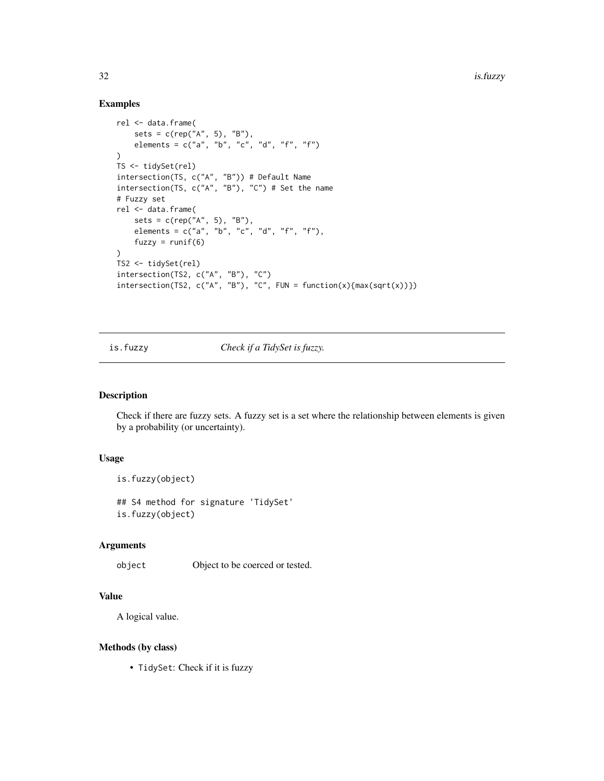#### Examples

```
rel <- data.frame(
   sets = c(rep("A", 5), "B"),elements = c("a", "b", "c", "d", "f", "f")\lambdaTS <- tidySet(rel)
intersection(TS, c("A", "B")) # Default Name
intersection(TS, c("A", "B"), "C") # Set the name
# Fuzzy set
rel <- data.frame(
   sets = c(rep("A", 5), "B"),elements = c("a", "b", "c", "d", "f", "f");fuzzy = runif(6)\lambdaTS2 <- tidySet(rel)
intersection(TS2, c("A", "B"), "C")
intersection(TS2, c("A", "B"), "C", FUN = function(x){max(sqrt(x))})
```
<span id="page-31-1"></span>is.fuzzy *Check if a TidySet is fuzzy.*

### Description

Check if there are fuzzy sets. A fuzzy set is a set where the relationship between elements is given by a probability (or uncertainty).

#### Usage

```
is.fuzzy(object)
```
## S4 method for signature 'TidySet' is.fuzzy(object)

### Arguments

object Object to be coerced or tested.

### Value

A logical value.

#### Methods (by class)

• TidySet: Check if it is fuzzy

<span id="page-31-0"></span>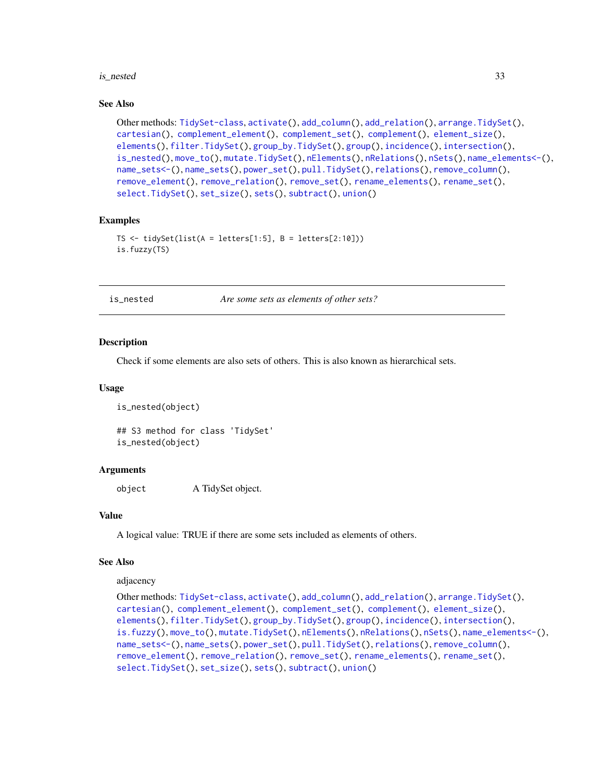#### <span id="page-32-0"></span>is\_nested 33

#### See Also

```
Other methods: TidySet-class, activate(), add_column(), add_relation(), arrange.TidySet(),
cartesian(), complement_element(), complement_set(), complement(), element_size(),
elements(), filter.TidySet(), group_by.TidySet(), group(), incidence(), intersection(),
is_nested(), move_to(), mutate.TidySet(), nElements(), nRelations(), nSets(), name_elements<-(),
name_sets<-(), name_sets(), power_set(), pull.TidySet(), relations(), remove_column(),
remove_element(), remove_relation(), remove_set(), rename_elements(), rename_set(),
select.TidySet(), set_size(), sets(), subtract(), union()
```
#### Examples

```
TS \le tidySet(list(A = letters[1:5], B = letters[2:10]))
is.fuzzy(TS)
```
<span id="page-32-1"></span>is\_nested *Are some sets as elements of other sets?*

#### **Description**

Check if some elements are also sets of others. This is also known as hierarchical sets.

#### Usage

```
is_nested(object)
```
## S3 method for class 'TidySet' is\_nested(object)

#### Arguments

object A TidySet object.

#### Value

A logical value: TRUE if there are some sets included as elements of others.

#### See Also

adjacency

```
Other methods: TidySet-class, activate(), add_column(), add_relation(), arrange.TidySet(),
cartesian(), complement_element(), complement_set(), complement(), element_size(),
elements(), filter.TidySet(), group_by.TidySet(), group(), incidence(), intersection(),
is.fuzzy(), move_to(), mutate.TidySet(), nElements(), nRelations(), nSets(), name_elements<-(),
name_sets<-(), name_sets(), power_set(), pull.TidySet(), relations(), remove_column(),
remove_element(), remove_relation(), remove_set(), rename_elements(), rename_set(),
select.TidySet(), set_size(), sets(), subtract(), union()
```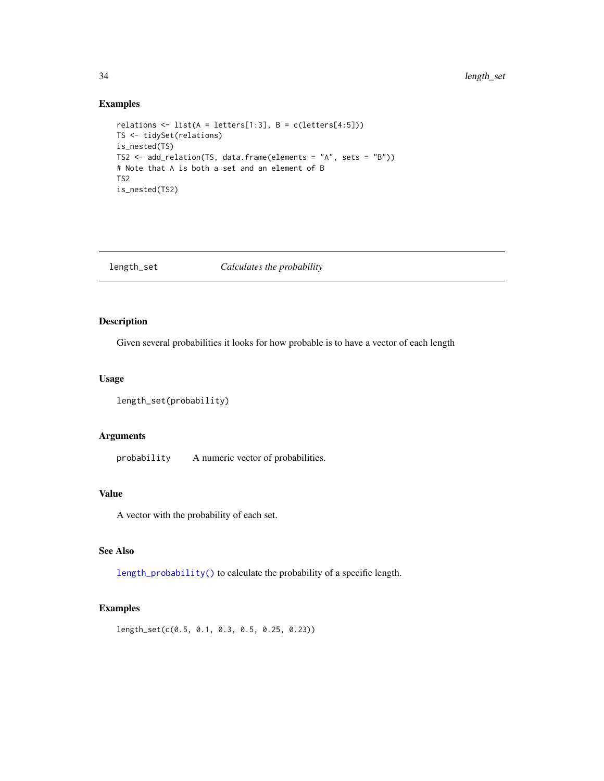### Examples

```
relations \le list(A = letters[1:3], B = c(letters[4:5]))
TS <- tidySet(relations)
is_nested(TS)
TS2 <- add_relation(TS, data.frame(elements = "A", sets = "B"))
# Note that A is both a set and an element of B
TS2
is_nested(TS2)
```
<span id="page-33-1"></span>length\_set *Calculates the probability*

### **Description**

Given several probabilities it looks for how probable is to have a vector of each length

### Usage

```
length_set(probability)
```
### Arguments

probability A numeric vector of probabilities.

## Value

A vector with the probability of each set.

### See Also

[length\\_probability\(\)](#page-66-1) to calculate the probability of a specific length.

### Examples

length\_set(c(0.5, 0.1, 0.3, 0.5, 0.25, 0.23))

<span id="page-33-0"></span>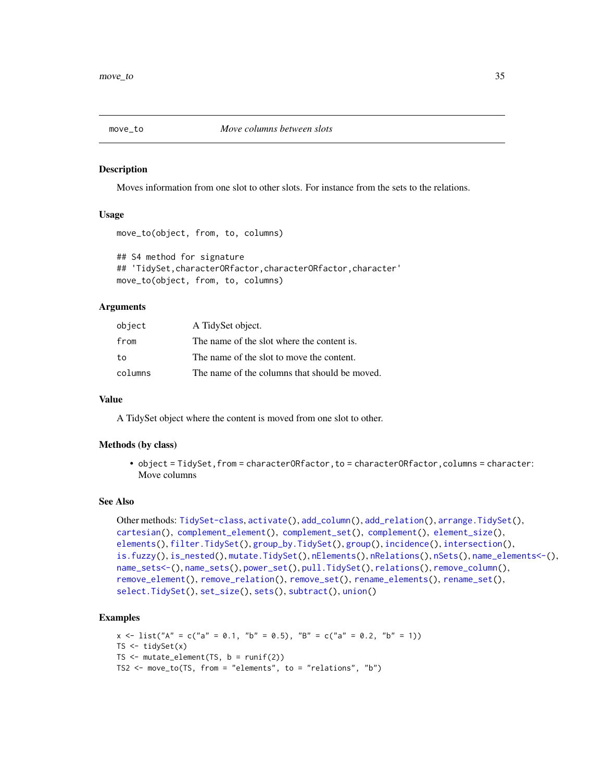<span id="page-34-1"></span><span id="page-34-0"></span>

#### Description

Moves information from one slot to other slots. For instance from the sets to the relations.

#### Usage

```
move_to(object, from, to, columns)
```

```
## S4 method for signature
## 'TidySet,characterORfactor,characterORfactor,character'
move_to(object, from, to, columns)
```
#### Arguments

| object  | A TidySet object.                             |
|---------|-----------------------------------------------|
| from    | The name of the slot where the content is.    |
| to      | The name of the slot to move the content.     |
| columns | The name of the columns that should be moved. |

#### Value

A TidySet object where the content is moved from one slot to other.

#### Methods (by class)

• object = TidySet, from = characterORfactor, to = characterORfactor, columns = character: Move columns

#### See Also

```
Other methods: TidySet-class, activate(), add_column(), add_relation(), arrange.TidySet(),
cartesian(), complement_element(), complement_set(), complement(), element_size(),
elements(), filter.TidySet(), group_by.TidySet(), group(), incidence(), intersection(),
is.fuzzy(), is_nested(), mutate.TidySet(), nElements(), nRelations(), nSets(), name_elements<-(),
name_sets<-(), name_sets(), power_set(), pull.TidySet(), relations(), remove_column(),
remove_element(), remove_relation(), remove_set(), rename_elements(), rename_set(),
select.TidySet(), set_size(), sets(), subtract(), union()
```

```
x \le - list("A" = c("a" = 0.1, "b" = 0.5), "B" = c("a" = 0.2, "b" = 1))
TS \leftarrow tidySet(x)TS \le mutate_element(TS, b = runif(2))
TS2 <- move_to(TS, from = "elements", to = "relations", "b")
```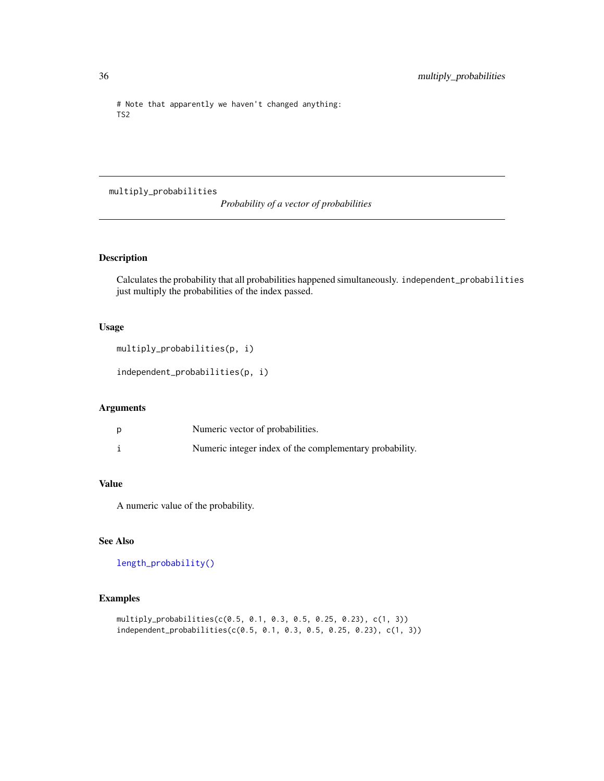```
# Note that apparently we haven't changed anything:
TS2
```
multiply\_probabilities

*Probability of a vector of probabilities*

### Description

Calculates the probability that all probabilities happened simultaneously. independent\_probabilities just multiply the probabilities of the index passed.

### Usage

```
multiply_probabilities(p, i)
```
independent\_probabilities(p, i)

### Arguments

| Numeric vector of probabilities.                        |
|---------------------------------------------------------|
| Numeric integer index of the complementary probability. |

### Value

A numeric value of the probability.

#### See Also

[length\\_probability\(\)](#page-66-1)

```
multiply_probabilities(c(0.5, 0.1, 0.3, 0.5, 0.25, 0.23), c(1, 3))
independent_probabilities(c(0.5, 0.1, 0.3, 0.5, 0.25, 0.23), c(1, 3))
```
<span id="page-35-0"></span>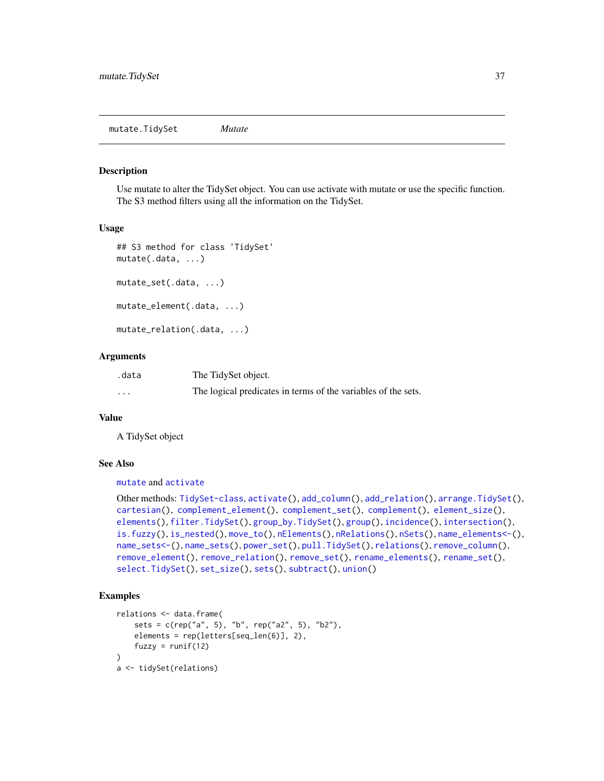#### <span id="page-36-1"></span><span id="page-36-0"></span>**Description**

Use mutate to alter the TidySet object. You can use activate with mutate or use the specific function. The S3 method filters using all the information on the TidySet.

#### Usage

```
## S3 method for class 'TidySet'
mutate(.data, ...)
mutate_set(.data, ...)
mutate_element(.data, ...)
mutate_relation(.data, ...)
```
#### Arguments

| .data    | The TidySet object.                                           |
|----------|---------------------------------------------------------------|
| $\cdots$ | The logical predicates in terms of the variables of the sets. |

#### Value

A TidySet object

#### See Also

[mutate](#page-0-0) and [activate](#page-3-0)

```
Other methods: TidySet-class, activate(), add_column(), add_relation(), arrange.TidySet(),
cartesian(), complement_element(), complement_set(), complement(), element_size(),
elements(), filter.TidySet(), group_by.TidySet(), group(), incidence(), intersection(),
is.fuzzy(), is_nested(), move_to(), nElements(), nRelations(), nSets(), name_elements<-(),
name_sets<-(), name_sets(), power_set(), pull.TidySet(), relations(), remove_column(),
remove_element(), remove_relation(), remove_set(), rename_elements(), rename_set(),
select.TidySet(), set_size(), sets(), subtract(), union()
```

```
relations <- data.frame(
    sets = c(rep("a", 5), "b", rep("a2", 5), "b2"),
    elements = rep(letters[seq_len(6)], 2),
    fuzzy = runif(12)\lambdaa <- tidySet(relations)
```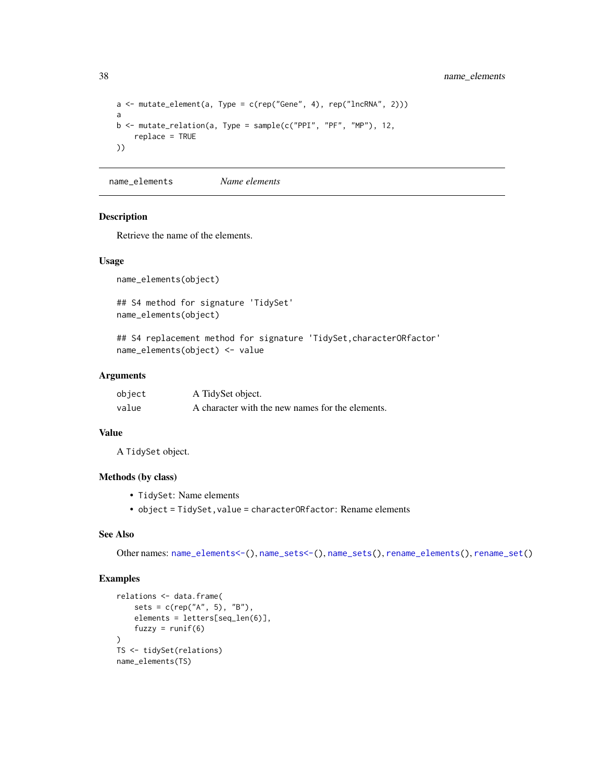<span id="page-37-1"></span>38 name\_elements

```
a \leq mutate_element(a, Type = c(rep("Gene", 4), rep("lncRNA", 2)))
a
b \le mutate_relation(a, Type = sample(c("PPI", "PF", "MP"), 12,
   replace = TRUE
))
```
<span id="page-37-0"></span>name\_elements *Name elements*

#### Description

Retrieve the name of the elements.

#### Usage

name\_elements(object)

## S4 method for signature 'TidySet' name\_elements(object)

## S4 replacement method for signature 'TidySet,characterORfactor' name\_elements(object) <- value

#### Arguments

| object | A TidySet object.                                |
|--------|--------------------------------------------------|
| value  | A character with the new names for the elements. |

#### Value

A TidySet object.

#### Methods (by class)

- TidySet: Name elements
- object = TidySet,value = characterORfactor: Rename elements

#### See Also

Other names: [name\\_elements<-\(](#page-38-0)), [name\\_sets<-\(](#page-40-0)), [name\\_sets\(](#page-39-0)), [rename\\_elements\(](#page-52-0)), [rename\\_set\(](#page-53-0))

```
relations <- data.frame(
    sets = c(rep("A", 5), "B"),
    elements = letters[seq_len(6)],
    fuzzy = runif(6)\lambdaTS <- tidySet(relations)
name_elements(TS)
```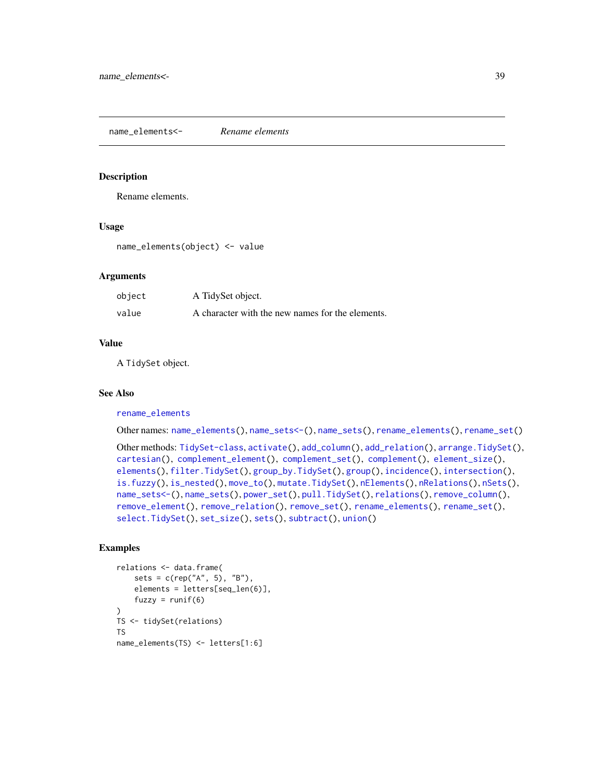<span id="page-38-1"></span><span id="page-38-0"></span>name\_elements<- *Rename elements*

#### **Description**

Rename elements.

#### Usage

name\_elements(object) <- value

#### Arguments

| object | A TidySet object.                                |
|--------|--------------------------------------------------|
| value  | A character with the new names for the elements. |

#### Value

A TidySet object.

#### See Also

#### [rename\\_elements](#page-52-0)

Other names: [name\\_elements\(](#page-37-0)), [name\\_sets<-\(](#page-40-0)), [name\\_sets\(](#page-39-0)), [rename\\_elements\(](#page-52-0)), [rename\\_set\(](#page-53-0))

```
Other methods: TidySet-class, activate(), add_column(), add_relation(), arrange.TidySet(),
cartesian(), complement_element(), complement_set(), complement(), element_size(),
elements(), filter.TidySet(), group_by.TidySet(), group(), incidence(), intersection(),
is.fuzzy(), is_nested(), move_to(), mutate.TidySet(), nElements(), nRelations(), nSets(),
name_sets<-(), name_sets(), power_set(), pull.TidySet(), relations(), remove_column(),
remove_element(), remove_relation(), remove_set(), rename_elements(), rename_set(),
select.TidySet(), set_size(), sets(), subtract(), union()
```

```
relations <- data.frame(
    sets = c(rep("A", 5), "B"),
    elements = letters[seq_len(6)],
    fuzzy = runif(6)\mathcal{L}TS <- tidySet(relations)
TS
name_elements(TS) <- letters[1:6]
```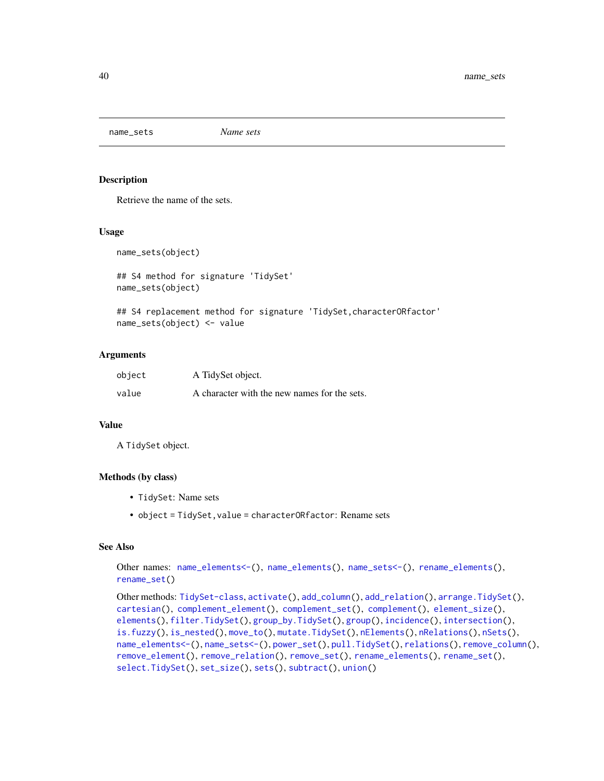<span id="page-39-1"></span><span id="page-39-0"></span>name\_sets *Name sets*

#### Description

Retrieve the name of the sets.

#### Usage

```
name_sets(object)
```

```
## S4 method for signature 'TidySet'
name_sets(object)
```

```
## S4 replacement method for signature 'TidySet, characterORfactor'
name_sets(object) <- value
```
#### Arguments

| object | A TidySet object.                            |
|--------|----------------------------------------------|
| value  | A character with the new names for the sets. |

#### Value

A TidySet object.

#### Methods (by class)

- TidySet: Name sets
- object = TidySet, value = characterORfactor: Rename sets

#### See Also

Other names: [name\\_elements<-\(](#page-38-0)), [name\\_elements\(](#page-37-0)), [name\\_sets<-\(](#page-40-0)), [rename\\_elements\(](#page-52-0)), [rename\\_set\(](#page-53-0))

```
Other methods: TidySet-class, activate(), add_column(), add_relation(), arrange.TidySet(),
cartesian(), complement_element(), complement_set(), complement(), element_size(),
elements(), filter.TidySet(), group_by.TidySet(), group(), incidence(), intersection(),
is.fuzzy(), is_nested(), move_to(), mutate.TidySet(), nElements(), nRelations(), nSets(),
name_elements<-(), name_sets<-(), power_set(), pull.TidySet(), relations(), remove_column(),
remove_element(), remove_relation(), remove_set(), rename_elements(), rename_set(),
select.TidySet(), set_size(), sets(), subtract(), union()
```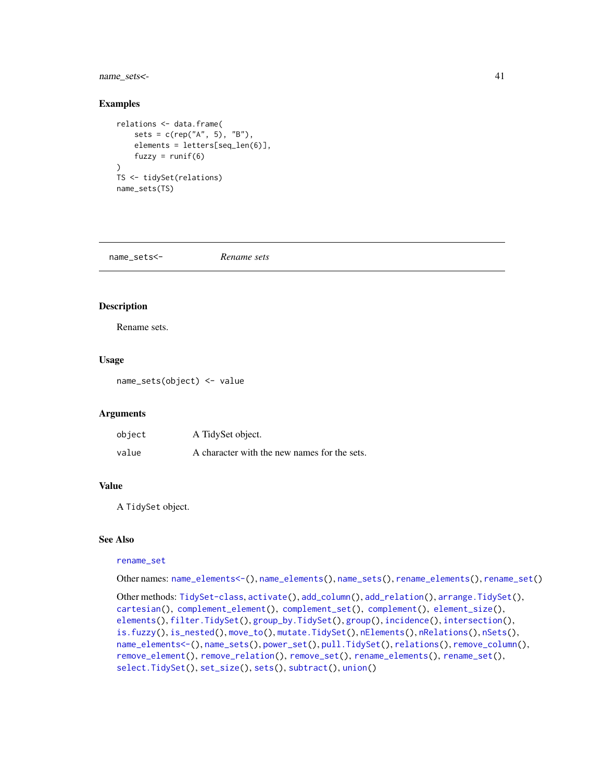#### <span id="page-40-1"></span>name\_sets<- 41

#### Examples

```
relations <- data.frame(
    sets = c(rep("A", 5), "B"),elements = letters[seq_len(6)],
    fuzzy = runif(6)\mathcal{L}TS <- tidySet(relations)
name_sets(TS)
```
<span id="page-40-0"></span>name\_sets<- *Rename sets*

#### Description

Rename sets.

#### Usage

name\_sets(object) <- value

#### **Arguments**

| object | A TidySet object.                            |
|--------|----------------------------------------------|
| value  | A character with the new names for the sets. |

#### Value

A TidySet object.

#### See Also

#### [rename\\_set](#page-53-0)

Other names: [name\\_elements<-\(](#page-38-0)), [name\\_elements\(](#page-37-0)), [name\\_sets\(](#page-39-0)), [rename\\_elements\(](#page-52-0)), [rename\\_set\(](#page-53-0))

```
Other methods: TidySet-class, activate(), add_column(), add_relation(), arrange.TidySet(),
cartesian(), complement_element(), complement_set(), complement(), element_size(),
elements(), filter.TidySet(), group_by.TidySet(), group(), incidence(), intersection(),
is.fuzzy(), is_nested(), move_to(), mutate.TidySet(), nElements(), nRelations(), nSets(),
name_elements<-(), name_sets(), power_set(), pull.TidySet(), relations(), remove_column(),
remove_element(), remove_relation(), remove_set(), rename_elements(), rename_set(),
select.TidySet(), set_size(), sets(), subtract(), union()
```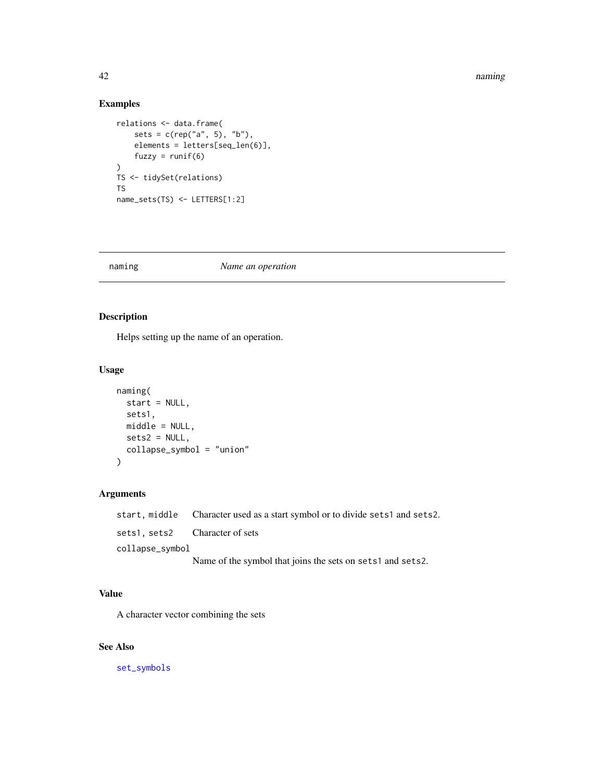#### <span id="page-41-0"></span>42 **naming** the control of the control of the control of the control of the control of the control of the control of the control of the control of the control of the control of the control of the control of the control of

### Examples

```
relations <- data.frame(
   sets = c(rep("a", 5), "b"),elements = letters[seq_len(6)],
   fuzzy = runif(6))
TS <- tidySet(relations)
TS
name_sets(TS) <- LETTERS[1:2]
```
#### naming *Name an operation*

### Description

Helps setting up the name of an operation.

#### Usage

```
naming(
 start = NULL,
 sets1,
 middle = NULL,
 sets2 = NULL,
  collapse_symbol = "union"
)
```
### Arguments

|                               | start, middle Character used as a start symbol or to divide sets1 and sets2. |
|-------------------------------|------------------------------------------------------------------------------|
| sets1.sets2 Character of sets |                                                                              |
| collapse_symbol               |                                                                              |
|                               | Name of the symbol that joins the sets on sets1 and sets2.                   |

## Value

A character vector combining the sets

#### See Also

[set\\_symbols](#page-58-0)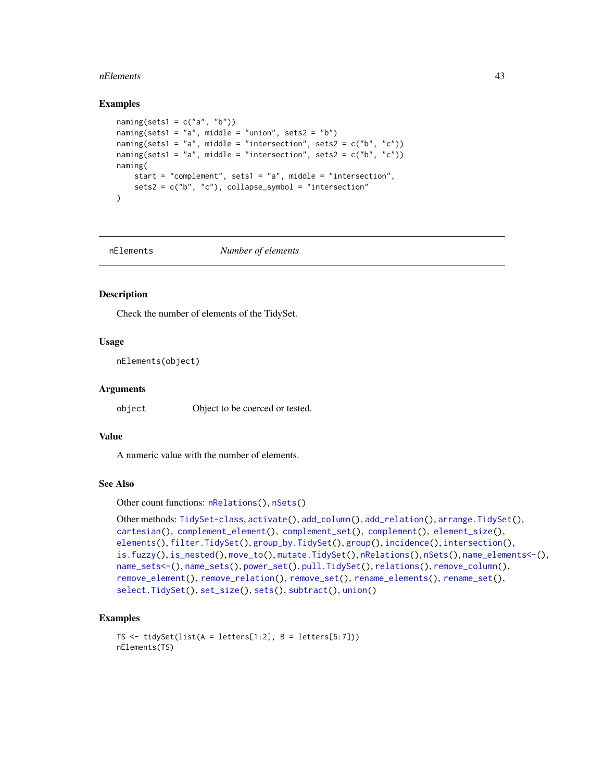#### <span id="page-42-1"></span>nElements and the set of the set of the set of the set of the set of the set of the set of the set of the set of the set of the set of the set of the set of the set of the set of the set of the set of the set of the set of

#### Examples

```
naming(sets1 = c("a", "b"))naming(sets1 = "a", middle = "union", sets2 = "b")
naming(sets1 = "a", middle = "intersection", sets2 = c("b", "c"))
naming(sets1 = "a", middle = "intersection", sets2 = c("b", "c"))
naming(
   start = "complement", sets1 = "a", middle = "intersection",
    sets2 = c("b", "c"), collapse\_symbol = "intersection")
```
<span id="page-42-0"></span>nElements *Number of elements*

#### Description

Check the number of elements of the TidySet.

#### Usage

nElements(object)

#### **Arguments**

object Object to be coerced or tested.

#### Value

A numeric value with the number of elements.

#### See Also

```
Other count functions: nRelations(), nSets()
```

```
Other methods: TidySet-class, activate(), add_column(), add_relation(), arrange.TidySet(),
cartesian(), complement_element(), complement_set(), complement(), element_size(),
elements(), filter.TidySet(), group_by.TidySet(), group(), incidence(), intersection(),
is.fuzzy(), is_nested(), move_to(), mutate.TidySet(), nRelations(), nSets(), name_elements<-(),
name_sets<-(), name_sets(), power_set(), pull.TidySet(), relations(), remove_column(),
remove_element(), remove_relation(), remove_set(), rename_elements(), rename_set(),
select.TidySet(), set_size(), sets(), subtract(), union()
```

```
TS \le tidySet(list(A = letters[1:2], B = letters[5:7]))
nElements(TS)
```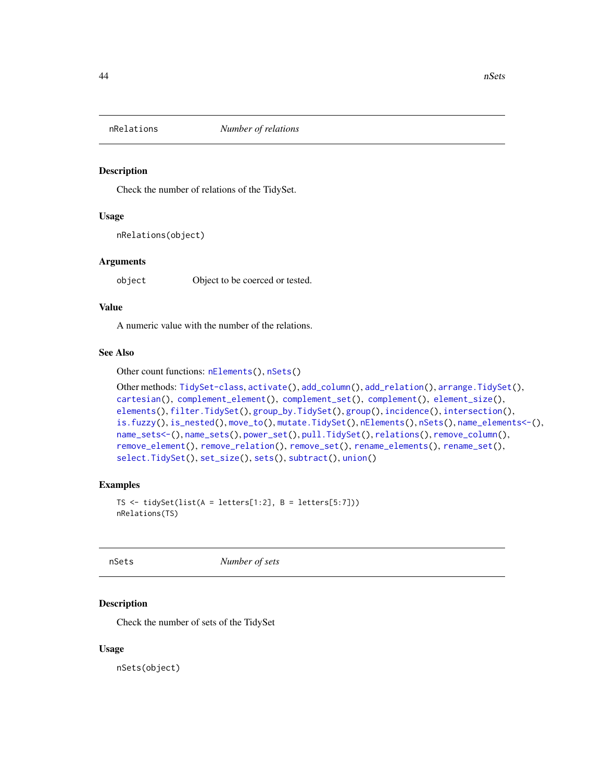<span id="page-43-2"></span><span id="page-43-0"></span>

#### Description

Check the number of relations of the TidySet.

#### Usage

```
nRelations(object)
```
#### Arguments

object Object to be coerced or tested.

#### Value

A numeric value with the number of the relations.

#### See Also

```
Other count functions: nElements(), nSets()
```

```
Other methods: TidySet-class, activate(), add_column(), add_relation(), arrange.TidySet(),
cartesian(), complement_element(), complement_set(), complement(), element_size(),
elements(), filter.TidySet(), group_by.TidySet(), group(), incidence(), intersection(),
is.fuzzy(), is_nested(), move_to(), mutate.TidySet(), nElements(), nSets(), name_elements<-(),
name_sets<-(), name_sets(), power_set(), pull.TidySet(), relations(), remove_column(),
remove_element(), remove_relation(), remove_set(), rename_elements(), rename_set(),
select.TidySet(), set_size(), sets(), subtract(), union()
```
#### Examples

```
TS \le tidySet(list(A = letters[1:2], B = letters[5:7]))
nRelations(TS)
```
<span id="page-43-1"></span>

nSets *Number of sets*

#### **Description**

Check the number of sets of the TidySet

#### Usage

nSets(object)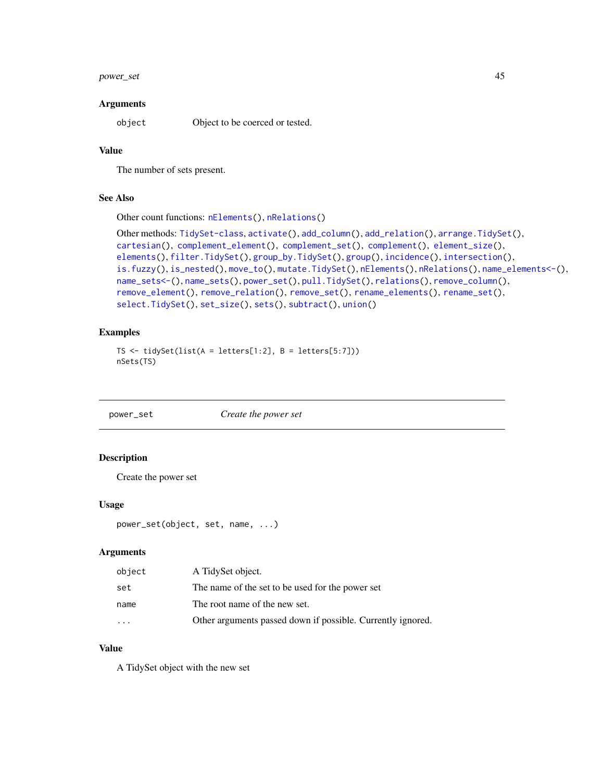#### <span id="page-44-1"></span>power\_set 45

#### **Arguments**

object Object to be coerced or tested.

#### Value

The number of sets present.

#### See Also

Other count functions: [nElements\(](#page-42-0)), [nRelations\(](#page-43-0))

```
Other methods: TidySet-class, activate(), add_column(), add_relation(), arrange.TidySet(),
cartesian(), complement_element(), complement_set(), complement(), element_size(),
elements(), filter.TidySet(), group_by.TidySet(), group(), incidence(), intersection(),
is.fuzzy(), is_nested(), move_to(), mutate.TidySet(), nElements(), nRelations(), name_elements<-(),
name_sets<-(), name_sets(), power_set(), pull.TidySet(), relations(), remove_column(),
remove_element(), remove_relation(), remove_set(), rename_elements(), rename_set(),
select.TidySet(), set_size(), sets(), subtract(), union()
```
#### Examples

```
TS \le tidySet(list(A = letters[1:2], B = letters[5:7]))
nSets(TS)
```
<span id="page-44-0"></span>power\_set *Create the power set*

#### **Description**

Create the power set

#### Usage

```
power_set(object, set, name, ...)
```
#### Arguments

| object   | A TidySet object.                                           |
|----------|-------------------------------------------------------------|
| set      | The name of the set to be used for the power set            |
| name     | The root name of the new set.                               |
| $\cdots$ | Other arguments passed down if possible. Currently ignored. |

#### Value

A TidySet object with the new set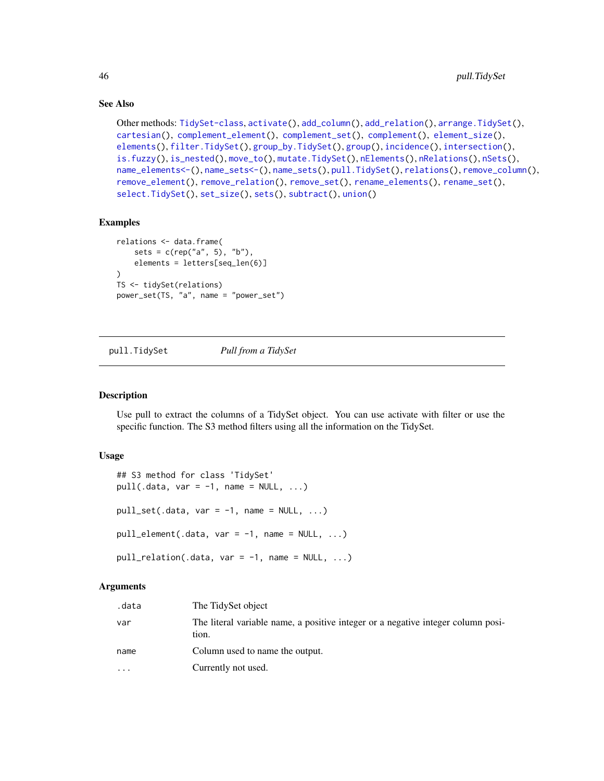#### See Also

```
Other methods: TidySet-class, activate(), add_column(), add_relation(), arrange.TidySet(),
cartesian(), complement_element(), complement_set(), complement(), element_size(),
elements(), filter.TidySet(), group_by.TidySet(), group(), incidence(), intersection(),
is.fuzzy(), is_nested(), move_to(), mutate.TidySet(), nElements(), nRelations(), nSets(),
name_elements<-(), name_sets<-(), name_sets(), pull.TidySet(), relations(), remove_column(),
remove_element(), remove_relation(), remove_set(), rename_elements(), rename_set(),
select.TidySet(), set_size(), sets(), subtract(), union()
```
#### Examples

```
relations <- data.frame(
    sets = c(rep("a", 5), "b"),
    elements = letters[seq_len(6)]
\lambdaTS <- tidySet(relations)
power_set(TS, "a", name = "power_set")
```
<span id="page-45-0"></span>pull.TidySet *Pull from a TidySet*

#### Description

Use pull to extract the columns of a TidySet object. You can use activate with filter or use the specific function. The S3 method filters using all the information on the TidySet.

#### Usage

```
## S3 method for class 'TidySet'
pull(.data, var = -1, name = NULL, ...)pull_set(.data, var = -1, name = NULL, ...)pull\_element(.data, var = -1, name = NULL, ...)pull\_relation(.data, var = -1, name = NULL, ...)
```
#### Arguments

| .data     | The TidySet object                                                                        |
|-----------|-------------------------------------------------------------------------------------------|
| var       | The literal variable name, a positive integer or a negative integer column posi-<br>tion. |
| name      | Column used to name the output.                                                           |
| $\ddotsc$ | Currently not used.                                                                       |

<span id="page-45-1"></span>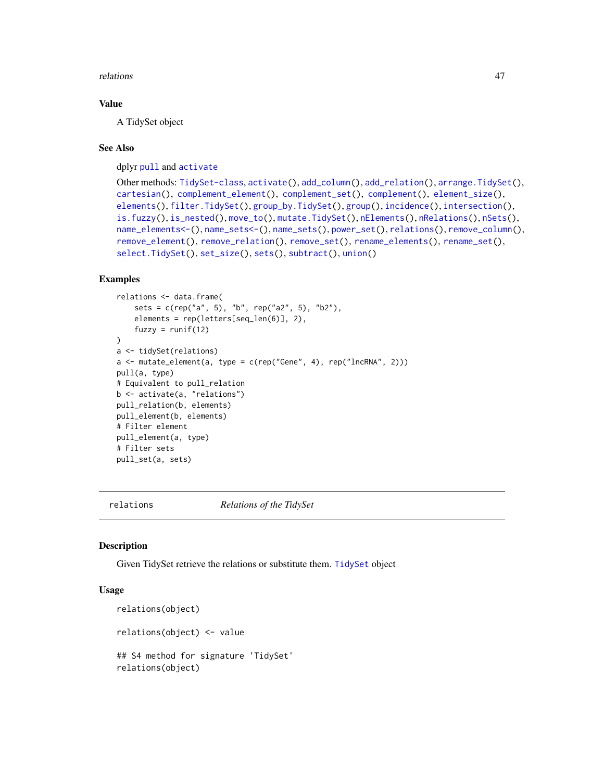<span id="page-46-1"></span>relations and the contract of the contract of the contract of the contract of the contract of the contract of the contract of the contract of the contract of the contract of the contract of the contract of the contract of

#### Value

A TidySet object

#### See Also

dplyr [pull](#page-0-0) and [activate](#page-3-0)

```
Other methods: TidySet-class, activate(), add_column(), add_relation(), arrange.TidySet(),
cartesian(), complement_element(), complement_set(), complement(), element_size(),
elements(), filter.TidySet(), group_by.TidySet(), group(), incidence(), intersection(),
is.fuzzy(), is_nested(), move_to(), mutate.TidySet(), nElements(), nRelations(), nSets(),
name_elements<-(), name_sets<-(), name_sets(), power_set(), relations(), remove_column(),
remove_element(), remove_relation(), remove_set(), rename_elements(), rename_set(),
select.TidySet(), set_size(), sets(), subtract(), union()
```
#### Examples

```
relations <- data.frame(
    sets = c(rep("a", 5), "b", rep("a2", 5), "b2"),
    elements = rep(letters[seq_len(6)], 2),
    fuzzy = runif(12)\lambdaa <- tidySet(relations)
a <- mutate_element(a, type = c(rep("Gene", 4), rep("lncRNA", 2)))
pull(a, type)
# Equivalent to pull_relation
b <- activate(a, "relations")
pull_relation(b, elements)
pull_element(b, elements)
# Filter element
pull_element(a, type)
# Filter sets
pull_set(a, sets)
```
<span id="page-46-0"></span>

relations *Relations of the TidySet*

#### **Description**

Given TidySet retrieve the relations or substitute them. [TidySet](#page-64-1) object

#### Usage

```
relations(object)
relations(object) <- value
## S4 method for signature 'TidySet'
relations(object)
```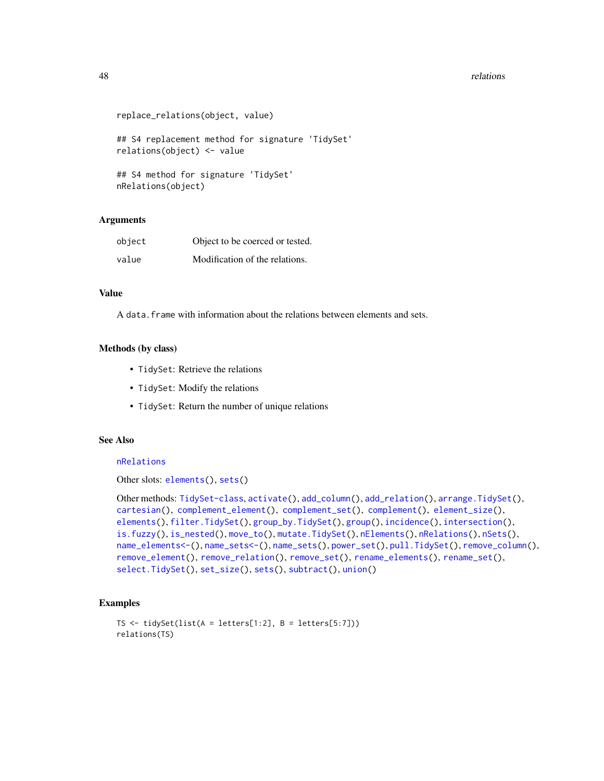#### <span id="page-47-0"></span>48 relations and the contract of the contract of the contract of the contract of the contract of the contract of the contract of the contract of the contract of the contract of the contract of the contract of the contract

```
replace_relations(object, value)
## S4 replacement method for signature 'TidySet'
relations(object) <- value
## S4 method for signature 'TidySet'
nRelations(object)
```
#### Arguments

| object | Object to be coerced or tested. |
|--------|---------------------------------|
| value  | Modification of the relations.  |

#### Value

A data.frame with information about the relations between elements and sets.

#### Methods (by class)

- TidySet: Retrieve the relations
- TidySet: Modify the relations
- TidySet: Return the number of unique relations

#### See Also

#### [nRelations](#page-43-0)

Other slots: [elements\(](#page-20-0)), [sets\(](#page-55-0))

```
Other methods: TidySet-class, activate(), add_column(), add_relation(), arrange.TidySet(),
cartesian(), complement_element(), complement_set(), complement(), element_size(),
elements(), filter.TidySet(), group_by.TidySet(), group(), incidence(), intersection(),
is.fuzzy(), is_nested(), move_to(), mutate.TidySet(), nElements(), nRelations(), nSets(),
name_elements<-(), name_sets<-(), name_sets(), power_set(), pull.TidySet(), remove_column(),
remove_element(), remove_relation(), remove_set(), rename_elements(), rename_set(),
select.TidySet(), set_size(), sets(), subtract(), union()
```

```
TS \le tidySet(list(A = letters[1:2], B = letters[5:7]))
relations(TS)
```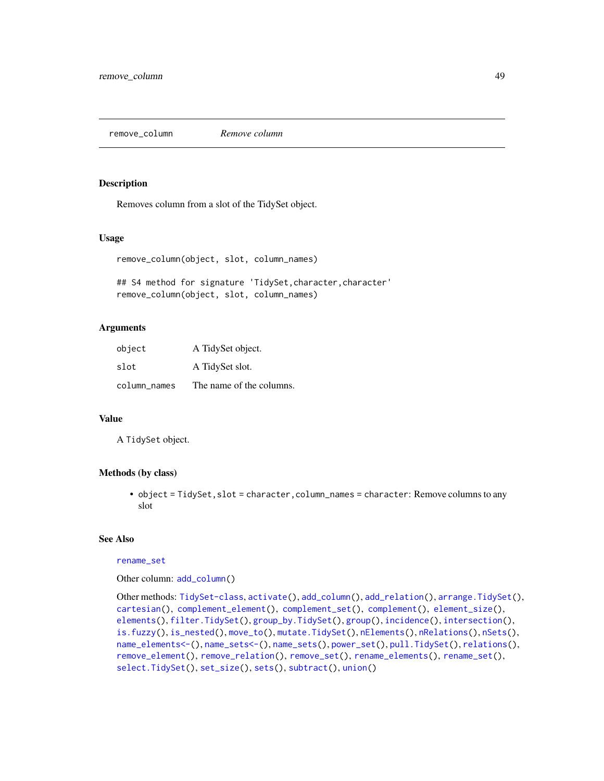<span id="page-48-1"></span><span id="page-48-0"></span>remove\_column *Remove column*

#### Description

Removes column from a slot of the TidySet object.

#### Usage

```
remove_column(object, slot, column_names)
```
## S4 method for signature 'TidySet, character, character' remove\_column(object, slot, column\_names)

#### Arguments

| object       | A TidySet object.        |
|--------------|--------------------------|
| slot         | A TidySet slot.          |
| column_names | The name of the columns. |

#### Value

A TidySet object.

#### Methods (by class)

• object = TidySet, slot = character, column\_names = character: Remove columns to any slot

#### See Also

#### [rename\\_set](#page-53-0)

Other column: [add\\_column\(](#page-4-0))

```
Other methods: TidySet-class, activate(), add_column(), add_relation(), arrange.TidySet(),
cartesian(), complement_element(), complement_set(), complement(), element_size(),
elements(), filter.TidySet(), group_by.TidySet(), group(), incidence(), intersection(),
is.fuzzy(), is_nested(), move_to(), mutate.TidySet(), nElements(), nRelations(), nSets(),
name_elements<-(), name_sets<-(), name_sets(), power_set(), pull.TidySet(), relations(),
remove_element(), remove_relation(), remove_set(), rename_elements(), rename_set(),
select.TidySet(), set_size(), sets(), subtract(), union()
```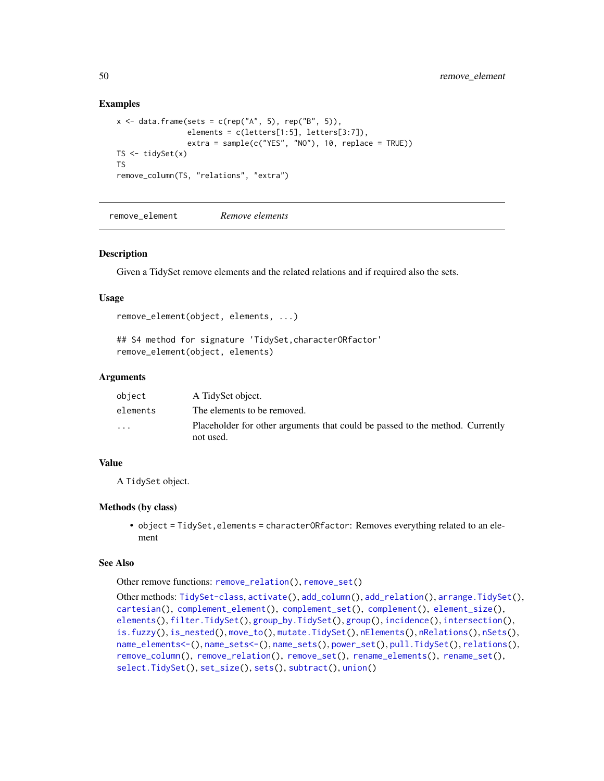#### Examples

```
x \le - data.frame(sets = c(rep("A", 5), rep("B", 5)),
                 elements = c(letters[1:5], letters[3:7]),
                 extra = sample(c("YES", "NO"), 10, replace = TRUE))TS \leftarrow tidySet(x)TS
remove_column(TS, "relations", "extra")
```
<span id="page-49-0"></span>remove\_element *Remove elements*

#### Description

Given a TidySet remove elements and the related relations and if required also the sets.

#### Usage

```
remove_element(object, elements, ...)
```
## S4 method for signature 'TidySet,characterORfactor' remove\_element(object, elements)

#### Arguments

| object                  | A TidySet object.                                                                          |
|-------------------------|--------------------------------------------------------------------------------------------|
| elements                | The elements to be removed.                                                                |
| $\cdot$ $\cdot$ $\cdot$ | Placeholder for other arguments that could be passed to the method. Currently<br>not used. |

#### Value

A TidySet object.

#### Methods (by class)

• object = TidySet, elements = characterORfactor: Removes everything related to an element

#### See Also

Other remove functions: [remove\\_relation\(](#page-50-0)), [remove\\_set\(](#page-51-0))

```
Other methods: TidySet-class, activate(), add_column(), add_relation(), arrange.TidySet(),
cartesian(), complement_element(), complement_set(), complement(), element_size(),
elements(), filter.TidySet(), group_by.TidySet(), group(), incidence(), intersection(),
is.fuzzy(), is_nested(), move_to(), mutate.TidySet(), nElements(), nRelations(), nSets(),
name_elements<-(), name_sets<-(), name_sets(), power_set(), pull.TidySet(), relations(),
remove_column(), remove_relation(), remove_set(), rename_elements(), rename_set(),
select.TidySet(), set_size(), sets(), subtract(), union()
```
<span id="page-49-1"></span>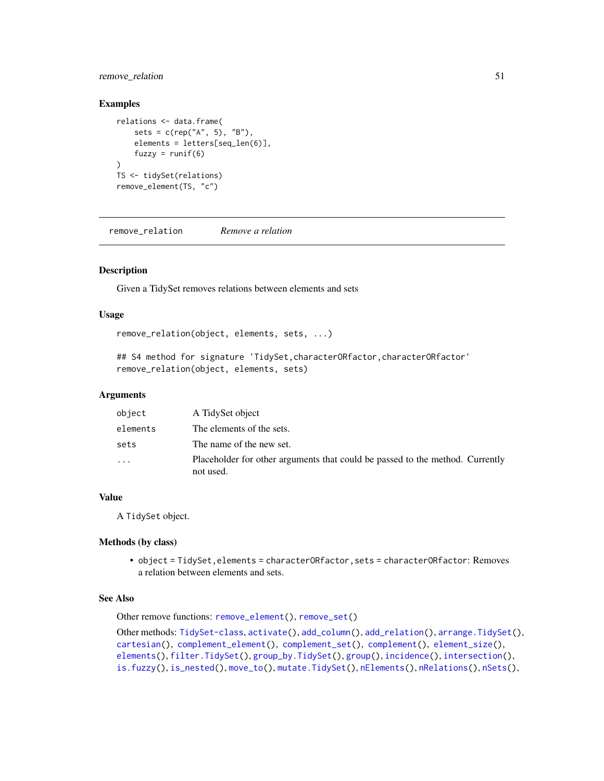#### <span id="page-50-1"></span>remove\_relation 51

#### Examples

```
relations <- data.frame(
    sets = c(rep("A", 5), "B"),
    elements = letters[seq_len(6)],
    fuzzy = runif(6)\lambdaTS <- tidySet(relations)
remove_element(TS, "c")
```
<span id="page-50-0"></span>remove\_relation *Remove a relation*

#### Description

Given a TidySet removes relations between elements and sets

#### Usage

```
remove_relation(object, elements, sets, ...)
```
## S4 method for signature 'TidySet,characterORfactor,characterORfactor' remove\_relation(object, elements, sets)

#### Arguments

| object   | A TidySet object                                                                           |
|----------|--------------------------------------------------------------------------------------------|
| elements | The elements of the sets.                                                                  |
| sets     | The name of the new set.                                                                   |
| $\cdots$ | Placeholder for other arguments that could be passed to the method. Currently<br>not used. |

#### Value

A TidySet object.

#### Methods (by class)

• object = TidySet, elements = characterORfactor, sets = characterORfactor: Removes a relation between elements and sets.

#### See Also

Other remove functions: [remove\\_element\(](#page-49-0)), [remove\\_set\(](#page-51-0))

Other methods: [TidySet-class](#page-64-0), [activate\(](#page-3-0)), [add\\_column\(](#page-4-0)), [add\\_relation\(](#page-6-0)), [arrange.TidySet\(](#page-10-0)), [cartesian\(](#page-13-0)), [complement\\_element\(](#page-16-0)), [complement\\_set\(](#page-17-0)), [complement\(](#page-15-0)), [element\\_size\(](#page-21-0)), [elements\(](#page-20-0)), [filter.TidySet\(](#page-22-0)), [group\\_by.TidySet\(](#page-27-0)), [group\(](#page-26-0)), [incidence\(](#page-28-0)), [intersection\(](#page-29-0)), [is.fuzzy\(](#page-31-0)), [is\\_nested\(](#page-32-0)), [move\\_to\(](#page-34-0)), [mutate.TidySet\(](#page-36-0)), [nElements\(](#page-42-0)), [nRelations\(](#page-43-0)), [nSets\(](#page-43-1)),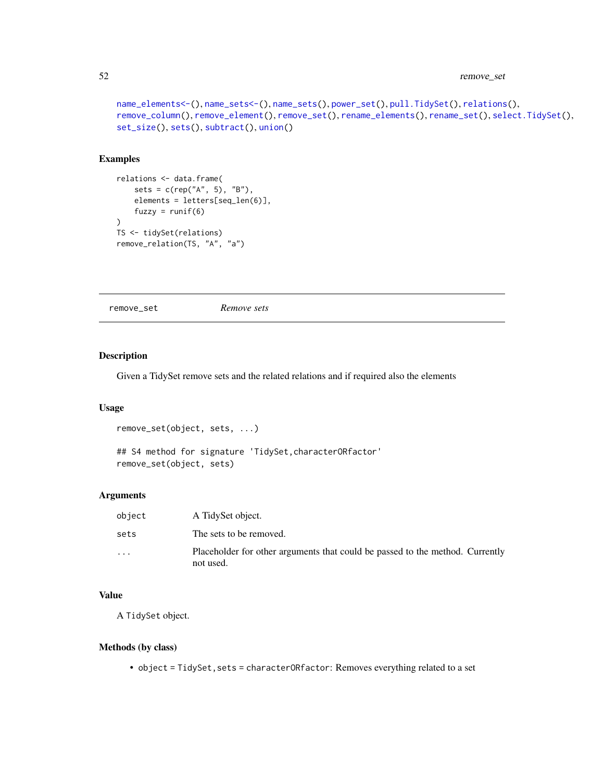#### <span id="page-51-1"></span>52 remove\_set

```
name_elements<-(), name_sets<-(), name_sets(), power_set(), pull.TidySet(), relations(),
remove_column(), remove_element(), remove_set(), rename_elements(), rename_set(), select.TidySet(),
set_size(), sets(), subtract(), union()
```
#### Examples

```
relations <- data.frame(
    sets = c(rep("A", 5), "B"),elements = letters[seq_len(6)],
    fuzzy = runif(6)\mathcal{L}TS <- tidySet(relations)
remove_relation(TS, "A", "a")
```
<span id="page-51-0"></span>remove\_set *Remove sets*

#### Description

Given a TidySet remove sets and the related relations and if required also the elements

#### Usage

```
remove_set(object, sets, ...)
```

```
## S4 method for signature 'TidySet, characterORfactor'
remove_set(object, sets)
```
#### Arguments

| object   | A TidySet object.                                                                          |
|----------|--------------------------------------------------------------------------------------------|
| sets     | The sets to be removed.                                                                    |
| $\cdots$ | Placeholder for other arguments that could be passed to the method. Currently<br>not used. |

#### Value

A TidySet object.

#### Methods (by class)

• object = TidySet, sets = characterORfactor: Removes everything related to a set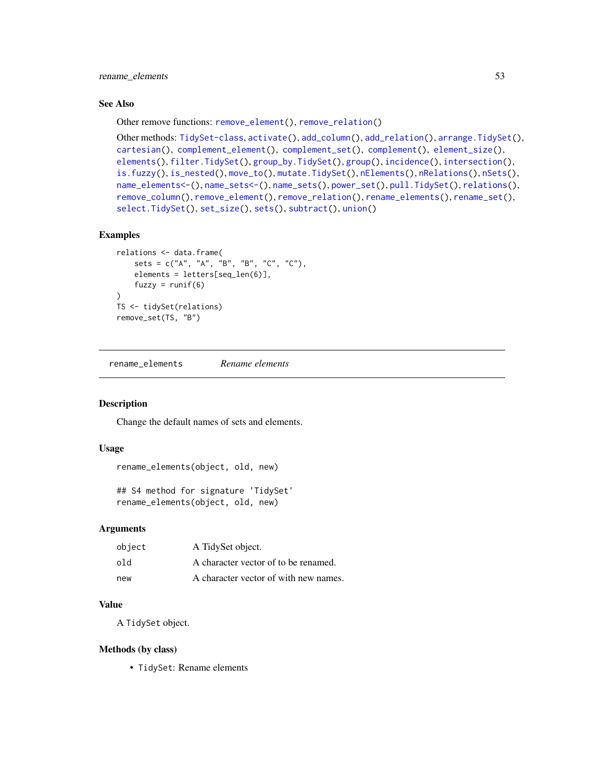<span id="page-52-1"></span>rename\_elements 53

#### See Also

Other remove functions: [remove\\_element\(](#page-49-0)), [remove\\_relation\(](#page-50-0))

```
Other methods: TidySet-class, activate(), add_column(), add_relation(), arrange.TidySet(),
cartesian(), complement_element(), complement_set(), complement(), element_size(),
elements(), filter.TidySet(), group_by.TidySet(), group(), incidence(), intersection(),
is.fuzzy(), is_nested(), move_to(), mutate.TidySet(), nElements(), nRelations(), nSets(),
name_elements<-(), name_sets<-(), name_sets(), power_set(), pull.TidySet(), relations(),
remove_column(), remove_element(), remove_relation(), rename_elements(), rename_set(),
select.TidySet(), set_size(), sets(), subtract(), union()
```
#### Examples

```
relations <- data.frame(
   sets = c("A", "A", "B", "B", "C", "C"),
   elements = letters[seq_len(6)],
   fuzzy = runif(6))
TS <- tidySet(relations)
remove_set(TS, "B")
```
<span id="page-52-0"></span>rename\_elements *Rename elements*

#### Description

Change the default names of sets and elements.

#### Usage

```
rename_elements(object, old, new)
```
## S4 method for signature 'TidySet' rename\_elements(object, old, new)

#### Arguments

| object | A TidySet object.                     |
|--------|---------------------------------------|
| old    | A character vector of to be renamed.  |
| new    | A character vector of with new names. |

#### Value

A TidySet object.

#### Methods (by class)

• TidySet: Rename elements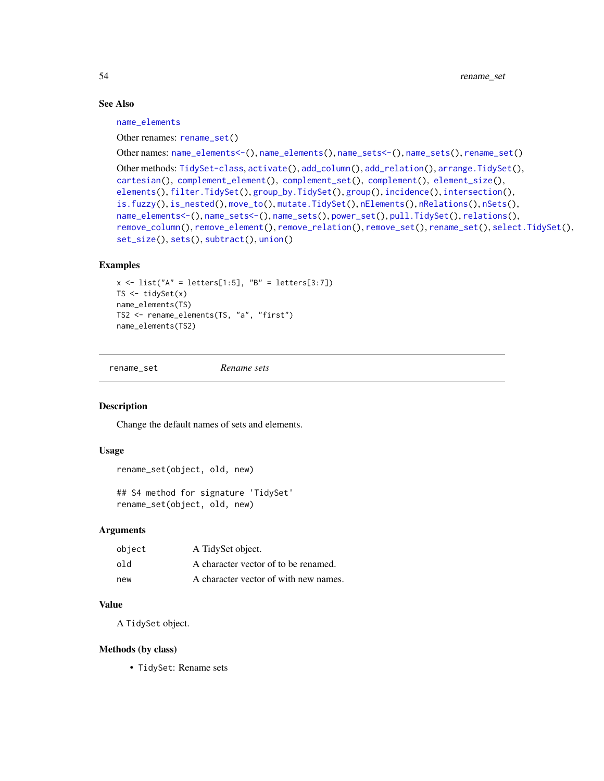#### See Also

[name\\_elements](#page-37-0)

```
Other renames: rename_set()
```
Other names: [name\\_elements<-\(](#page-38-0)), [name\\_elements\(](#page-37-0)), [name\\_sets<-\(](#page-40-0)), [name\\_sets\(](#page-39-0)), [rename\\_set\(](#page-53-0))

Other methods: [TidySet-class](#page-64-0), [activate\(](#page-3-0)), [add\\_column\(](#page-4-0)), [add\\_relation\(](#page-6-0)), [arrange.TidySet\(](#page-10-0)), [cartesian\(](#page-13-0)), [complement\\_element\(](#page-16-0)), [complement\\_set\(](#page-17-0)), [complement\(](#page-15-0)), [element\\_size\(](#page-21-0)), [elements\(](#page-20-0)), [filter.TidySet\(](#page-22-0)), [group\\_by.TidySet\(](#page-27-0)), [group\(](#page-26-0)), [incidence\(](#page-28-0)), [intersection\(](#page-29-0)), [is.fuzzy\(](#page-31-0)), [is\\_nested\(](#page-32-0)), [move\\_to\(](#page-34-0)), [mutate.TidySet\(](#page-36-0)), [nElements\(](#page-42-0)), [nRelations\(](#page-43-0)), [nSets\(](#page-43-1)), [name\\_elements<-\(](#page-38-0)), [name\\_sets<-\(](#page-40-0)), [name\\_sets\(](#page-39-0)), [power\\_set\(](#page-44-0)), [pull.TidySet\(](#page-45-0)), [relations\(](#page-46-0)), [remove\\_column\(](#page-48-0)), [remove\\_element\(](#page-49-0)), [remove\\_relation\(](#page-50-0)), [remove\\_set\(](#page-51-0)), [rename\\_set\(](#page-53-0)), [select.TidySet\(](#page-54-0)), [set\\_size\(](#page-57-0)), [sets\(](#page-55-0)), [subtract\(](#page-60-0)), [union\(](#page-65-0))

#### Examples

```
x \le - list("A" = letters[1:5], "B" = letters[3:7])
TS \leftarrow tidySet(x)name_elements(TS)
TS2 <- rename_elements(TS, "a", "first")
name_elements(TS2)
```
<span id="page-53-0"></span>rename\_set *Rename sets*

#### Description

Change the default names of sets and elements.

#### Usage

```
rename_set(object, old, new)
## S4 method for signature 'TidySet'
rename_set(object, old, new)
```
#### **Arguments**

| object | A TidySet object.                     |
|--------|---------------------------------------|
| old    | A character vector of to be renamed.  |
| new    | A character vector of with new names. |

#### Value

A TidySet object.

#### Methods (by class)

• TidySet: Rename sets

<span id="page-53-1"></span>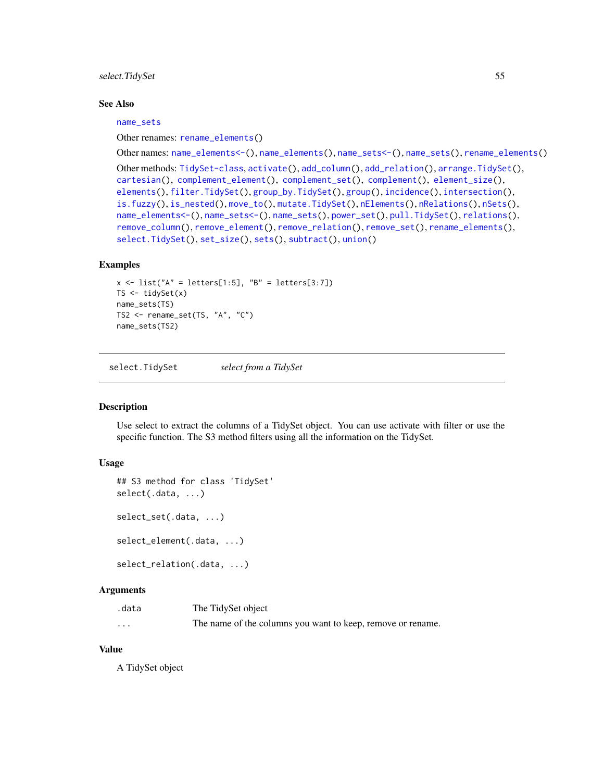<span id="page-54-1"></span>select. TidySet 55

#### See Also

[name\\_sets](#page-39-0)

Other renames: [rename\\_elements\(](#page-52-0))

Other names: [name\\_elements<-\(](#page-38-0)), [name\\_elements\(](#page-37-0)), [name\\_sets<-\(](#page-40-0)), [name\\_sets\(](#page-39-0)), [rename\\_elements\(](#page-52-0))

```
Other methods: TidySet-class, activate(), add_column(), add_relation(), arrange.TidySet(),
cartesian(), complement_element(), complement_set(), complement(), element_size(),
elements(), filter.TidySet(), group_by.TidySet(), group(), incidence(), intersection(),
is.fuzzy(), is_nested(), move_to(), mutate.TidySet(), nElements(), nRelations(), nSets(),
name_elements<-(), name_sets<-(), name_sets(), power_set(), pull.TidySet(), relations(),
remove_column(), remove_element(), remove_relation(), remove_set(), rename_elements(),
select.TidySet(), set_size(), sets(), subtract(), union()
```
#### Examples

```
x \le - list("A" = letters[1:5], "B" = letters[3:7])
TS \leftarrow tidySet(x)name_sets(TS)
TS2 <- rename_set(TS, "A", "C")
name_sets(TS2)
```
<span id="page-54-0"></span>select.TidySet *select from a TidySet*

#### Description

Use select to extract the columns of a TidySet object. You can use activate with filter or use the specific function. The S3 method filters using all the information on the TidySet.

#### Usage

```
## S3 method for class 'TidySet'
select(.data, ...)
select_set(.data, ...)
select_element(.data, ...)
select_relation(.data, ...)
```
#### Arguments

| .data    | The TidySet object                                          |
|----------|-------------------------------------------------------------|
| $\cdots$ | The name of the columns you want to keep, remove or rename. |

#### Value

A TidySet object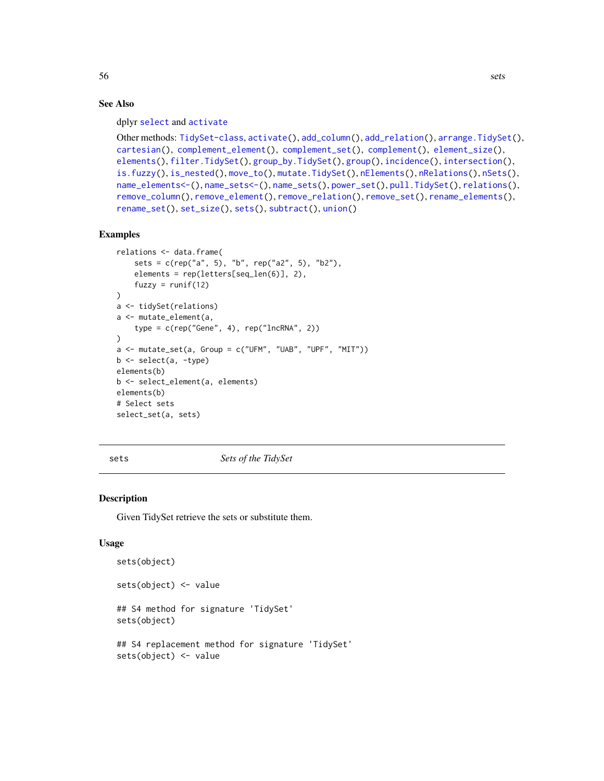#### See Also

dplyr [select](#page-0-0) and [activate](#page-3-0)

```
Other methods: TidySet-class, activate(), add_column(), add_relation(), arrange.TidySet(),
cartesian(), complement_element(), complement_set(), complement(), element_size(),
elements(), filter.TidySet(), group_by.TidySet(), group(), incidence(), intersection(),
is.fuzzy(), is_nested(), move_to(), mutate.TidySet(), nElements(), nRelations(), nSets(),
name_elements<-(), name_sets<-(), name_sets(), power_set(), pull.TidySet(), relations(),
remove_column(), remove_element(), remove_relation(), remove_set(), rename_elements(),
rename_set(), set_size(), sets(), subtract(), union()
```
#### Examples

```
relations <- data.frame(
    sets = c(rep("a", 5), "b", rep("a2", 5), "b2"),elements = rep(letters[seq_len(6)], 2),
    fuzzy = runif(12)\lambdaa <- tidySet(relations)
a <- mutate_element(a,
    type = c(rep("Gene", 4), rep("IncRNA", 2)))
a \leq mutate_set(a, Group = c("UFM", "UAB", "UPF", "MIT"))
b \leq select(a, -type)
elements(b)
b <- select_element(a, elements)
elements(b)
# Select sets
select_set(a, sets)
```
<span id="page-55-0"></span>

sets *Sets of the TidySet*

#### Description

Given TidySet retrieve the sets or substitute them.

#### Usage

```
sets(object)
sets(object) <- value
## S4 method for signature 'TidySet'
sets(object)
## S4 replacement method for signature 'TidySet'
sets(object) <- value
```
<span id="page-55-1"></span>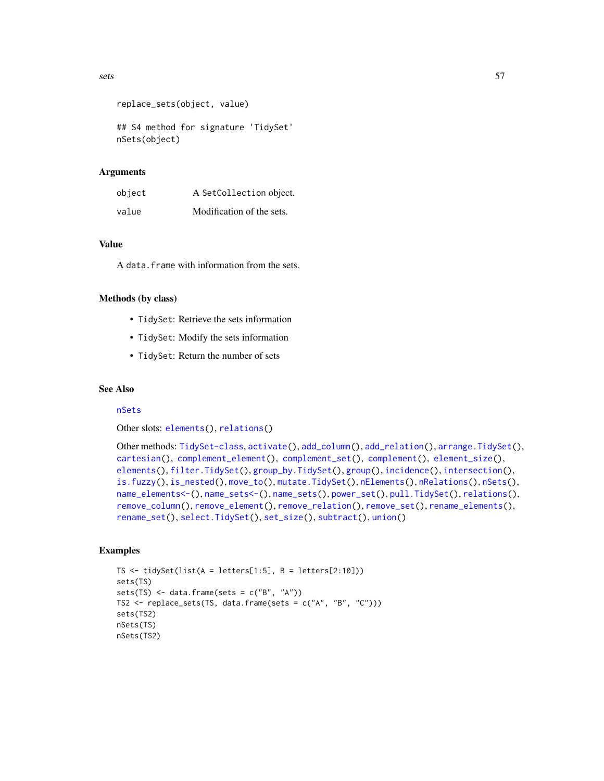```
replace_sets(object, value)
```
## S4 method for signature 'TidySet' nSets(object)

#### Arguments

| object | A SetCollection object.   |
|--------|---------------------------|
| value  | Modification of the sets. |

#### Value

A data.frame with information from the sets.

#### Methods (by class)

- TidySet: Retrieve the sets information
- TidySet: Modify the sets information
- TidySet: Return the number of sets

#### See Also

#### [nSets](#page-43-1)

Other slots: [elements\(](#page-20-0)), [relations\(](#page-46-0))

```
Other methods: TidySet-class, activate(), add_column(), add_relation(), arrange.TidySet(),
cartesian(), complement_element(), complement_set(), complement(), element_size(),
elements(), filter.TidySet(), group_by.TidySet(), group(), incidence(), intersection(),
is.fuzzy(), is_nested(), move_to(), mutate.TidySet(), nElements(), nRelations(), nSets(),
name_elements<-(), name_sets<-(), name_sets(), power_set(), pull.TidySet(), relations(),
remove_column(), remove_element(), remove_relation(), remove_set(), rename_elements(),
rename_set(), select.TidySet(), set_size(), subtract(), union()
```

```
TS \le tidySet(list(A = letters[1:5], B = letters[2:10]))
sets(TS)
sets(TS) \le data.frame(sets = c("B", "A"))
TS2 \leq replace_sets(TS, data.frame(sets = c("A", "B", "C")))
sets(TS2)
nSets(TS)
nSets(TS2)
```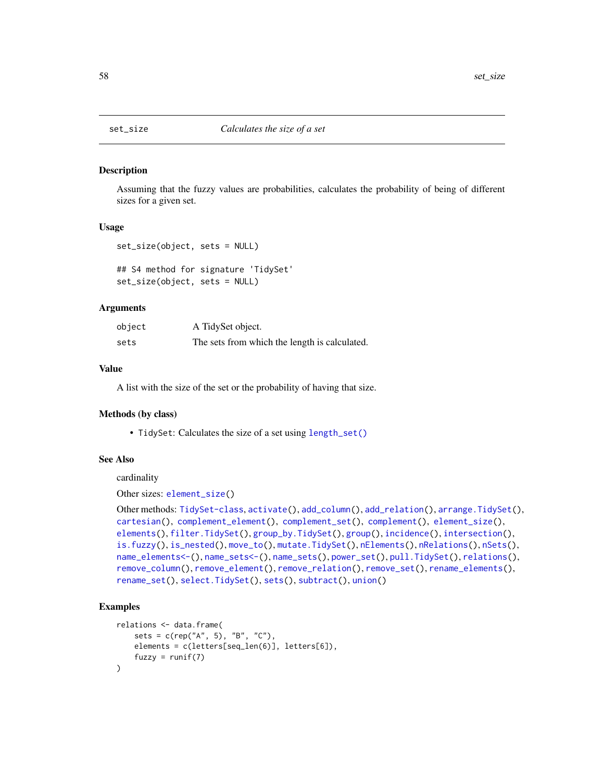<span id="page-57-1"></span><span id="page-57-0"></span>

#### Description

Assuming that the fuzzy values are probabilities, calculates the probability of being of different sizes for a given set.

#### Usage

```
set_size(object, sets = NULL)
```

```
## S4 method for signature 'TidySet'
set_size(object, sets = NULL)
```
#### Arguments

| object | A TidySet object.                             |
|--------|-----------------------------------------------|
| sets   | The sets from which the length is calculated. |

#### Value

A list with the size of the set or the probability of having that size.

#### Methods (by class)

• TidySet: Calculates the size of a set using [length\\_set\(\)](#page-33-0)

#### See Also

cardinality

```
Other sizes: element_size()
```

```
Other methods: TidySet-class, activate(), add_column(), add_relation(), arrange.TidySet(),
cartesian(), complement_element(), complement_set(), complement(), element_size(),
elements(), filter.TidySet(), group_by.TidySet(), group(), incidence(), intersection(),
is.fuzzy(), is_nested(), move_to(), mutate.TidySet(), nElements(), nRelations(), nSets(),
name_elements<-(), name_sets<-(), name_sets(), power_set(), pull.TidySet(), relations(),
remove_column(), remove_element(), remove_relation(), remove_set(), rename_elements(),
rename_set(), select.TidySet(), sets(), subtract(), union()
```

```
relations <- data.frame(
   sets = c(rep("A", 5), "B", "C"),elements = c(letters[seq_len(6)], letters[6]),
   fuzzy = runif(7))
```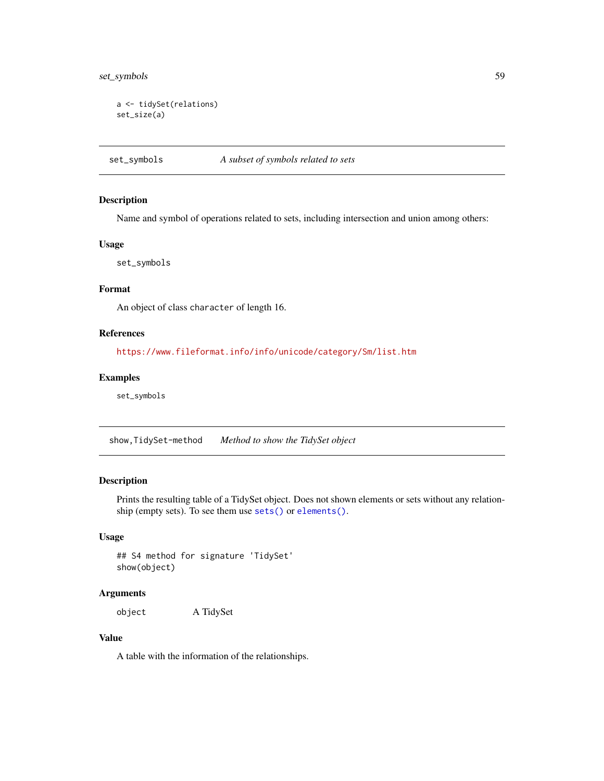#### <span id="page-58-1"></span>set\_symbols 59

```
a <- tidySet(relations)
set_size(a)
```
<span id="page-58-0"></span>set\_symbols *A subset of symbols related to sets*

#### Description

Name and symbol of operations related to sets, including intersection and union among others:

#### Usage

set\_symbols

#### Format

An object of class character of length 16.

#### References

<https://www.fileformat.info/info/unicode/category/Sm/list.htm>

#### Examples

set\_symbols

show,TidySet-method *Method to show the TidySet object*

#### Description

Prints the resulting table of a TidySet object. Does not shown elements or sets without any relationship (empty sets). To see them use [sets\(\)](#page-55-0) or [elements\(\)](#page-20-0).

#### Usage

```
## S4 method for signature 'TidySet'
show(object)
```
#### Arguments

object A TidySet

#### Value

A table with the information of the relationships.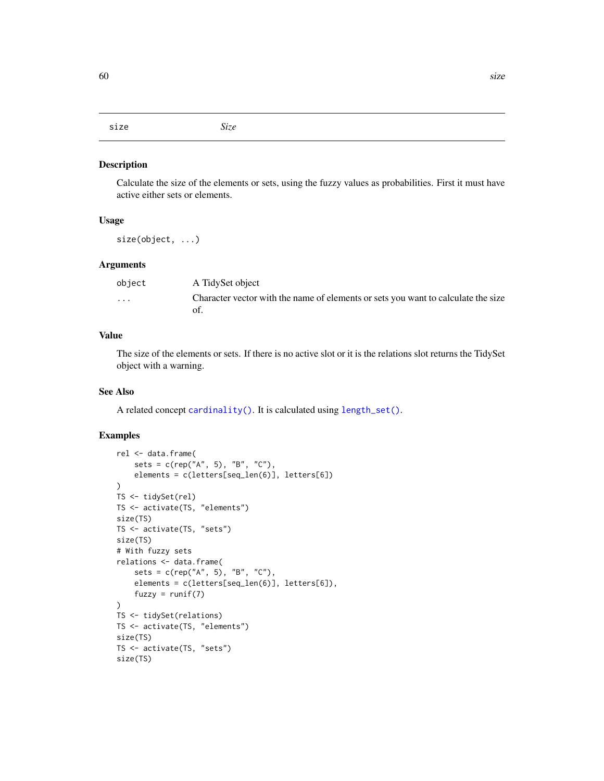<span id="page-59-0"></span>size *Size*

#### Description

Calculate the size of the elements or sets, using the fuzzy values as probabilities. First it must have active either sets or elements.

#### Usage

size(object, ...)

#### **Arguments**

| object   | A TidySet object                                                                         |
|----------|------------------------------------------------------------------------------------------|
| $\cdots$ | Character vector with the name of elements or sets you want to calculate the size<br>of. |

#### Value

The size of the elements or sets. If there is no active slot or it is the relations slot returns the TidySet object with a warning.

#### See Also

A related concept [cardinality\(\)](#page-12-0). It is calculated using [length\\_set\(\)](#page-33-0).

```
rel <- data.frame(
   sets = c(rep("A", 5), "B", "C"),
   elements = c(letters[seq_len(6)], letters[6])
\mathcal{L}TS <- tidySet(rel)
TS <- activate(TS, "elements")
size(TS)
TS <- activate(TS, "sets")
size(TS)
# With fuzzy sets
relations <- data.frame(
    sets = c(rep("A", 5), "B", "C"),
    elements = c(letters[seq_len(6)], letters[6]),
   fuzzy = runif(7))
TS <- tidySet(relations)
TS <- activate(TS, "elements")
size(TS)
TS <- activate(TS, "sets")
size(TS)
```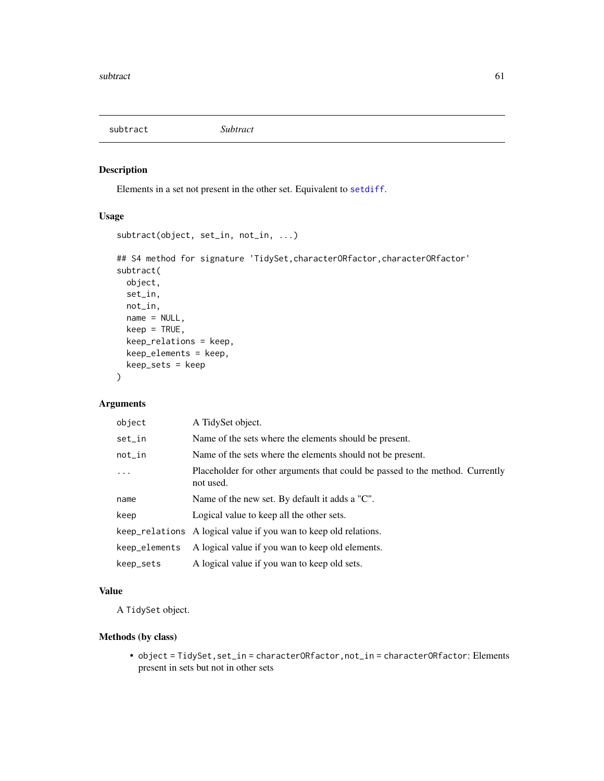<span id="page-60-1"></span><span id="page-60-0"></span>subtract *Subtract*

#### Description

Elements in a set not present in the other set. Equivalent to [setdiff](#page-0-0).

#### Usage

```
subtract(object, set_in, not_in, ...)
## S4 method for signature 'TidySet,characterORfactor,characterORfactor'
subtract(
 object,
 set_in,
 not_in,
 name = NULL,keep = TRUE,keep_relations = keep,
 keep_elements = keep,
 keep_sets = keep
)
```
#### Arguments

| object        | A TidySet object.                                                                          |
|---------------|--------------------------------------------------------------------------------------------|
| set_in        | Name of the sets where the elements should be present.                                     |
| $not_in$      | Name of the sets where the elements should not be present.                                 |
| $\ddotsc$     | Placeholder for other arguments that could be passed to the method. Currently<br>not used. |
| name          | Name of the new set. By default it adds a "C".                                             |
| keep          | Logical value to keep all the other sets.                                                  |
|               | keep_relations A logical value if you wan to keep old relations.                           |
| keep_elements | A logical value if you wan to keep old elements.                                           |
| keep_sets     | A logical value if you wan to keep old sets.                                               |

#### Value

A TidySet object.

#### Methods (by class)

• object = TidySet,set\_in = characterORfactor,not\_in = characterORfactor: Elements present in sets but not in other sets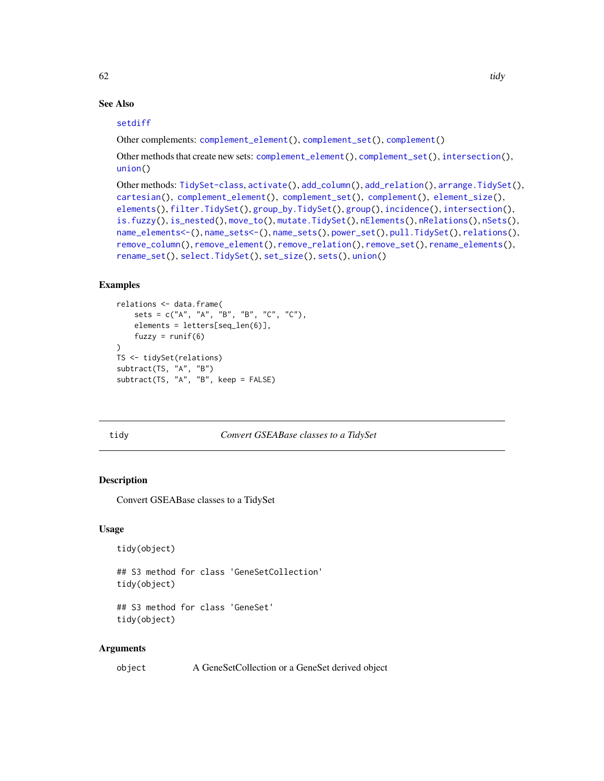#### See Also

#### [setdiff](#page-0-0)

Other complements: [complement\\_element\(](#page-16-0)), [complement\\_set\(](#page-17-0)), [complement\(](#page-15-0))

Other methods that create new sets: [complement\\_element\(](#page-16-0)), [complement\\_set\(](#page-17-0)), [intersection\(](#page-29-0)), [union\(](#page-65-0))

```
Other methods: TidySet-class, activate(), add_column(), add_relation(), arrange.TidySet(),
cartesian(), complement_element(), complement_set(), complement(), element_size(),
elements(), filter.TidySet(), group_by.TidySet(), group(), incidence(), intersection(),
is.fuzzy(), is_nested(), move_to(), mutate.TidySet(), nElements(), nRelations(), nSets(),
name_elements<-(), name_sets<-(), name_sets(), power_set(), pull.TidySet(), relations(),
remove_column(), remove_element(), remove_relation(), remove_set(), rename_elements(),
rename_set(), select.TidySet(), set_size(), sets(), union()
```
#### Examples

```
relations <- data.frame(
    sets = c("A", "A", "B", "B", "C", "C"),
    elements = letters[seq_len(6)],
    fuzzy = runif(6)\lambdaTS <- tidySet(relations)
subtract(TS, "A", "B")
subtract(TS, "A", "B", keep = FALSE)
```
#### tidy *Convert GSEABase classes to a TidySet*

#### Description

Convert GSEABase classes to a TidySet

#### Usage

```
tidy(object)
```
## S3 method for class 'GeneSetCollection' tidy(object)

## S3 method for class 'GeneSet' tidy(object)

#### Arguments

```
object A GeneSetCollection or a GeneSet derived object
```
<span id="page-61-0"></span>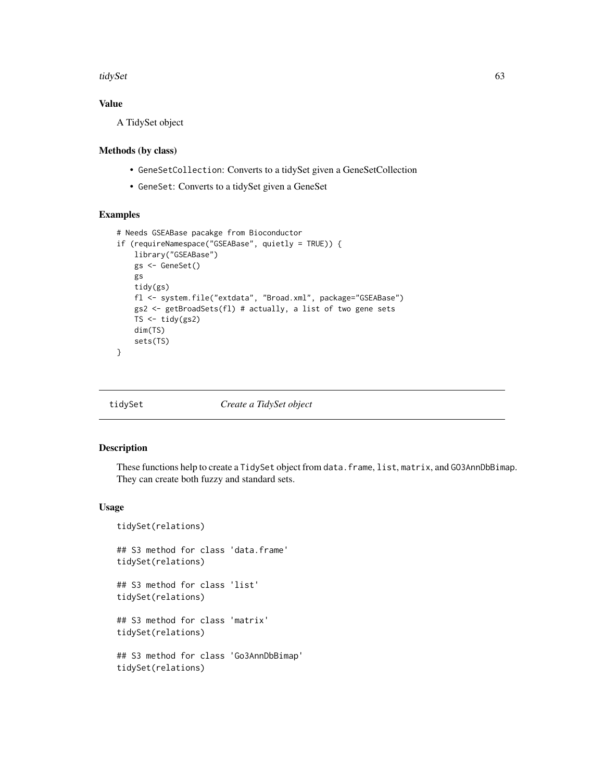<span id="page-62-1"></span>tidySet 63

#### Value

A TidySet object

#### Methods (by class)

- GeneSetCollection: Converts to a tidySet given a GeneSetCollection
- GeneSet: Converts to a tidySet given a GeneSet

#### Examples

```
# Needs GSEABase pacakge from Bioconductor
if (requireNamespace("GSEABase", quietly = TRUE)) {
    library("GSEABase")
   gs <- GeneSet()
   gs
   tidy(gs)
    fl <- system.file("extdata", "Broad.xml", package="GSEABase")
   gs2 <- getBroadSets(fl) # actually, a list of two gene sets
   TS <- tidy(gs2)
   dim(TS)
   sets(TS)
}
```
<span id="page-62-0"></span>

tidySet *Create a TidySet object*

#### Description

These functions help to create a TidySet object from data.frame, list, matrix, and GO3AnnDbBimap. They can create both fuzzy and standard sets.

#### Usage

tidySet(relations)

## S3 method for class 'data.frame' tidySet(relations)

## S3 method for class 'list' tidySet(relations)

## S3 method for class 'matrix' tidySet(relations)

## S3 method for class 'Go3AnnDbBimap' tidySet(relations)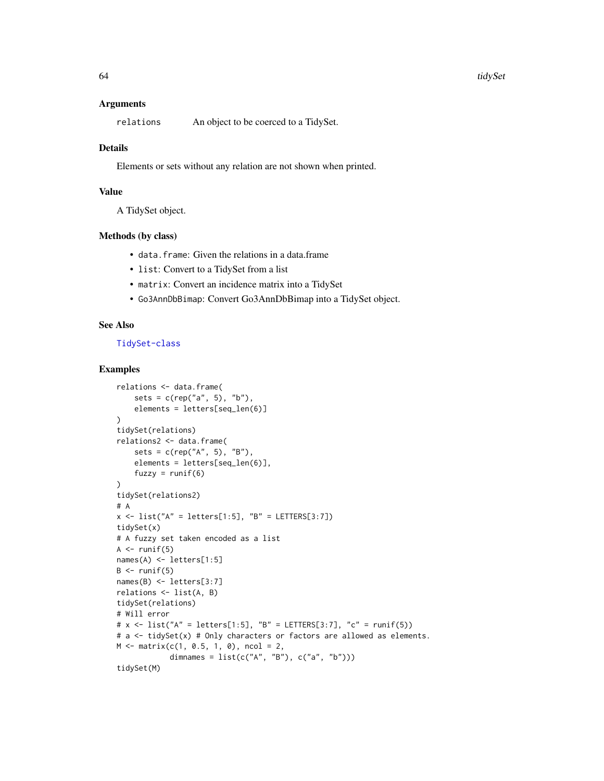#### Arguments

relations An object to be coerced to a TidySet.

#### Details

Elements or sets without any relation are not shown when printed.

#### Value

A TidySet object.

#### Methods (by class)

- data.frame: Given the relations in a data.frame
- list: Convert to a TidySet from a list
- matrix: Convert an incidence matrix into a TidySet
- Go3AnnDbBimap: Convert Go3AnnDbBimap into a TidySet object.

#### See Also

#### [TidySet-class](#page-64-0)

```
relations <- data.frame(
    sets = c(rep("a", 5), "b"),
    elements = letters[seq_len(6)]
\lambdatidySet(relations)
relations2 <- data.frame(
    sets = c(rep("A", 5), "B"),
    elements = letters[seq_len(6)],
    fuzzy = runif(6))
tidySet(relations2)
# A
x \le - list("A" = letters[1:5], "B" = LETTERS[3:7])
tidySet(x)
# A fuzzy set taken encoded as a list
A \leftarrow runif(5)names(A) <- letters[1:5]
B \leftarrow runif(5)names(B) <- letters[3:7]
relations <- list(A, B)
tidySet(relations)
# Will error
# x \le - list("A" = letters[1:5], "B" = LETTERS[3:7], "c" = runif(5))
# a <- tidySet(x) # Only characters or factors are allowed as elements.
M \leq - matrix(c(1, 0.5, 1, 0), ncol = 2,
            dimnames = list(c("A", "B"), c("a", "b")))tidySet(M)
```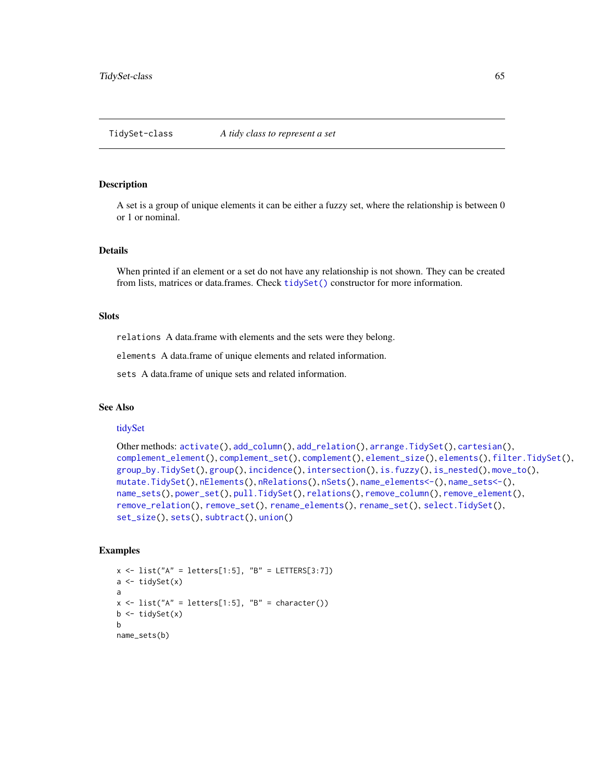#### <span id="page-64-2"></span><span id="page-64-1"></span><span id="page-64-0"></span>Description

A set is a group of unique elements it can be either a fuzzy set, where the relationship is between 0 or 1 or nominal.

#### Details

When printed if an element or a set do not have any relationship is not shown. They can be created from lists, matrices or data.frames. Check [tidySet\(\)](#page-62-0) constructor for more information.

#### **Slots**

relations A data.frame with elements and the sets were they belong.

elements A data.frame of unique elements and related information.

sets A data.frame of unique sets and related information.

#### See Also

#### [tidySet](#page-62-0)

```
Other methods: activate(), add_column(), add_relation(), arrange.TidySet(), cartesian(),
complement_element(), complement_set(), complement(), element_size(), elements(), filter.TidySet(),
group_by.TidySet(), group(), incidence(), intersection(), is.fuzzy(), is_nested(), move_to(),
mutate.TidySet(), nElements(), nRelations(), nSets(), name_elements<-(), name_sets<-(),
name_sets(), power_set(), pull.TidySet(), relations(), remove_column(), remove_element(),
remove_relation(), remove_set(), rename_elements(), rename_set(), select.TidySet(),
set_size(), sets(), subtract(), union()
```

```
x \le - list("A" = letters[1:5], "B" = LETTERS[3:7])
a \leftarrow tidySet(x)a
x \le - list("A" = letters[1:5], "B" = character())
b \leftarrow \text{tidySet}(x)b
name_sets(b)
```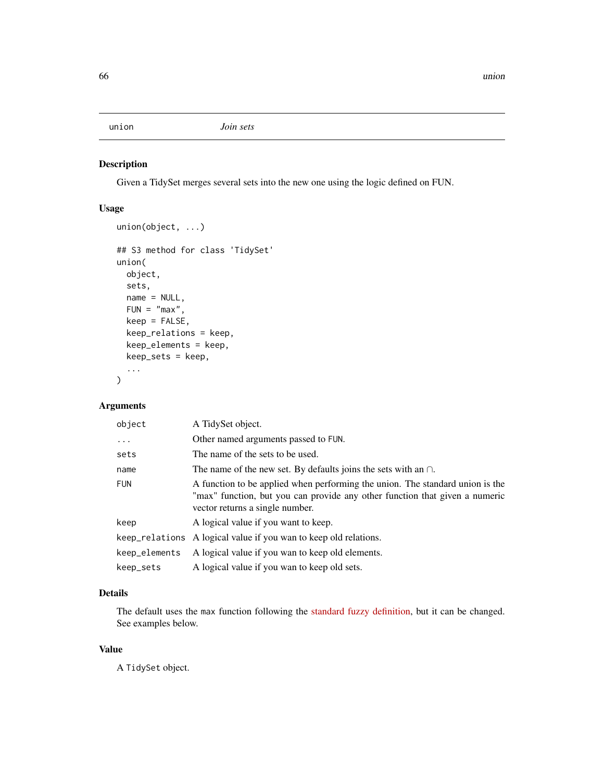<span id="page-65-1"></span><span id="page-65-0"></span>

#### Description

Given a TidySet merges several sets into the new one using the logic defined on FUN.

#### Usage

```
union(object, ...)
## S3 method for class 'TidySet'
union(
 object,
  sets,
 name = NULL,
  FUN = "max",
  keep = FALSE,
 keep_relations = keep,
 keep_elements = keep,
 keep_sets = keep,
  ...
)
```
#### Arguments

| object        | A TidySet object.                                                                                                                                                                               |
|---------------|-------------------------------------------------------------------------------------------------------------------------------------------------------------------------------------------------|
| $\ddots$ .    | Other named arguments passed to FUN.                                                                                                                                                            |
| sets          | The name of the sets to be used.                                                                                                                                                                |
| name          | The name of the new set. By defaults joins the sets with an $\cap$ .                                                                                                                            |
| <b>FUN</b>    | A function to be applied when performing the union. The standard union is the<br>"max" function, but you can provide any other function that given a numeric<br>vector returns a single number. |
| keep          | A logical value if you want to keep.                                                                                                                                                            |
|               | keep relations A logical value if you wan to keep old relations.                                                                                                                                |
| keep_elements | A logical value if you wan to keep old elements.                                                                                                                                                |
| keep_sets     | A logical value if you wan to keep old sets.                                                                                                                                                    |

#### Details

The default uses the max function following the [standard fuzzy definition,](https://en.wikipedia.org/wiki/Fuzzy_set_operations) but it can be changed. See examples below.

#### Value

A TidySet object.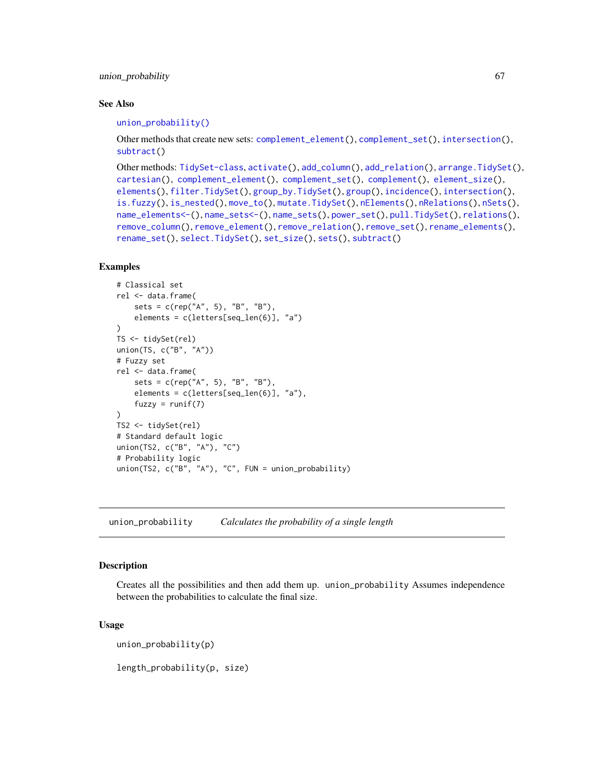#### <span id="page-66-1"></span>union\_probability 67

#### See Also

#### [union\\_probability\(\)](#page-66-0)

Other methods that create new sets: [complement\\_element\(](#page-16-0)), [complement\\_set\(](#page-17-0)), [intersection\(](#page-29-0)), [subtract\(](#page-60-0))

```
Other methods: TidySet-class, activate(), add_column(), add_relation(), arrange.TidySet(),
cartesian(), complement_element(), complement_set(), complement(), element_size(),
elements(), filter.TidySet(), group_by.TidySet(), group(), incidence(), intersection(),
is.fuzzy(), is_nested(), move_to(), mutate.TidySet(), nElements(), nRelations(), nSets(),
name_elements<-(), name_sets<-(), name_sets(), power_set(), pull.TidySet(), relations(),
remove_column(), remove_element(), remove_relation(), remove_set(), rename_elements(),
rename_set(), select.TidySet(), set_size(), sets(), subtract()
```
#### Examples

```
# Classical set
rel <- data.frame(
    sets = c(rep("A", 5), "B", "B"),
    elements = c(letters[seq_len(6)], "a")
\lambdaTS <- tidySet(rel)
union(TS, c("B", "A"))
# Fuzzy set
rel <- data.frame(
   sets = c(rep("A", 5), "B", "B"),
    elements = c(letters[seq_len(6)], "a"),
    fuzzy = runif(7))
TS2 <- tidySet(rel)
# Standard default logic
union(TS2, c("B", "A"), "C")
# Probability logic
union(TS2, c("B", "A"), "C", FUN = union_probability)
```
<span id="page-66-0"></span>union\_probability *Calculates the probability of a single length*

#### Description

Creates all the possibilities and then add them up. union\_probability Assumes independence between the probabilities to calculate the final size.

#### Usage

union\_probability(p)

length\_probability(p, size)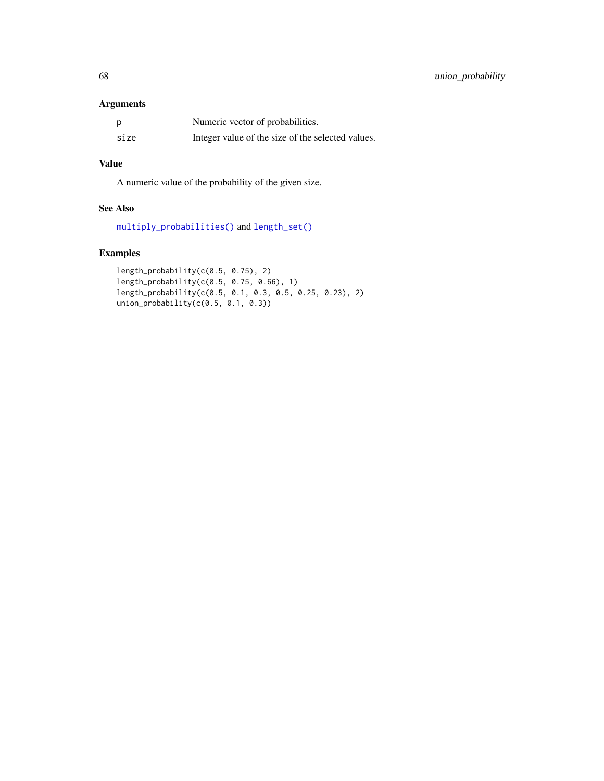#### <span id="page-67-0"></span>Arguments

|      | Numeric vector of probabilities.                  |
|------|---------------------------------------------------|
| size | Integer value of the size of the selected values. |

### Value

A numeric value of the probability of the given size.

#### See Also

[multiply\\_probabilities\(\)](#page-35-0) and [length\\_set\(\)](#page-33-0)

```
length_probability(c(0.5, 0.75), 2)
length_probability(c(0.5, 0.75, 0.66), 1)
length_probability(c(0.5, 0.1, 0.3, 0.5, 0.25, 0.23), 2)
union_probability(c(0.5, 0.1, 0.3))
```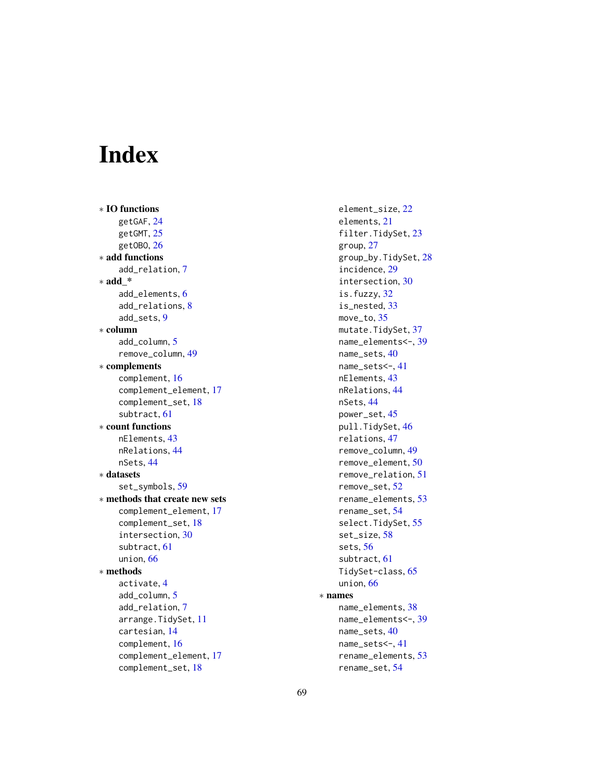# Index

∗ IO functions getGAF, [24](#page-23-0) getGMT, [25](#page-24-0) getOBO, [26](#page-25-0) ∗ add functions add\_relation, [7](#page-6-1) ∗ add\_\* add\_elements, [6](#page-5-0) add\_relations, [8](#page-7-0) add\_sets, [9](#page-8-0) ∗ column add\_column, [5](#page-4-1) remove\_column, [49](#page-48-1) ∗ complements complement, [16](#page-15-1) complement\_element, [17](#page-16-1) complement\_set, [18](#page-17-1) subtract, [61](#page-60-1) ∗ count functions nElements, [43](#page-42-1) nRelations, [44](#page-43-2) nSets, [44](#page-43-2) ∗ datasets set\_symbols, [59](#page-58-1) ∗ methods that create new sets complement\_element, [17](#page-16-1) complement\_set, [18](#page-17-1) intersection, [30](#page-29-1) subtract, [61](#page-60-1) union, [66](#page-65-1) ∗ methods activate, [4](#page-3-1) add\_column, [5](#page-4-1) add\_relation, [7](#page-6-1) arrange.TidySet, [11](#page-10-1) cartesian, [14](#page-13-1) complement, [16](#page-15-1) complement\_element, [17](#page-16-1) complement\_set, [18](#page-17-1)

element\_size, [22](#page-21-1) elements, [21](#page-20-1) filter.TidySet, [23](#page-22-1) group, [27](#page-26-1) group\_by.TidySet, [28](#page-27-1) incidence, [29](#page-28-1) intersection, [30](#page-29-1) is.fuzzy, [32](#page-31-1) is\_nested, [33](#page-32-1) move to, [35](#page-34-1) mutate.TidySet, [37](#page-36-1) name\_elements<-, [39](#page-38-1) name\_sets, [40](#page-39-1) name\_sets<-, [41](#page-40-1) nElements, [43](#page-42-1) nRelations, [44](#page-43-2) nSets, [44](#page-43-2) power\_set, [45](#page-44-1) pull.TidySet, [46](#page-45-1) relations, [47](#page-46-1) remove\_column, [49](#page-48-1) remove\_element, [50](#page-49-1) remove\_relation, [51](#page-50-1) remove\_set, [52](#page-51-1) rename\_elements, [53](#page-52-1) rename\_set, [54](#page-53-1) select.TidySet, [55](#page-54-1) set\_size, [58](#page-57-1) sets, [56](#page-55-1) subtract, [61](#page-60-1) TidySet-class, [65](#page-64-2) union, [66](#page-65-1) ∗ names name\_elements, [38](#page-37-1) name\_elements<-, [39](#page-38-1) name\_sets, [40](#page-39-1) name\_sets<-, [41](#page-40-1) rename\_elements, [53](#page-52-1) rename\_set, [54](#page-53-1)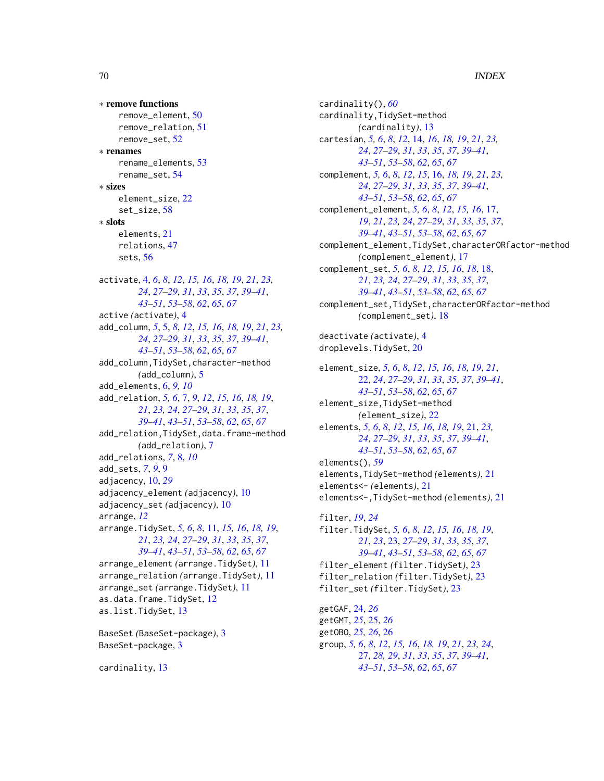∗ remove functions remove\_element, [50](#page-49-1) remove\_relation, [51](#page-50-1) remove\_set, [52](#page-51-1) ∗ renames rename\_elements, [53](#page-52-1) rename\_set, [54](#page-53-1) ∗ sizes element\_size, [22](#page-21-1) set\_size, [58](#page-57-1) ∗ slots elements, [21](#page-20-1) relations, [47](#page-46-1) sets, [56](#page-55-1) activate, [4,](#page-3-1) *[6](#page-5-0)*, *[8](#page-7-0)*, *[12](#page-11-0)*, *[15,](#page-14-0) [16](#page-15-1)*, *[18,](#page-17-1) [19](#page-18-0)*, *[21](#page-20-1)*, *[23,](#page-22-1) [24](#page-23-0)*, *[27](#page-26-1)[–29](#page-28-1)*, *[31](#page-30-0)*, *[33](#page-32-1)*, *[35](#page-34-1)*, *[37](#page-36-1)*, *[39–](#page-38-1)[41](#page-40-1)*, *[43](#page-42-1)[–51](#page-50-1)*, *[53](#page-52-1)[–58](#page-57-1)*, *[62](#page-61-0)*, *[65](#page-64-2)*, *[67](#page-66-1)* active *(*activate*)*, [4](#page-3-1) add\_column, *[5](#page-4-1)*, [5,](#page-4-1) *[8](#page-7-0)*, *[12](#page-11-0)*, *[15,](#page-14-0) [16](#page-15-1)*, *[18,](#page-17-1) [19](#page-18-0)*, *[21](#page-20-1)*, *[23,](#page-22-1) [24](#page-23-0)*, *[27](#page-26-1)[–29](#page-28-1)*, *[31](#page-30-0)*, *[33](#page-32-1)*, *[35](#page-34-1)*, *[37](#page-36-1)*, *[39–](#page-38-1)[41](#page-40-1)*, *[43](#page-42-1)[–51](#page-50-1)*, *[53](#page-52-1)[–58](#page-57-1)*, *[62](#page-61-0)*, *[65](#page-64-2)*, *[67](#page-66-1)* add\_column,TidySet,character-method *(*add\_column*)*, [5](#page-4-1) add\_elements, [6,](#page-5-0) *[9,](#page-8-0) [10](#page-9-0)* add\_relation, *[5,](#page-4-1) [6](#page-5-0)*, [7,](#page-6-1) *[9](#page-8-0)*, *[12](#page-11-0)*, *[15,](#page-14-0) [16](#page-15-1)*, *[18,](#page-17-1) [19](#page-18-0)*, *[21](#page-20-1)*, *[23,](#page-22-1) [24](#page-23-0)*, *[27–](#page-26-1)[29](#page-28-1)*, *[31](#page-30-0)*, *[33](#page-32-1)*, *[35](#page-34-1)*, *[37](#page-36-1)*, *[39](#page-38-1)[–41](#page-40-1)*, *[43](#page-42-1)[–51](#page-50-1)*, *[53–](#page-52-1)[58](#page-57-1)*, *[62](#page-61-0)*, *[65](#page-64-2)*, *[67](#page-66-1)* add\_relation,TidySet,data.frame-method *(*add\_relation*)*, [7](#page-6-1) add\_relations, *[7](#page-6-1)*, [8,](#page-7-0) *[10](#page-9-0)* add\_sets, *[7](#page-6-1)*, *[9](#page-8-0)*, [9](#page-8-0) adjacency, [10,](#page-9-0) *[29](#page-28-1)* adjacency\_element *(*adjacency*)*, [10](#page-9-0) adjacency\_set *(*adjacency*)*, [10](#page-9-0) arrange, *[12](#page-11-0)* arrange.TidySet, *[5,](#page-4-1) [6](#page-5-0)*, *[8](#page-7-0)*, [11,](#page-10-1) *[15,](#page-14-0) [16](#page-15-1)*, *[18,](#page-17-1) [19](#page-18-0)*, *[21](#page-20-1)*, *[23,](#page-22-1) [24](#page-23-0)*, *[27–](#page-26-1)[29](#page-28-1)*, *[31](#page-30-0)*, *[33](#page-32-1)*, *[35](#page-34-1)*, *[37](#page-36-1)*, *[39](#page-38-1)[–41](#page-40-1)*, *[43](#page-42-1)[–51](#page-50-1)*, *[53–](#page-52-1)[58](#page-57-1)*, *[62](#page-61-0)*, *[65](#page-64-2)*, *[67](#page-66-1)* arrange\_element *(*arrange.TidySet*)*, [11](#page-10-1) arrange\_relation *(*arrange.TidySet*)*, [11](#page-10-1) arrange\_set *(*arrange.TidySet*)*, [11](#page-10-1) as.data.frame.TidySet, [12](#page-11-0) as.list.TidySet, [13](#page-12-1) BaseSet *(*BaseSet-package*)*, [3](#page-2-0) BaseSet-package, [3](#page-2-0)

cardinality, [13](#page-12-1)

cardinality(), *[60](#page-59-0)* cardinality,TidySet-method *(*cardinality*)*, [13](#page-12-1) cartesian, *[5,](#page-4-1) [6](#page-5-0)*, *[8](#page-7-0)*, *[12](#page-11-0)*, [14,](#page-13-1) *[16](#page-15-1)*, *[18,](#page-17-1) [19](#page-18-0)*, *[21](#page-20-1)*, *[23,](#page-22-1) [24](#page-23-0)*, *[27](#page-26-1)[–29](#page-28-1)*, *[31](#page-30-0)*, *[33](#page-32-1)*, *[35](#page-34-1)*, *[37](#page-36-1)*, *[39](#page-38-1)[–41](#page-40-1)*, *[43](#page-42-1)[–51](#page-50-1)*, *[53](#page-52-1)[–58](#page-57-1)*, *[62](#page-61-0)*, *[65](#page-64-2)*, *[67](#page-66-1)* complement, *[5,](#page-4-1) [6](#page-5-0)*, *[8](#page-7-0)*, *[12](#page-11-0)*, *[15](#page-14-0)*, [16,](#page-15-1) *[18,](#page-17-1) [19](#page-18-0)*, *[21](#page-20-1)*, *[23,](#page-22-1) [24](#page-23-0)*, *[27](#page-26-1)[–29](#page-28-1)*, *[31](#page-30-0)*, *[33](#page-32-1)*, *[35](#page-34-1)*, *[37](#page-36-1)*, *[39](#page-38-1)[–41](#page-40-1)*, *[43](#page-42-1)[–51](#page-50-1)*, *[53](#page-52-1)[–58](#page-57-1)*, *[62](#page-61-0)*, *[65](#page-64-2)*, *[67](#page-66-1)* complement\_element, *[5,](#page-4-1) [6](#page-5-0)*, *[8](#page-7-0)*, *[12](#page-11-0)*, *[15,](#page-14-0) [16](#page-15-1)*, [17,](#page-16-1) *[19](#page-18-0)*, *[21](#page-20-1)*, *[23,](#page-22-1) [24](#page-23-0)*, *[27](#page-26-1)[–29](#page-28-1)*, *[31](#page-30-0)*, *[33](#page-32-1)*, *[35](#page-34-1)*, *[37](#page-36-1)*, *[39](#page-38-1)[–41](#page-40-1)*, *[43](#page-42-1)[–51](#page-50-1)*, *[53](#page-52-1)[–58](#page-57-1)*, *[62](#page-61-0)*, *[65](#page-64-2)*, *[67](#page-66-1)* complement\_element,TidySet,characterORfactor-method *(*complement\_element*)*, [17](#page-16-1) complement\_set, *[5,](#page-4-1) [6](#page-5-0)*, *[8](#page-7-0)*, *[12](#page-11-0)*, *[15,](#page-14-0) [16](#page-15-1)*, *[18](#page-17-1)*, [18,](#page-17-1) *[21](#page-20-1)*, *[23,](#page-22-1) [24](#page-23-0)*, *[27](#page-26-1)[–29](#page-28-1)*, *[31](#page-30-0)*, *[33](#page-32-1)*, *[35](#page-34-1)*, *[37](#page-36-1)*, *[39](#page-38-1)[–41](#page-40-1)*, *[43](#page-42-1)[–51](#page-50-1)*, *[53](#page-52-1)[–58](#page-57-1)*, *[62](#page-61-0)*, *[65](#page-64-2)*, *[67](#page-66-1)* complement\_set,TidySet,characterORfactor-method *(*complement\_set*)*, [18](#page-17-1) deactivate *(*activate*)*, [4](#page-3-1) droplevels.TidySet, [20](#page-19-0) element\_size, *[5,](#page-4-1) [6](#page-5-0)*, *[8](#page-7-0)*, *[12](#page-11-0)*, *[15,](#page-14-0) [16](#page-15-1)*, *[18,](#page-17-1) [19](#page-18-0)*, *[21](#page-20-1)*, [22,](#page-21-1) *[24](#page-23-0)*, *[27](#page-26-1)[–29](#page-28-1)*, *[31](#page-30-0)*, *[33](#page-32-1)*, *[35](#page-34-1)*, *[37](#page-36-1)*, *[39](#page-38-1)[–41](#page-40-1)*, *[43](#page-42-1)[–51](#page-50-1)*, *[53](#page-52-1)[–58](#page-57-1)*, *[62](#page-61-0)*, *[65](#page-64-2)*, *[67](#page-66-1)* element\_size,TidySet-method *(*element\_size*)*, [22](#page-21-1) elements, *[5,](#page-4-1) [6](#page-5-0)*, *[8](#page-7-0)*, *[12](#page-11-0)*, *[15,](#page-14-0) [16](#page-15-1)*, *[18,](#page-17-1) [19](#page-18-0)*, [21,](#page-20-1) *[23,](#page-22-1) [24](#page-23-0)*, *[27](#page-26-1)[–29](#page-28-1)*, *[31](#page-30-0)*, *[33](#page-32-1)*, *[35](#page-34-1)*, *[37](#page-36-1)*, *[39](#page-38-1)[–41](#page-40-1)*, *[43](#page-42-1)[–51](#page-50-1)*, *[53](#page-52-1)[–58](#page-57-1)*, *[62](#page-61-0)*, *[65](#page-64-2)*, *[67](#page-66-1)* elements(), *[59](#page-58-1)* elements,TidySet-method *(*elements*)*, [21](#page-20-1) elements<- *(*elements*)*, [21](#page-20-1) elements<-,TidySet-method *(*elements*)*, [21](#page-20-1) filter, *[19](#page-18-0)*, *[24](#page-23-0)* filter.TidySet, *[5,](#page-4-1) [6](#page-5-0)*, *[8](#page-7-0)*, *[12](#page-11-0)*, *[15,](#page-14-0) [16](#page-15-1)*, *[18,](#page-17-1) [19](#page-18-0)*, *[21](#page-20-1)*, *[23](#page-22-1)*, [23,](#page-22-1) *[27](#page-26-1)[–29](#page-28-1)*, *[31](#page-30-0)*, *[33](#page-32-1)*, *[35](#page-34-1)*, *[37](#page-36-1)*, *[39](#page-38-1)[–41](#page-40-1)*, *[43](#page-42-1)[–51](#page-50-1)*, *[53](#page-52-1)[–58](#page-57-1)*, *[62](#page-61-0)*, *[65](#page-64-2)*, *[67](#page-66-1)* filter\_element *(*filter.TidySet*)*, [23](#page-22-1) filter\_relation *(*filter.TidySet*)*, [23](#page-22-1) filter\_set *(*filter.TidySet*)*, [23](#page-22-1) getGAF, [24,](#page-23-0) *[26](#page-25-0)* getGMT, *[25](#page-24-0)*, [25,](#page-24-0) *[26](#page-25-0)* getOBO, *[25,](#page-24-0) [26](#page-25-0)*, [26](#page-25-0) group, *[5,](#page-4-1) [6](#page-5-0)*, *[8](#page-7-0)*, *[12](#page-11-0)*, *[15,](#page-14-0) [16](#page-15-1)*, *[18,](#page-17-1) [19](#page-18-0)*, *[21](#page-20-1)*, *[23,](#page-22-1) [24](#page-23-0)*,

[27,](#page-26-1) *[28,](#page-27-1) [29](#page-28-1)*, *[31](#page-30-0)*, *[33](#page-32-1)*, *[35](#page-34-1)*, *[37](#page-36-1)*, *[39](#page-38-1)[–41](#page-40-1)*, *[43](#page-42-1)[–51](#page-50-1)*, *[53](#page-52-1)[–58](#page-57-1)*, *[62](#page-61-0)*, *[65](#page-64-2)*, *[67](#page-66-1)*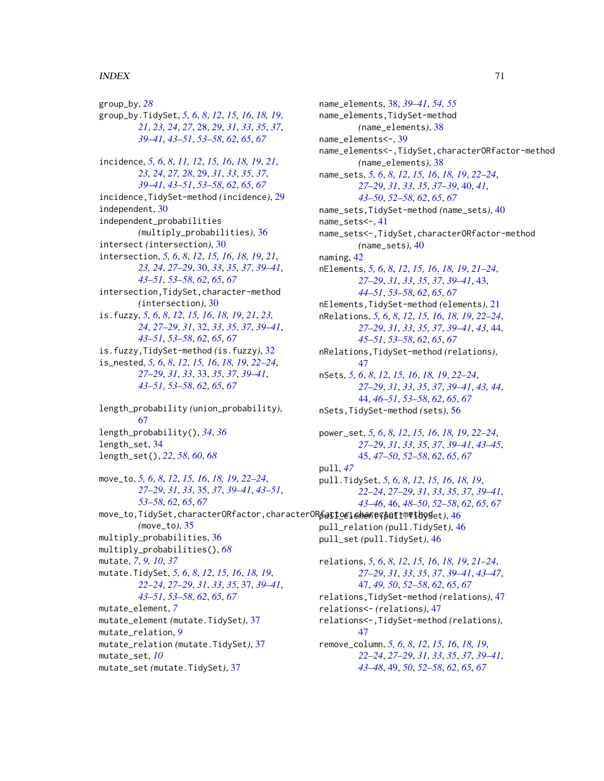#### $I<sub>N</sub>$  in  $I<sub>1</sub>$  is  $I<sub>2</sub>$  in  $I<sub>3</sub>$  in  $I<sub>4</sub>$  in  $I<sub>5</sub>$  in  $I<sub>6</sub>$  in  $I<sub>7</sub>$  in  $I<sub>8</sub>$  in  $I<sub>9</sub>$  in  $I<sub>9</sub>$  in  $I<sub>9</sub>$  in  $I<sub>9</sub>$  in  $I<sub>9</sub>$  in  $I<sub>9</sub>$  in  $I<sub>9</sub>$  i

group\_by, *[28](#page-27-1)* group\_by.TidySet, *[5,](#page-4-1) [6](#page-5-0)*, *[8](#page-7-0)*, *[12](#page-11-0)*, *[15,](#page-14-0) [16](#page-15-1)*, *[18,](#page-17-1) [19](#page-18-0)*, *[21](#page-20-1)*, *[23,](#page-22-1) [24](#page-23-0)*, *[27](#page-26-1)*, [28,](#page-27-1) *[29](#page-28-1)*, *[31](#page-30-0)*, *[33](#page-32-1)*, *[35](#page-34-1)*, *[37](#page-36-1)*, *[39](#page-38-1)[–41](#page-40-1)*, *[43](#page-42-1)[–51](#page-50-1)*, *[53–](#page-52-1)[58](#page-57-1)*, *[62](#page-61-0)*, *[65](#page-64-2)*, *[67](#page-66-1)* incidence, *[5,](#page-4-1) [6](#page-5-0)*, *[8](#page-7-0)*, *[11,](#page-10-1) [12](#page-11-0)*, *[15,](#page-14-0) [16](#page-15-1)*, *[18,](#page-17-1) [19](#page-18-0)*, *[21](#page-20-1)*, *[23,](#page-22-1) [24](#page-23-0)*, *[27,](#page-26-1) [28](#page-27-1)*, [29,](#page-28-1) *[31](#page-30-0)*, *[33](#page-32-1)*, *[35](#page-34-1)*, *[37](#page-36-1)*, *[39](#page-38-1)[–41](#page-40-1)*, *[43](#page-42-1)[–51](#page-50-1)*, *[53–](#page-52-1)[58](#page-57-1)*, *[62](#page-61-0)*, *[65](#page-64-2)*, *[67](#page-66-1)* incidence,TidySet-method *(*incidence*)*, [29](#page-28-1) independent, [30](#page-29-1) independent\_probabilities *(*multiply\_probabilities*)*, [36](#page-35-1) intersect *(*intersection*)*, [30](#page-29-1) intersection, *[5,](#page-4-1) [6](#page-5-0)*, *[8](#page-7-0)*, *[12](#page-11-0)*, *[15,](#page-14-0) [16](#page-15-1)*, *[18,](#page-17-1) [19](#page-18-0)*, *[21](#page-20-1)*, *[23,](#page-22-1) [24](#page-23-0)*, *[27](#page-26-1)[–29](#page-28-1)*, [30,](#page-29-1) *[33](#page-32-1)*, *[35](#page-34-1)*, *[37](#page-36-1)*, *[39–](#page-38-1)[41](#page-40-1)*, *[43](#page-42-1)[–51](#page-50-1)*, *[53](#page-52-1)[–58](#page-57-1)*, *[62](#page-61-0)*, *[65](#page-64-2)*, *[67](#page-66-1)* intersection,TidySet,character-method *(*intersection*)*, [30](#page-29-1) is.fuzzy, *[5,](#page-4-1) [6](#page-5-0)*, *[8](#page-7-0)*, *[12](#page-11-0)*, *[15,](#page-14-0) [16](#page-15-1)*, *[18,](#page-17-1) [19](#page-18-0)*, *[21](#page-20-1)*, *[23,](#page-22-1) [24](#page-23-0)*, *[27](#page-26-1)[–29](#page-28-1)*, *[31](#page-30-0)*, [32,](#page-31-1) *[33](#page-32-1)*, *[35](#page-34-1)*, *[37](#page-36-1)*, *[39–](#page-38-1)[41](#page-40-1)*, *[43](#page-42-1)[–51](#page-50-1)*, *[53](#page-52-1)[–58](#page-57-1)*, *[62](#page-61-0)*, *[65](#page-64-2)*, *[67](#page-66-1)* is.fuzzy,TidySet-method *(*is.fuzzy*)*, [32](#page-31-1) is\_nested, *[5,](#page-4-1) [6](#page-5-0)*, *[8](#page-7-0)*, *[12](#page-11-0)*, *[15,](#page-14-0) [16](#page-15-1)*, *[18,](#page-17-1) [19](#page-18-0)*, *[22–](#page-21-1)[24](#page-23-0)*, *[27](#page-26-1)[–29](#page-28-1)*, *[31](#page-30-0)*, *[33](#page-32-1)*, [33,](#page-32-1) *[35](#page-34-1)*, *[37](#page-36-1)*, *[39–](#page-38-1)[41](#page-40-1)*, *[43](#page-42-1)[–51](#page-50-1)*, *[53](#page-52-1)[–58](#page-57-1)*, *[62](#page-61-0)*, *[65](#page-64-2)*, *[67](#page-66-1)*

length\_probability *(*union\_probability*)*, [67](#page-66-1) length\_probability(), *[34](#page-33-1)*, *[36](#page-35-1)* length\_set, [34](#page-33-1) length\_set(), *[22](#page-21-1)*, *[58](#page-57-1)*, *[60](#page-59-0)*, *[68](#page-67-0)*

move\_to, *[5,](#page-4-1) [6](#page-5-0)*, *[8](#page-7-0)*, *[12](#page-11-0)*, *[15,](#page-14-0) [16](#page-15-1)*, *[18,](#page-17-1) [19](#page-18-0)*, *[22–](#page-21-1)[24](#page-23-0)*, *[27](#page-26-1)[–29](#page-28-1)*, *[31](#page-30-0)*, *[33](#page-32-1)*, [35,](#page-34-1) *[37](#page-36-1)*, *[39–](#page-38-1)[41](#page-40-1)*, *[43–](#page-42-1)[51](#page-50-1)*, *[53](#page-52-1)[–58](#page-57-1)*, *[62](#page-61-0)*, *[65](#page-64-2)*, *[67](#page-66-1)* move\_to,TidySet,characterORfactor,characterORfactor,character-method pull\_element *(*pull.TidySet*)*, [46](#page-45-1) *(*move\_to*)*, [35](#page-34-1) multiply\_probabilities, [36](#page-35-1) multiply\_probabilities(), *[68](#page-67-0)* mutate, *[7](#page-6-1)*, *[9,](#page-8-0) [10](#page-9-0)*, *[37](#page-36-1)* mutate.TidySet, *[5,](#page-4-1) [6](#page-5-0)*, *[8](#page-7-0)*, *[12](#page-11-0)*, *[15,](#page-14-0) [16](#page-15-1)*, *[18,](#page-17-1) [19](#page-18-0)*, *[22](#page-21-1)[–24](#page-23-0)*, *[27](#page-26-1)[–29](#page-28-1)*, *[31](#page-30-0)*, *[33](#page-32-1)*, *[35](#page-34-1)*, [37,](#page-36-1) *[39–](#page-38-1)[41](#page-40-1)*, *[43](#page-42-1)[–51](#page-50-1)*, *[53](#page-52-1)[–58](#page-57-1)*, *[62](#page-61-0)*, *[65](#page-64-2)*, *[67](#page-66-1)* mutate\_element, *[7](#page-6-1)* mutate\_element *(*mutate.TidySet*)*, [37](#page-36-1) mutate\_relation, *[9](#page-8-0)* mutate\_relation *(*mutate.TidySet*)*, [37](#page-36-1) mutate\_set, *[10](#page-9-0)* mutate\_set *(*mutate.TidySet*)*, [37](#page-36-1)

name\_elements, [38,](#page-37-1) *[39](#page-38-1)[–41](#page-40-1)*, *[54,](#page-53-1) [55](#page-54-1)* name\_elements,TidySet-method *(*name\_elements*)*, [38](#page-37-1) name\_elements<-, [39](#page-38-1) name\_elements<-,TidySet,characterORfactor-method *(*name\_elements*)*, [38](#page-37-1) name\_sets, *[5,](#page-4-1) [6](#page-5-0)*, *[8](#page-7-0)*, *[12](#page-11-0)*, *[15,](#page-14-0) [16](#page-15-1)*, *[18,](#page-17-1) [19](#page-18-0)*, *[22](#page-21-1)[–24](#page-23-0)*, *[27](#page-26-1)[–29](#page-28-1)*, *[31](#page-30-0)*, *[33](#page-32-1)*, *[35](#page-34-1)*, *[37](#page-36-1)[–39](#page-38-1)*, [40,](#page-39-1) *[41](#page-40-1)*, *[43](#page-42-1)[–50](#page-49-1)*, *[52](#page-51-1)[–58](#page-57-1)*, *[62](#page-61-0)*, *[65](#page-64-2)*, *[67](#page-66-1)* name\_sets,TidySet-method *(*name\_sets*)*, [40](#page-39-1) name\_sets<-, [41](#page-40-1) name\_sets<-,TidySet,characterORfactor-method *(*name\_sets*)*, [40](#page-39-1) naming, [42](#page-41-0) nElements, *[5,](#page-4-1) [6](#page-5-0)*, *[8](#page-7-0)*, *[12](#page-11-0)*, *[15,](#page-14-0) [16](#page-15-1)*, *[18,](#page-17-1) [19](#page-18-0)*, *[21](#page-20-1)[–24](#page-23-0)*, *[27](#page-26-1)[–29](#page-28-1)*, *[31](#page-30-0)*, *[33](#page-32-1)*, *[35](#page-34-1)*, *[37](#page-36-1)*, *[39](#page-38-1)[–41](#page-40-1)*, [43,](#page-42-1) *[44](#page-43-2)[–51](#page-50-1)*, *[53](#page-52-1)[–58](#page-57-1)*, *[62](#page-61-0)*, *[65](#page-64-2)*, *[67](#page-66-1)* nElements,TidySet-method *(*elements*)*, [21](#page-20-1) nRelations, *[5,](#page-4-1) [6](#page-5-0)*, *[8](#page-7-0)*, *[12](#page-11-0)*, *[15,](#page-14-0) [16](#page-15-1)*, *[18,](#page-17-1) [19](#page-18-0)*, *[22](#page-21-1)[–24](#page-23-0)*, *[27](#page-26-1)[–29](#page-28-1)*, *[31](#page-30-0)*, *[33](#page-32-1)*, *[35](#page-34-1)*, *[37](#page-36-1)*, *[39](#page-38-1)[–41](#page-40-1)*, *[43](#page-42-1)*, [44,](#page-43-2) *[45](#page-44-1)[–51](#page-50-1)*, *[53](#page-52-1)[–58](#page-57-1)*, *[62](#page-61-0)*, *[65](#page-64-2)*, *[67](#page-66-1)* nRelations,TidySet-method *(*relations*)*, [47](#page-46-1) nSets, *[5,](#page-4-1) [6](#page-5-0)*, *[8](#page-7-0)*, *[12](#page-11-0)*, *[15,](#page-14-0) [16](#page-15-1)*, *[18,](#page-17-1) [19](#page-18-0)*, *[22](#page-21-1)[–24](#page-23-0)*, *[27](#page-26-1)[–29](#page-28-1)*, *[31](#page-30-0)*, *[33](#page-32-1)*, *[35](#page-34-1)*, *[37](#page-36-1)*, *[39](#page-38-1)[–41](#page-40-1)*, *[43,](#page-42-1) [44](#page-43-2)*, [44,](#page-43-2) *[46](#page-45-1)[–51](#page-50-1)*, *[53](#page-52-1)[–58](#page-57-1)*, *[62](#page-61-0)*, *[65](#page-64-2)*, *[67](#page-66-1)* nSets,TidySet-method *(*sets*)*, [56](#page-55-1) power\_set, *[5,](#page-4-1) [6](#page-5-0)*, *[8](#page-7-0)*, *[12](#page-11-0)*, *[15,](#page-14-0) [16](#page-15-1)*, *[18,](#page-17-1) [19](#page-18-0)*, *[22](#page-21-1)[–24](#page-23-0)*, *[27](#page-26-1)[–29](#page-28-1)*, *[31](#page-30-0)*, *[33](#page-32-1)*, *[35](#page-34-1)*, *[37](#page-36-1)*, *[39](#page-38-1)[–41](#page-40-1)*, *[43](#page-42-1)[–45](#page-44-1)*, [45,](#page-44-1) *[47](#page-46-1)[–50](#page-49-1)*, *[52](#page-51-1)[–58](#page-57-1)*, *[62](#page-61-0)*, *[65](#page-64-2)*, *[67](#page-66-1)*

pull, *[47](#page-46-1)* pull.TidySet, *[5,](#page-4-1) [6](#page-5-0)*, *[8](#page-7-0)*, *[12](#page-11-0)*, *[15,](#page-14-0) [16](#page-15-1)*, *[18,](#page-17-1) [19](#page-18-0)*, *[22](#page-21-1)[–24](#page-23-0)*, *[27](#page-26-1)[–29](#page-28-1)*, *[31](#page-30-0)*, *[33](#page-32-1)*, *[35](#page-34-1)*, *[37](#page-36-1)*, *[39](#page-38-1)[–41](#page-40-1)*, *[43](#page-42-1)[–46](#page-45-1)*, [46,](#page-45-1) *[48](#page-47-0)[–50](#page-49-1)*, *[52](#page-51-1)[–58](#page-57-1)*, *[62](#page-61-0)*, *[65](#page-64-2)*, *[67](#page-66-1)*

pull\_relation *(*pull.TidySet*)*, [46](#page-45-1) pull\_set *(*pull.TidySet*)*, [46](#page-45-1)

relations, *[5,](#page-4-1) [6](#page-5-0)*, *[8](#page-7-0)*, *[12](#page-11-0)*, *[15,](#page-14-0) [16](#page-15-1)*, *[18,](#page-17-1) [19](#page-18-0)*, *[21](#page-20-1)[–24](#page-23-0)*, *[27](#page-26-1)[–29](#page-28-1)*, *[31](#page-30-0)*, *[33](#page-32-1)*, *[35](#page-34-1)*, *[37](#page-36-1)*, *[39](#page-38-1)[–41](#page-40-1)*, *[43](#page-42-1)[–47](#page-46-1)*, [47,](#page-46-1) *[49,](#page-48-1) [50](#page-49-1)*, *[52](#page-51-1)[–58](#page-57-1)*, *[62](#page-61-0)*, *[65](#page-64-2)*, *[67](#page-66-1)* relations,TidySet-method *(*relations*)*, [47](#page-46-1) relations<- *(*relations*)*, [47](#page-46-1) relations<-,TidySet-method *(*relations*)*, [47](#page-46-1) remove\_column, *[5,](#page-4-1) [6](#page-5-0)*, *[8](#page-7-0)*, *[12](#page-11-0)*, *[15,](#page-14-0) [16](#page-15-1)*, *[18,](#page-17-1) [19](#page-18-0)*, *[22](#page-21-1)[–24](#page-23-0)*, *[27](#page-26-1)[–29](#page-28-1)*, *[31](#page-30-0)*, *[33](#page-32-1)*, *[35](#page-34-1)*, *[37](#page-36-1)*, *[39](#page-38-1)[–41](#page-40-1)*, *[43](#page-42-1)[–48](#page-47-0)*, [49,](#page-48-1) *[50](#page-49-1)*, *[52](#page-51-1)[–58](#page-57-1)*, *[62](#page-61-0)*, *[65](#page-64-2)*, *[67](#page-66-1)*